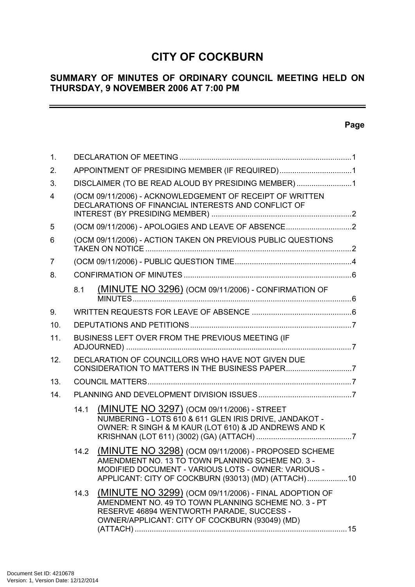# **CITY OF COCKBURN**

# **SUMMARY OF MINUTES OF ORDINARY COUNCIL MEETING HELD ON THURSDAY, 9 NOVEMBER 2006 AT 7:00 PM**

# **Page**

-

| $\mathbf{1}$ . |                                                                                                                 |                                                                                                                                                                                                                       |  |  |  |  |
|----------------|-----------------------------------------------------------------------------------------------------------------|-----------------------------------------------------------------------------------------------------------------------------------------------------------------------------------------------------------------------|--|--|--|--|
| 2.             | APPOINTMENT OF PRESIDING MEMBER (IF REQUIRED)1                                                                  |                                                                                                                                                                                                                       |  |  |  |  |
| 3.             | DISCLAIMER (TO BE READ ALOUD BY PRESIDING MEMBER) 1                                                             |                                                                                                                                                                                                                       |  |  |  |  |
| $\overline{4}$ | (OCM 09/11/2006) - ACKNOWLEDGEMENT OF RECEIPT OF WRITTEN<br>DECLARATIONS OF FINANCIAL INTERESTS AND CONFLICT OF |                                                                                                                                                                                                                       |  |  |  |  |
| 5              |                                                                                                                 | (OCM 09/11/2006) - APOLOGIES AND LEAVE OF ABSENCE                                                                                                                                                                     |  |  |  |  |
| 6              |                                                                                                                 | (OCM 09/11/2006) - ACTION TAKEN ON PREVIOUS PUBLIC QUESTIONS                                                                                                                                                          |  |  |  |  |
| 7              |                                                                                                                 |                                                                                                                                                                                                                       |  |  |  |  |
| 8.             |                                                                                                                 |                                                                                                                                                                                                                       |  |  |  |  |
|                | 8.1                                                                                                             | (MINUTE NO 3296) (OCM 09/11/2006) - CONFIRMATION OF                                                                                                                                                                   |  |  |  |  |
| 9.             |                                                                                                                 |                                                                                                                                                                                                                       |  |  |  |  |
| 10.            |                                                                                                                 |                                                                                                                                                                                                                       |  |  |  |  |
| 11.            | BUSINESS LEFT OVER FROM THE PREVIOUS MEETING (IF                                                                |                                                                                                                                                                                                                       |  |  |  |  |
| 12.            | DECLARATION OF COUNCILLORS WHO HAVE NOT GIVEN DUE<br>CONSIDERATION TO MATTERS IN THE BUSINESS PAPER7            |                                                                                                                                                                                                                       |  |  |  |  |
| 13.            |                                                                                                                 |                                                                                                                                                                                                                       |  |  |  |  |
| 14.            |                                                                                                                 |                                                                                                                                                                                                                       |  |  |  |  |
|                | 14.1                                                                                                            | (MINUTE NO 3297) (OCM 09/11/2006) - STREET<br>NUMBERING - LOTS 610 & 611 GLEN IRIS DRIVE, JANDAKOT -<br>OWNER: R SINGH & M KAUR (LOT 610) & JD ANDREWS AND K                                                          |  |  |  |  |
|                | 14.2                                                                                                            | (MINUTE NO 3298) (OCM 09/11/2006) - PROPOSED SCHEME<br>AMENDMENT NO. 13 TO TOWN PLANNING SCHEME NO. 3 -<br>MODIFIED DOCUMENT - VARIOUS LOTS - OWNER: VARIOUS -<br>APPLICANT: CITY OF COCKBURN (93013) (MD) (ATTACH)10 |  |  |  |  |
|                | 14.3                                                                                                            | (MINUTE NO 3299) (OCM 09/11/2006) - FINAL ADOPTION OF<br>AMENDMENT NO. 49 TO TOWN PLANNING SCHEME NO. 3 - PT<br>RESERVE 46894 WENTWORTH PARADE, SUCCESS -<br>OWNER/APPLICANT: CITY OF COCKBURN (93049) (MD)           |  |  |  |  |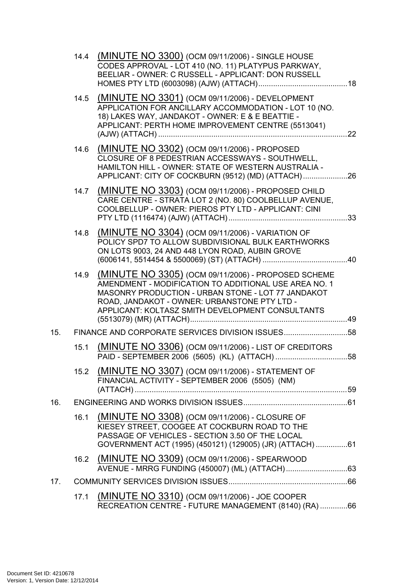|     | 14.4 | (MINUTE NO 3300) (OCM 09/11/2006) - SINGLE HOUSE<br>CODES APPROVAL - LOT 410 (NO. 11) PLATYPUS PARKWAY,<br>BEELIAR - OWNER: C RUSSELL - APPLICANT: DON RUSSELL                                                                                                         |  |
|-----|------|------------------------------------------------------------------------------------------------------------------------------------------------------------------------------------------------------------------------------------------------------------------------|--|
|     | 14.5 | (MINUTE NO 3301) (OCM 09/11/2006) - DEVELOPMENT<br>APPLICATION FOR ANCILLARY ACCOMMODATION - LOT 10 (NO.<br>18) LAKES WAY, JANDAKOT - OWNER: E & E BEATTIE -<br>APPLICANT: PERTH HOME IMPROVEMENT CENTRE (5513041)                                                     |  |
|     | 14.6 | (MINUTE NO 3302) (OCM 09/11/2006) - PROPOSED<br>CLOSURE OF 8 PEDESTRIAN ACCESSWAYS - SOUTHWELL,<br>HAMILTON HILL - OWNER: STATE OF WESTERN AUSTRALIA -<br>APPLICANT: CITY OF COCKBURN (9512) (MD) (ATTACH)                                                             |  |
|     | 14.7 | (MINUTE NO 3303) (OCM 09/11/2006) - PROPOSED CHILD<br>CARE CENTRE - STRATA LOT 2 (NO. 80) COOLBELLUP AVENUE,<br>COOLBELLUP - OWNER: PIEROS PTY LTD - APPLICANT: CINI                                                                                                   |  |
|     | 14.8 | (MINUTE NO 3304) (OCM 09/11/2006) - VARIATION OF<br>POLICY SPD7 TO ALLOW SUBDIVISIONAL BULK EARTHWORKS<br>ON LOTS 9003, 24 AND 448 LYON ROAD, AUBIN GROVE                                                                                                              |  |
|     | 14.9 | (MINUTE NO 3305) (OCM 09/11/2006) - PROPOSED SCHEME<br>AMENDMENT - MODIFICATION TO ADDITIONAL USE AREA NO. 1<br>MASONRY PRODUCTION - URBAN STONE - LOT 77 JANDAKOT<br>ROAD, JANDAKOT - OWNER: URBANSTONE PTY LTD -<br>APPLICANT: KOLTASZ SMITH DEVELOPMENT CONSULTANTS |  |
| 15. |      |                                                                                                                                                                                                                                                                        |  |
|     | 15.1 | (MINUTE NO 3306) (OCM 09/11/2006) - LIST OF CREDITORS<br>PAID - SEPTEMBER 2006 (5605) (KL) (ATTACH) 58                                                                                                                                                                 |  |
|     |      | 15.2 (MINUTE NO 3307) (OCM 09/11/2006) - STATEMENT OF<br>FINANCIAL ACTIVITY - SEPTEMBER 2006 (5505) (NM)                                                                                                                                                               |  |
| 16. |      |                                                                                                                                                                                                                                                                        |  |
|     | 16.1 | (MINUTE NO 3308) (OCM 09/11/2006) - CLOSURE OF<br>KIESEY STREET, COOGEE AT COCKBURN ROAD TO THE<br>PASSAGE OF VEHICLES - SECTION 3.50 OF THE LOCAL<br>GOVERNMENT ACT (1995) (450121) (129005) (JR) (ATTACH) 61                                                         |  |
|     |      | 16.2 (MINUTE NO 3309) (OCM 09/11/2006) - SPEARWOOD                                                                                                                                                                                                                     |  |
| 17. |      |                                                                                                                                                                                                                                                                        |  |
|     | 17.1 | (MINUTE NO 3310) (OCM 09/11/2006) - JOE COOPER<br>RECREATION CENTRE - FUTURE MANAGEMENT (8140) (RA) 66                                                                                                                                                                 |  |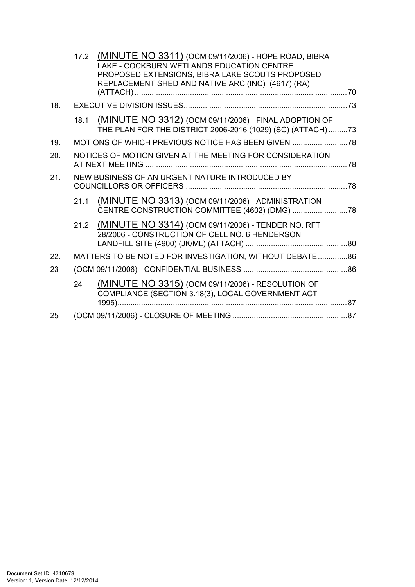|     | 17.2 | (MINUTE NO 3311) (OCM 09/11/2006) - HOPE ROAD, BIBRA<br>LAKE - COCKBURN WETLANDS EDUCATION CENTRE<br>PROPOSED EXTENSIONS, BIBRA LAKE SCOUTS PROPOSED<br>REPLACEMENT SHED AND NATIVE ARC (INC) (4617) (RA) |  |
|-----|------|-----------------------------------------------------------------------------------------------------------------------------------------------------------------------------------------------------------|--|
| 18. |      |                                                                                                                                                                                                           |  |
|     | 18.1 | (MINUTE NO 3312) (OCM 09/11/2006) - FINAL ADOPTION OF<br>THE PLAN FOR THE DISTRICT 2006-2016 (1029) (SC) (ATTACH) 73                                                                                      |  |
| 19. |      |                                                                                                                                                                                                           |  |
| 20. |      | NOTICES OF MOTION GIVEN AT THE MEETING FOR CONSIDERATION                                                                                                                                                  |  |
| 21. |      | NEW BUSINESS OF AN URGENT NATURE INTRODUCED BY                                                                                                                                                            |  |
|     |      | 21.1 (MINUTE NO 3313) (OCM 09/11/2006) - ADMINISTRATION                                                                                                                                                   |  |
|     |      | 21.2 (MINUTE NO 3314) (OCM 09/11/2006) - TENDER NO. RFT<br>28/2006 - CONSTRUCTION OF CELL NO. 6 HENDERSON                                                                                                 |  |
| 22. |      | MATTERS TO BE NOTED FOR INVESTIGATION, WITHOUT DEBATE86                                                                                                                                                   |  |
| 23  |      |                                                                                                                                                                                                           |  |
|     | 24   | (MINUTE NO 3315) (OCM 09/11/2006) - RESOLUTION OF<br>COMPLIANCE (SECTION 3.18(3), LOCAL GOVERNMENT ACT                                                                                                    |  |
| 25  |      |                                                                                                                                                                                                           |  |
|     |      |                                                                                                                                                                                                           |  |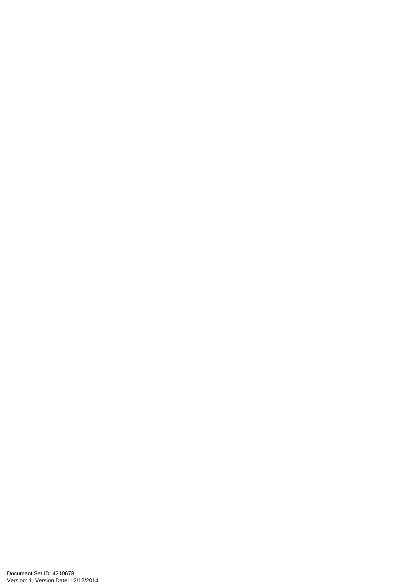Document Set ID: 4210678<br>Version: 1, Version Date: 12/12/2014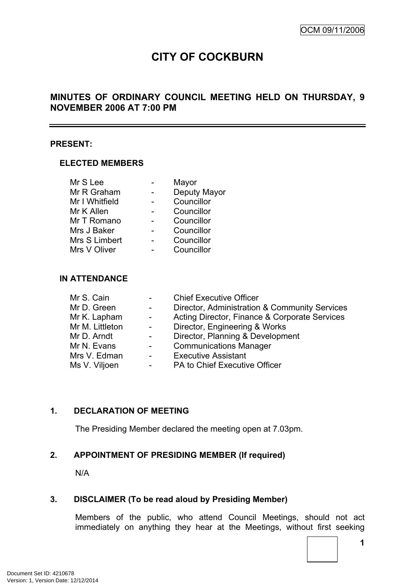# **CITY OF COCKBURN**

# **MINUTES OF ORDINARY COUNCIL MEETING HELD ON THURSDAY, 9 NOVEMBER 2006 AT 7:00 PM**

#### **PRESENT:**

### **ELECTED MEMBERS**

| Mr S Lee       | Mayor        |
|----------------|--------------|
| Mr R Graham    | Deputy Mayor |
| Mr I Whitfield | Councillor   |
| Mr K Allen     | Councillor   |
| Mr T Romano    | Councillor   |
| Mrs J Baker    | Councillor   |
| Mrs S Limbert  | Councillor   |
| Mrs V Oliver   | Councillor   |

### **IN ATTENDANCE**

| Mr S. Cain      | $\sim 100$         | <b>Chief Executive Officer</b>                |
|-----------------|--------------------|-----------------------------------------------|
| Mr D. Green     | $\sim 100$         | Director, Administration & Community Services |
| Mr K. Lapham    | $\sim 100$         | Acting Director, Finance & Corporate Services |
| Mr M. Littleton | $\sim 10^{-10}$    | Director, Engineering & Works                 |
| Mr D. Arndt     |                    | Director, Planning & Development              |
| Mr N. Evans     | $\sim 100$         | <b>Communications Manager</b>                 |
| Mrs V. Edman    | $\Delta \sim 10^4$ | <b>Executive Assistant</b>                    |
| Ms V. Viljoen   | $\Delta \sim 100$  | PA to Chief Executive Officer                 |

# <span id="page-4-0"></span>**1. DECLARATION OF MEETING**

The Presiding Member declared the meeting open at 7.03pm.

### <span id="page-4-1"></span>**2. APPOINTMENT OF PRESIDING MEMBER (If required)**

N/A

### <span id="page-4-2"></span>**3. DISCLAIMER (To be read aloud by Presiding Member)**

Members of the public, who attend Council Meetings, should not act immediately on anything they hear at the Meetings, without first seeking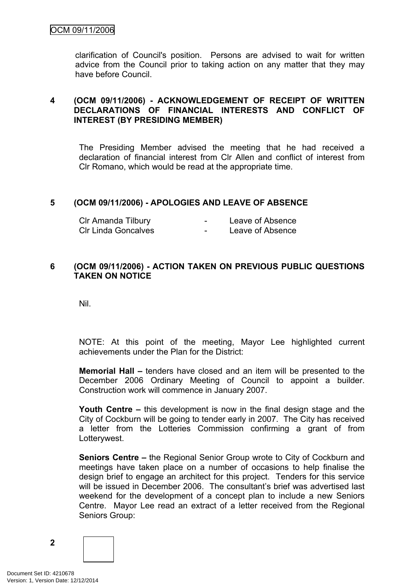# OCM 09/11/2006

clarification of Council's position. Persons are advised to wait for written advice from the Council prior to taking action on any matter that they may have before Council.

### <span id="page-5-0"></span>**4 (OCM 09/11/2006) - ACKNOWLEDGEMENT OF RECEIPT OF WRITTEN DECLARATIONS OF FINANCIAL INTERESTS AND CONFLICT OF INTEREST (BY PRESIDING MEMBER)**

The Presiding Member advised the meeting that he had received a declaration of financial interest from Clr Allen and conflict of interest from Clr Romano, which would be read at the appropriate time.

### <span id="page-5-1"></span>**5 (OCM 09/11/2006) - APOLOGIES AND LEAVE OF ABSENCE**

| CIr Amanda Tilbury  | - | Leave of Absence |
|---------------------|---|------------------|
| CIr Linda Goncalves | - | Leave of Absence |

### <span id="page-5-2"></span>**6 (OCM 09/11/2006) - ACTION TAKEN ON PREVIOUS PUBLIC QUESTIONS TAKEN ON NOTICE**

Nil.

NOTE: At this point of the meeting, Mayor Lee highlighted current achievements under the Plan for the District:

**Memorial Hall –** tenders have closed and an item will be presented to the December 2006 Ordinary Meeting of Council to appoint a builder. Construction work will commence in January 2007.

**Youth Centre –** this development is now in the final design stage and the City of Cockburn will be going to tender early in 2007. The City has received a letter from the Lotteries Commission confirming a grant of from Lotterywest.

**Seniors Centre –** the Regional Senior Group wrote to City of Cockburn and meetings have taken place on a number of occasions to help finalise the design brief to engage an architect for this project. Tenders for this service will be issued in December 2006. The consultant's brief was advertised last weekend for the development of a concept plan to include a new Seniors Centre. Mayor Lee read an extract of a letter received from the Regional Seniors Group: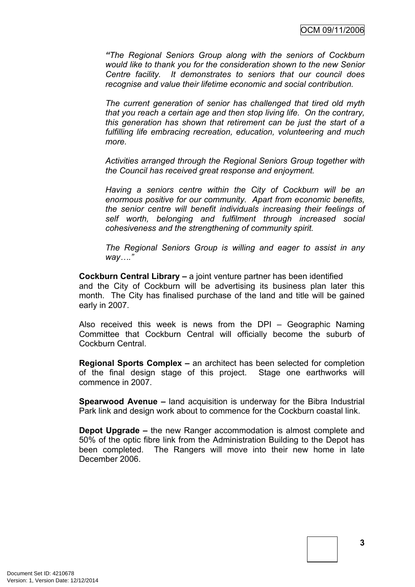*"The Regional Seniors Group along with the seniors of Cockburn would like to thank you for the consideration shown to the new Senior Centre facility. It demonstrates to seniors that our council does recognise and value their lifetime economic and social contribution.*

*The current generation of senior has challenged that tired old myth that you reach a certain age and then stop living life. On the contrary, this generation has shown that retirement can be just the start of a fulfilling life embracing recreation, education, volunteering and much more.*

*Activities arranged through the Regional Seniors Group together with the Council has received great response and enjoyment.*

*Having a seniors centre within the City of Cockburn will be an enormous positive for our community. Apart from economic benefits, the senior centre will benefit individuals increasing their feelings of self worth, belonging and fulfilment through increased social cohesiveness and the strengthening of community spirit.*

*The Regional Seniors Group is willing and eager to assist in any way…."*

**Cockburn Central Library –** a joint venture partner has been identified and the City of Cockburn will be advertising its business plan later this month. The City has finalised purchase of the land and title will be gained early in 2007.

Also received this week is news from the DPI – Geographic Naming Committee that Cockburn Central will officially become the suburb of Cockburn Central.

**Regional Sports Complex –** an architect has been selected for completion of the final design stage of this project. Stage one earthworks will commence in 2007.

**Spearwood Avenue –** land acquisition is underway for the Bibra Industrial Park link and design work about to commence for the Cockburn coastal link.

**Depot Upgrade –** the new Ranger accommodation is almost complete and 50% of the optic fibre link from the Administration Building to the Depot has been completed. The Rangers will move into their new home in late December 2006.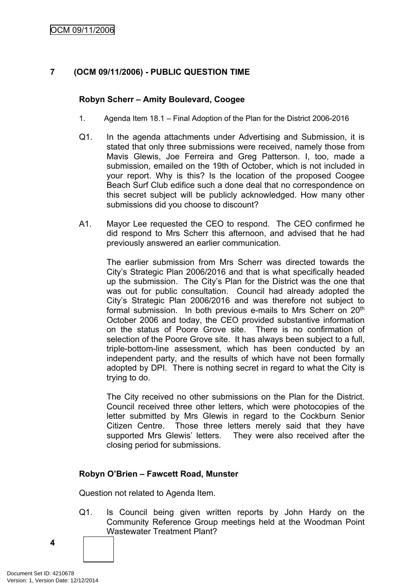# <span id="page-7-0"></span>**7 (OCM 09/11/2006) - PUBLIC QUESTION TIME**

### **Robyn Scherr – Amity Boulevard, Coogee**

- 1. Agenda Item 18.1 Final Adoption of the Plan for the District 2006-2016
- Q1. In the agenda attachments under Advertising and Submission, it is stated that only three submissions were received, namely those from Mavis Glewis, Joe Ferreira and Greg Patterson. I, too, made a submission, emailed on the 19th of October, which is not included in your report. Why is this? Is the location of the proposed Coogee Beach Surf Club edifice such a done deal that no correspondence on this secret subject will be publicly acknowledged. How many other submissions did you choose to discount?
- A1. Mayor Lee requested the CEO to respond. The CEO confirmed he did respond to Mrs Scherr this afternoon, and advised that he had previously answered an earlier communication.

The earlier submission from Mrs Scherr was directed towards the City's Strategic Plan 2006/2016 and that is what specifically headed up the submission. The City's Plan for the District was the one that was out for public consultation. Council had already adopted the City's Strategic Plan 2006/2016 and was therefore not subject to formal submission. In both previous e-mails to Mrs Scherr on 20<sup>th</sup> October 2006 and today, the CEO provided substantive information on the status of Poore Grove site. There is no confirmation of selection of the Poore Grove site. It has always been subject to a full, triple-bottom-line assessment, which has been conducted by an independent party, and the results of which have not been formally adopted by DPI. There is nothing secret in regard to what the City is trying to do.

The City received no other submissions on the Plan for the District. Council received three other letters, which were photocopies of the letter submitted by Mrs Glewis in regard to the Cockburn Senior Citizen Centre. Those three letters merely said that they have supported Mrs Glewis' letters. They were also received after the closing period for submissions.

# **Robyn O'Brien – Fawcett Road, Munster**

Question not related to Agenda Item.

Q1. Is Council being given written reports by John Hardy on the Community Reference Group meetings held at the Woodman Point Wastewater Treatment Plant?

**4**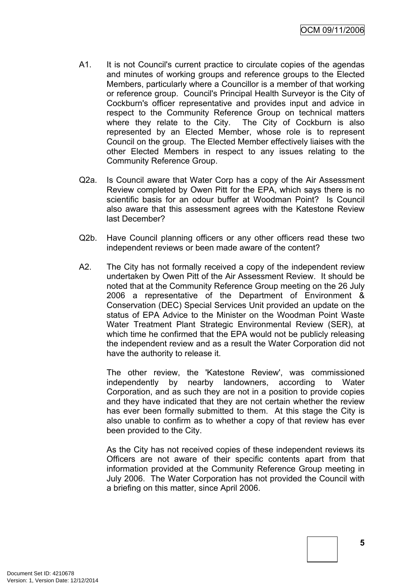- A1. It is not Council's current practice to circulate copies of the agendas and minutes of working groups and reference groups to the Elected Members, particularly where a Councillor is a member of that working or reference group. Council's Principal Health Surveyor is the City of Cockburn's officer representative and provides input and advice in respect to the Community Reference Group on technical matters where they relate to the City. The City of Cockburn is also represented by an Elected Member, whose role is to represent Council on the group. The Elected Member effectively liaises with the other Elected Members in respect to any issues relating to the Community Reference Group.
- Q2a. Is Council aware that Water Corp has a copy of the Air Assessment Review completed by Owen Pitt for the EPA, which says there is no scientific basis for an odour buffer at Woodman Point? Is Council also aware that this assessment agrees with the Katestone Review last December?
- Q2b. Have Council planning officers or any other officers read these two independent reviews or been made aware of the content?
- A2. The City has not formally received a copy of the independent review undertaken by Owen Pitt of the Air Assessment Review. It should be noted that at the Community Reference Group meeting on the 26 July 2006 a representative of the Department of Environment & Conservation (DEC) Special Services Unit provided an update on the status of EPA Advice to the Minister on the Woodman Point Waste Water Treatment Plant Strategic Environmental Review (SER), at which time he confirmed that the EPA would not be publicly releasing the independent review and as a result the Water Corporation did not have the authority to release it.

The other review, the 'Katestone Review', was commissioned independently by nearby landowners, according to Water Corporation, and as such they are not in a position to provide copies and they have indicated that they are not certain whether the review has ever been formally submitted to them. At this stage the City is also unable to confirm as to whether a copy of that review has ever been provided to the City.

As the City has not received copies of these independent reviews its Officers are not aware of their specific contents apart from that information provided at the Community Reference Group meeting in July 2006. The Water Corporation has not provided the Council with a briefing on this matter, since April 2006.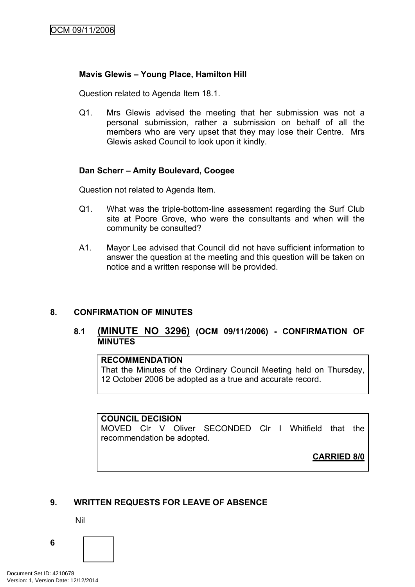### **Mavis Glewis – Young Place, Hamilton Hill**

Question related to Agenda Item 18.1.

Q1. Mrs Glewis advised the meeting that her submission was not a personal submission, rather a submission on behalf of all the members who are very upset that they may lose their Centre. Mrs Glewis asked Council to look upon it kindly.

### **Dan Scherr – Amity Boulevard, Coogee**

Question not related to Agenda Item.

- Q1. What was the triple-bottom-line assessment regarding the Surf Club site at Poore Grove, who were the consultants and when will the community be consulted?
- A1. Mayor Lee advised that Council did not have sufficient information to answer the question at the meeting and this question will be taken on notice and a written response will be provided.

### <span id="page-9-0"></span>**8. CONFIRMATION OF MINUTES**

# <span id="page-9-1"></span>**8.1 (MINUTE NO 3296) (OCM 09/11/2006) - CONFIRMATION OF MINUTES**

#### **RECOMMENDATION**

That the Minutes of the Ordinary Council Meeting held on Thursday, 12 October 2006 be adopted as a true and accurate record.

#### **COUNCIL DECISION**

MOVED Clr V Oliver SECONDED Clr I Whitfield that the recommendation be adopted.

**CARRIED 8/0**

### <span id="page-9-2"></span>**9. WRITTEN REQUESTS FOR LEAVE OF ABSENCE**

Nil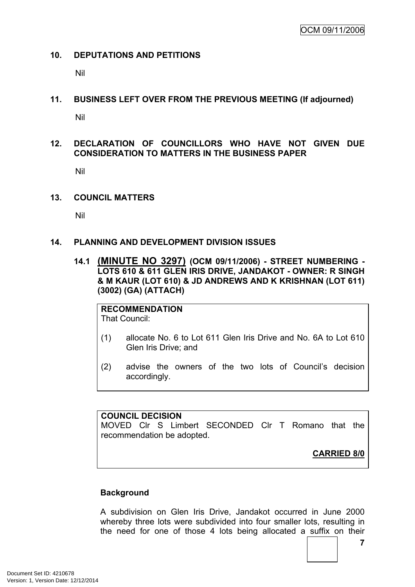### <span id="page-10-0"></span>**10. DEPUTATIONS AND PETITIONS**

Nil

### <span id="page-10-1"></span>**11. BUSINESS LEFT OVER FROM THE PREVIOUS MEETING (If adjourned)**

Nil

# <span id="page-10-2"></span>**12. DECLARATION OF COUNCILLORS WHO HAVE NOT GIVEN DUE CONSIDERATION TO MATTERS IN THE BUSINESS PAPER**

Nil

<span id="page-10-3"></span>**13. COUNCIL MATTERS**

Nil

### <span id="page-10-4"></span>**14. PLANNING AND DEVELOPMENT DIVISION ISSUES**

<span id="page-10-5"></span>**14.1 (MINUTE NO 3297) (OCM 09/11/2006) - STREET NUMBERING - LOTS 610 & 611 GLEN IRIS DRIVE, JANDAKOT - OWNER: R SINGH & M KAUR (LOT 610) & JD ANDREWS AND K KRISHNAN (LOT 611) (3002) (GA) (ATTACH)**

**RECOMMENDATION** That Council:

- (1) allocate No. 6 to Lot 611 Glen Iris Drive and No. 6A to Lot 610 Glen Iris Drive; and
- (2) advise the owners of the two lots of Council's decision accordingly.

**COUNCIL DECISION** MOVED Clr S Limbert SECONDED Clr T Romano that the recommendation be adopted.

**CARRIED 8/0**

# **Background**

A subdivision on Glen Iris Drive, Jandakot occurred in June 2000 whereby three lots were subdivided into four smaller lots, resulting in the need for one of those 4 lots being allocated a suffix on their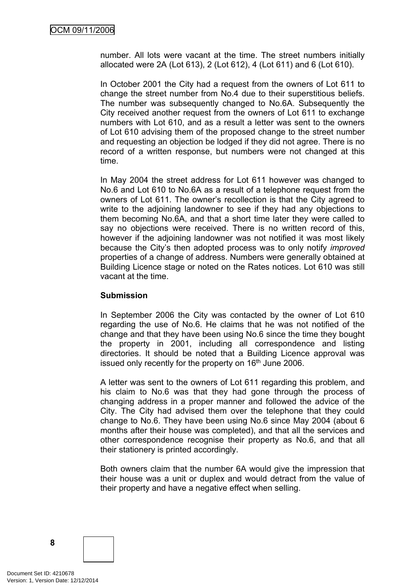number. All lots were vacant at the time. The street numbers initially allocated were 2A (Lot 613), 2 (Lot 612), 4 (Lot 611) and 6 (Lot 610).

In October 2001 the City had a request from the owners of Lot 611 to change the street number from No.4 due to their superstitious beliefs. The number was subsequently changed to No.6A. Subsequently the City received another request from the owners of Lot 611 to exchange numbers with Lot 610, and as a result a letter was sent to the owners of Lot 610 advising them of the proposed change to the street number and requesting an objection be lodged if they did not agree. There is no record of a written response, but numbers were not changed at this time.

In May 2004 the street address for Lot 611 however was changed to No.6 and Lot 610 to No.6A as a result of a telephone request from the owners of Lot 611. The owner's recollection is that the City agreed to write to the adjoining landowner to see if they had any objections to them becoming No.6A, and that a short time later they were called to say no objections were received. There is no written record of this, however if the adjoining landowner was not notified it was most likely because the City's then adopted process was to only notify *improved* properties of a change of address. Numbers were generally obtained at Building Licence stage or noted on the Rates notices. Lot 610 was still vacant at the time.

#### **Submission**

In September 2006 the City was contacted by the owner of Lot 610 regarding the use of No.6. He claims that he was not notified of the change and that they have been using No.6 since the time they bought the property in 2001, including all correspondence and listing directories. It should be noted that a Building Licence approval was issued only recently for the property on 16<sup>th</sup> June 2006.

A letter was sent to the owners of Lot 611 regarding this problem, and his claim to No.6 was that they had gone through the process of changing address in a proper manner and followed the advice of the City. The City had advised them over the telephone that they could change to No.6. They have been using No.6 since May 2004 (about 6 months after their house was completed), and that all the services and other correspondence recognise their property as No.6, and that all their stationery is printed accordingly.

Both owners claim that the number 6A would give the impression that their house was a unit or duplex and would detract from the value of their property and have a negative effect when selling.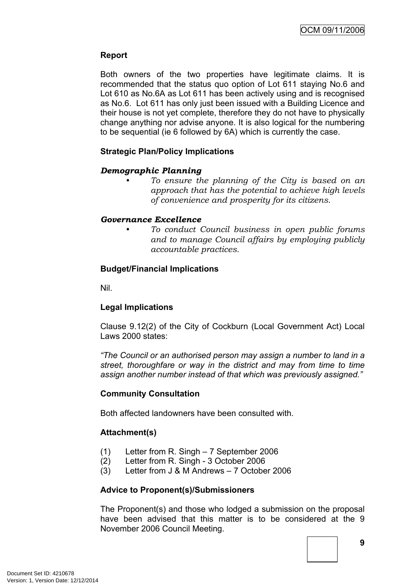# **Report**

Both owners of the two properties have legitimate claims. It is recommended that the status quo option of Lot 611 staying No.6 and Lot 610 as No.6A as Lot 611 has been actively using and is recognised as No.6. Lot 611 has only just been issued with a Building Licence and their house is not yet complete, therefore they do not have to physically change anything nor advise anyone. It is also logical for the numbering to be sequential (ie 6 followed by 6A) which is currently the case.

# **Strategic Plan/Policy Implications**

# *Demographic Planning*

*• To ensure the planning of the City is based on an approach that has the potential to achieve high levels of convenience and prosperity for its citizens.*

### *Governance Excellence*

*• To conduct Council business in open public forums and to manage Council affairs by employing publicly accountable practices.*

### **Budget/Financial Implications**

Nil.

### **Legal Implications**

Clause 9.12(2) of the City of Cockburn (Local Government Act) Local Laws 2000 states:

*"The Council or an authorised person may assign a number to land in a street, thoroughfare or way in the district and may from time to time assign another number instead of that which was previously assigned."*

### **Community Consultation**

Both affected landowners have been consulted with.

### **Attachment(s)**

- (1) Letter from R. Singh 7 September 2006
- (2) Letter from R. Singh 3 October 2006
- (3) Letter from J & M Andrews 7 October 2006

### **Advice to Proponent(s)/Submissioners**

The Proponent(s) and those who lodged a submission on the proposal have been advised that this matter is to be considered at the 9 November 2006 Council Meeting.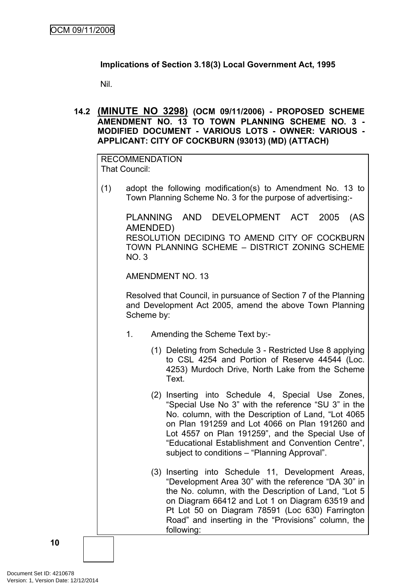# **Implications of Section 3.18(3) Local Government Act, 1995**

Nil.

<span id="page-13-0"></span>**14.2 (MINUTE NO 3298) (OCM 09/11/2006) - PROPOSED SCHEME AMENDMENT NO. 13 TO TOWN PLANNING SCHEME NO. 3 - MODIFIED DOCUMENT - VARIOUS LOTS - OWNER: VARIOUS - APPLICANT: CITY OF COCKBURN (93013) (MD) (ATTACH)**

RECOMMENDATION That Council:

(1) adopt the following modification(s) to Amendment No. 13 to Town Planning Scheme No. 3 for the purpose of advertising:-

PLANNING AND DEVELOPMENT ACT 2005 (AS AMENDED) RESOLUTION DECIDING TO AMEND CITY OF COCKBURN TOWN PLANNING SCHEME – DISTRICT ZONING SCHEME  $NO.3$ 

AMENDMENT NO. 13

Resolved that Council, in pursuance of Section 7 of the Planning and Development Act 2005, amend the above Town Planning Scheme by:

- 1. Amending the Scheme Text by:-
	- (1) Deleting from Schedule 3 Restricted Use 8 applying to CSL 4254 and Portion of Reserve 44544 (Loc. 4253) Murdoch Drive, North Lake from the Scheme Text.
	- (2) Inserting into Schedule 4, Special Use Zones, "Special Use No 3" with the reference "SU 3" in the No. column, with the Description of Land, "Lot 4065 on Plan 191259 and Lot 4066 on Plan 191260 and Lot 4557 on Plan 191259", and the Special Use of "Educational Establishment and Convention Centre", subject to conditions – "Planning Approval".
	- (3) Inserting into Schedule 11, Development Areas, "Development Area 30" with the reference "DA 30" in the No. column, with the Description of Land, "Lot 5 on Diagram 66412 and Lot 1 on Diagram 63519 and Pt Lot 50 on Diagram 78591 (Loc 630) Farrington Road" and inserting in the "Provisions" column, the following: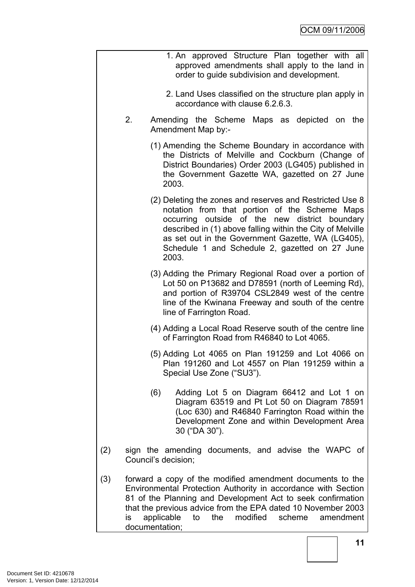|     |     | 1. An approved Structure Plan together with all<br>approved amendments shall apply to the land in<br>order to guide subdivision and development.                                                                                                                                                                                          |
|-----|-----|-------------------------------------------------------------------------------------------------------------------------------------------------------------------------------------------------------------------------------------------------------------------------------------------------------------------------------------------|
|     |     | 2. Land Uses classified on the structure plan apply in<br>accordance with clause 6.2.6.3.                                                                                                                                                                                                                                                 |
|     | 2.  | Amending the Scheme Maps as depicted on the<br>Amendment Map by:-                                                                                                                                                                                                                                                                         |
|     |     | (1) Amending the Scheme Boundary in accordance with<br>the Districts of Melville and Cockburn (Change of<br>District Boundaries) Order 2003 (LG405) published in<br>the Government Gazette WA, gazetted on 27 June<br>2003.                                                                                                               |
|     |     | (2) Deleting the zones and reserves and Restricted Use 8<br>notation from that portion of the Scheme Maps<br>occurring outside of the new district boundary<br>described in (1) above falling within the City of Melville<br>as set out in the Government Gazette, WA (LG405),<br>Schedule 1 and Schedule 2, gazetted on 27 June<br>2003. |
|     |     | (3) Adding the Primary Regional Road over a portion of<br>Lot 50 on P13682 and D78591 (north of Leeming Rd),<br>and portion of R39704 CSL2849 west of the centre<br>line of the Kwinana Freeway and south of the centre<br>line of Farrington Road.                                                                                       |
|     |     | (4) Adding a Local Road Reserve south of the centre line<br>of Farrington Road from R46840 to Lot 4065.                                                                                                                                                                                                                                   |
|     |     | (5) Adding Lot 4065 on Plan 191259 and Lot 4066 on<br>Plan 191260 and Lot 4557 on Plan 191259 within a<br>Special Use Zone ("SU3").                                                                                                                                                                                                       |
|     |     | (6)<br>Adding Lot 5 on Diagram 66412 and Lot 1 on<br>Diagram 63519 and Pt Lot 50 on Diagram 78591<br>(Loc 630) and R46840 Farrington Road within the<br>Development Zone and within Development Area<br>30 ("DA 30").                                                                                                                     |
| (2) |     | sign the amending documents, and advise the WAPC of<br>Council's decision;                                                                                                                                                                                                                                                                |
| (3) | is. | forward a copy of the modified amendment documents to the<br>Environmental Protection Authority in accordance with Section<br>81 of the Planning and Development Act to seek confirmation<br>that the previous advice from the EPA dated 10 November 2003<br>applicable<br>to<br>the<br>modified<br>scheme<br>amendment<br>documentation; |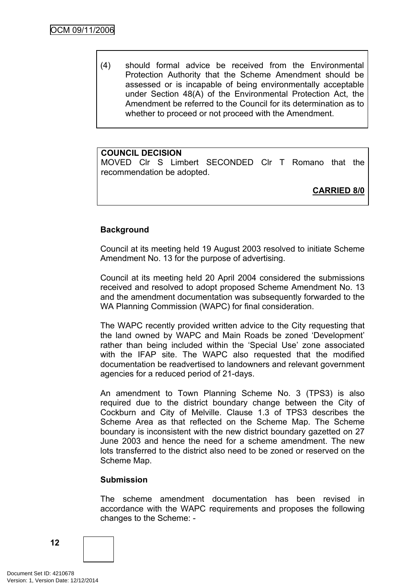(4) should formal advice be received from the Environmental Protection Authority that the Scheme Amendment should be assessed or is incapable of being environmentally acceptable under Section 48(A) of the Environmental Protection Act, the Amendment be referred to the Council for its determination as to whether to proceed or not proceed with the Amendment.

# **COUNCIL DECISION**

MOVED Clr S Limbert SECONDED Clr T Romano that the recommendation be adopted.

**CARRIED 8/0**

# **Background**

Council at its meeting held 19 August 2003 resolved to initiate Scheme Amendment No. 13 for the purpose of advertising.

Council at its meeting held 20 April 2004 considered the submissions received and resolved to adopt proposed Scheme Amendment No. 13 and the amendment documentation was subsequently forwarded to the WA Planning Commission (WAPC) for final consideration.

The WAPC recently provided written advice to the City requesting that the land owned by WAPC and Main Roads be zoned 'Development' rather than being included within the 'Special Use' zone associated with the IFAP site. The WAPC also requested that the modified documentation be readvertised to landowners and relevant government agencies for a reduced period of 21-days.

An amendment to Town Planning Scheme No. 3 (TPS3) is also required due to the district boundary change between the City of Cockburn and City of Melville. Clause 1.3 of TPS3 describes the Scheme Area as that reflected on the Scheme Map. The Scheme boundary is inconsistent with the new district boundary gazetted on 27 June 2003 and hence the need for a scheme amendment. The new lots transferred to the district also need to be zoned or reserved on the Scheme Map.

### **Submission**

The scheme amendment documentation has been revised in accordance with the WAPC requirements and proposes the following changes to the Scheme: -

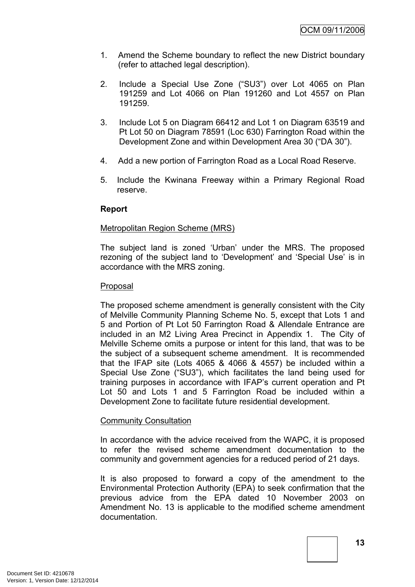- 1. Amend the Scheme boundary to reflect the new District boundary (refer to attached legal description).
- 2. Include a Special Use Zone ("SU3") over Lot 4065 on Plan 191259 and Lot 4066 on Plan 191260 and Lot 4557 on Plan 191259.
- 3. Include Lot 5 on Diagram 66412 and Lot 1 on Diagram 63519 and Pt Lot 50 on Diagram 78591 (Loc 630) Farrington Road within the Development Zone and within Development Area 30 ("DA 30").
- 4. Add a new portion of Farrington Road as a Local Road Reserve.
- 5. Include the Kwinana Freeway within a Primary Regional Road reserve.

### **Report**

### Metropolitan Region Scheme (MRS)

The subject land is zoned 'Urban' under the MRS. The proposed rezoning of the subject land to 'Development' and 'Special Use' is in accordance with the MRS zoning.

### Proposal

The proposed scheme amendment is generally consistent with the City of Melville Community Planning Scheme No. 5, except that Lots 1 and 5 and Portion of Pt Lot 50 Farrington Road & Allendale Entrance are included in an M2 Living Area Precinct in Appendix 1. The City of Melville Scheme omits a purpose or intent for this land, that was to be the subject of a subsequent scheme amendment. It is recommended that the IFAP site (Lots 4065 & 4066 & 4557) be included within a Special Use Zone ("SU3"), which facilitates the land being used for training purposes in accordance with IFAP's current operation and Pt Lot 50 and Lots 1 and 5 Farrington Road be included within a Development Zone to facilitate future residential development.

### Community Consultation

In accordance with the advice received from the WAPC, it is proposed to refer the revised scheme amendment documentation to the community and government agencies for a reduced period of 21 days.

It is also proposed to forward a copy of the amendment to the Environmental Protection Authority (EPA) to seek confirmation that the previous advice from the EPA dated 10 November 2003 on Amendment No. 13 is applicable to the modified scheme amendment documentation.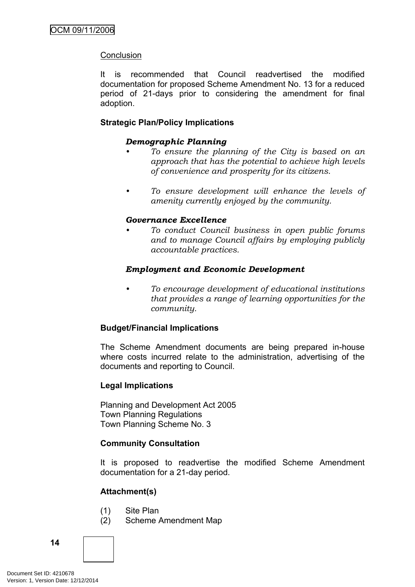### **Conclusion**

It is recommended that Council readvertised the modified documentation for proposed Scheme Amendment No. 13 for a reduced period of 21-days prior to considering the amendment for final adoption.

### **Strategic Plan/Policy Implications**

### *Demographic Planning*

- *• To ensure the planning of the City is based on an approach that has the potential to achieve high levels of convenience and prosperity for its citizens.*
- *• To ensure development will enhance the levels of amenity currently enjoyed by the community.*

### *Governance Excellence*

*• To conduct Council business in open public forums and to manage Council affairs by employing publicly accountable practices.*

### *Employment and Economic Development*

*• To encourage development of educational institutions that provides a range of learning opportunities for the community.*

### **Budget/Financial Implications**

The Scheme Amendment documents are being prepared in-house where costs incurred relate to the administration, advertising of the documents and reporting to Council.

### **Legal Implications**

Planning and Development Act 2005 Town Planning Regulations Town Planning Scheme No. 3

#### **Community Consultation**

It is proposed to readvertise the modified Scheme Amendment documentation for a 21-day period.

### **Attachment(s)**

- (1) Site Plan
- (2) Scheme Amendment Map

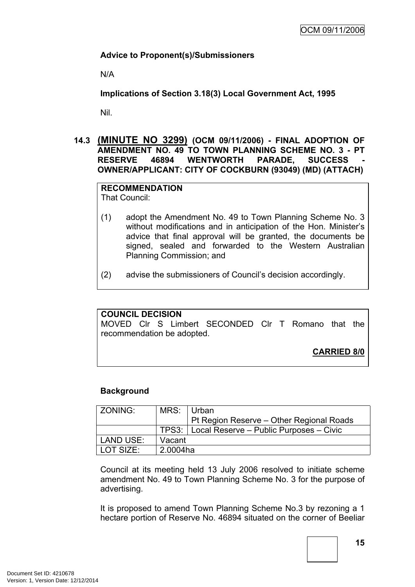# **Advice to Proponent(s)/Submissioners**

N/A

**Implications of Section 3.18(3) Local Government Act, 1995**

Nil.

<span id="page-18-0"></span>**14.3 (MINUTE NO 3299) (OCM 09/11/2006) - FINAL ADOPTION OF AMENDMENT NO. 49 TO TOWN PLANNING SCHEME NO. 3 - PT RESERVE 46894 WENTWORTH PARADE, SUCCESS - OWNER/APPLICANT: CITY OF COCKBURN (93049) (MD) (ATTACH)**

**RECOMMENDATION** That Council:

- (1) adopt the Amendment No. 49 to Town Planning Scheme No. 3 without modifications and in anticipation of the Hon. Minister's advice that final approval will be granted, the documents be signed, sealed and forwarded to the Western Australian Planning Commission; and
- (2) advise the submissioners of Council's decision accordingly.

# **COUNCIL DECISION**

MOVED Clr S Limbert SECONDED Clr T Romano that the recommendation be adopted.

**CARRIED 8/0**

# **Background**

| ZONING:   | $MRS:$ Urban |                                                 |
|-----------|--------------|-------------------------------------------------|
|           |              | Pt Region Reserve - Other Regional Roads        |
|           |              | TPS3:   Local Reserve - Public Purposes - Civic |
| LAND USE: | Vacant       |                                                 |
| LOT SIZE: | 2.0004ha     |                                                 |

Council at its meeting held 13 July 2006 resolved to initiate scheme amendment No. 49 to Town Planning Scheme No. 3 for the purpose of advertising.

It is proposed to amend Town Planning Scheme No.3 by rezoning a 1 hectare portion of Reserve No. 46894 situated on the corner of Beeliar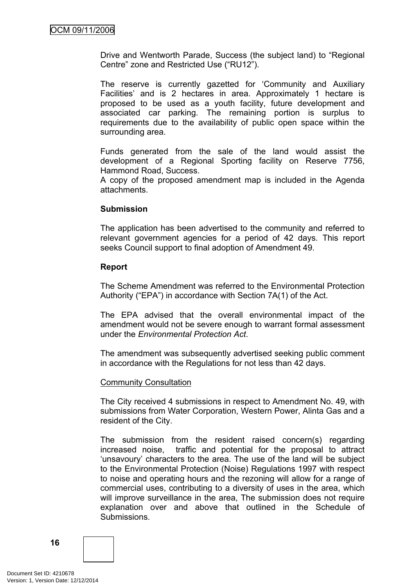Drive and Wentworth Parade, Success (the subject land) to "Regional Centre" zone and Restricted Use ("RU12").

The reserve is currently gazetted for 'Community and Auxiliary Facilities' and is 2 hectares in area. Approximately 1 hectare is proposed to be used as a youth facility, future development and associated car parking. The remaining portion is surplus to requirements due to the availability of public open space within the surrounding area.

Funds generated from the sale of the land would assist the development of a Regional Sporting facility on Reserve 7756, Hammond Road, Success.

A copy of the proposed amendment map is included in the Agenda attachments.

### **Submission**

The application has been advertised to the community and referred to relevant government agencies for a period of 42 days. This report seeks Council support to final adoption of Amendment 49.

### **Report**

The Scheme Amendment was referred to the Environmental Protection Authority ("EPA") in accordance with Section 7A(1) of the Act.

The EPA advised that the overall environmental impact of the amendment would not be severe enough to warrant formal assessment under the *Environmental Protection Act*.

The amendment was subsequently advertised seeking public comment in accordance with the Regulations for not less than 42 days.

#### Community Consultation

The City received 4 submissions in respect to Amendment No. 49, with submissions from Water Corporation, Western Power, Alinta Gas and a resident of the City.

The submission from the resident raised concern(s) regarding increased noise, traffic and potential for the proposal to attract 'unsavoury' characters to the area. The use of the land will be subject to the Environmental Protection (Noise) Regulations 1997 with respect to noise and operating hours and the rezoning will allow for a range of commercial uses, contributing to a diversity of uses in the area, which will improve surveillance in the area, The submission does not require explanation over and above that outlined in the Schedule of **Submissions.**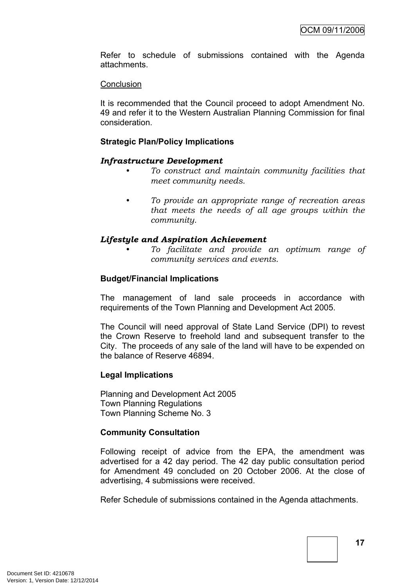Refer to schedule of submissions contained with the Agenda attachments.

### **Conclusion**

It is recommended that the Council proceed to adopt Amendment No. 49 and refer it to the Western Australian Planning Commission for final consideration.

### **Strategic Plan/Policy Implications**

### *Infrastructure Development*

- *• To construct and maintain community facilities that meet community needs.*
- *• To provide an appropriate range of recreation areas that meets the needs of all age groups within the community.*

### *Lifestyle and Aspiration Achievement*

*• To facilitate and provide an optimum range of community services and events.*

### **Budget/Financial Implications**

The management of land sale proceeds in accordance with requirements of the Town Planning and Development Act 2005.

The Council will need approval of State Land Service (DPI) to revest the Crown Reserve to freehold land and subsequent transfer to the City. The proceeds of any sale of the land will have to be expended on the balance of Reserve 46894.

### **Legal Implications**

Planning and Development Act 2005 Town Planning Regulations Town Planning Scheme No. 3

### **Community Consultation**

Following receipt of advice from the EPA, the amendment was advertised for a 42 day period. The 42 day public consultation period for Amendment 49 concluded on 20 October 2006. At the close of advertising, 4 submissions were received.

Refer Schedule of submissions contained in the Agenda attachments.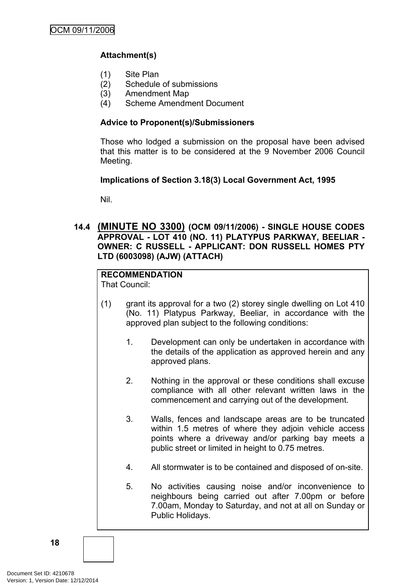# **Attachment(s)**

- (1) Site Plan
- (2) Schedule of submissions
- (3) Amendment Map
- (4) Scheme Amendment Document

# **Advice to Proponent(s)/Submissioners**

Those who lodged a submission on the proposal have been advised that this matter is to be considered at the 9 November 2006 Council Meeting.

# **Implications of Section 3.18(3) Local Government Act, 1995**

Nil.

# <span id="page-21-0"></span>**14.4 (MINUTE NO 3300) (OCM 09/11/2006) - SINGLE HOUSE CODES APPROVAL - LOT 410 (NO. 11) PLATYPUS PARKWAY, BEELIAR - OWNER: C RUSSELL - APPLICANT: DON RUSSELL HOMES PTY LTD (6003098) (AJW) (ATTACH)**

# **RECOMMENDATION**

That Council:

- (1) grant its approval for a two (2) storey single dwelling on Lot 410 (No. 11) Platypus Parkway, Beeliar, in accordance with the approved plan subject to the following conditions:
	- 1. Development can only be undertaken in accordance with the details of the application as approved herein and any approved plans.
	- 2. Nothing in the approval or these conditions shall excuse compliance with all other relevant written laws in the commencement and carrying out of the development.
	- 3. Walls, fences and landscape areas are to be truncated within 1.5 metres of where they adjoin vehicle access points where a driveway and/or parking bay meets a public street or limited in height to 0.75 metres.
	- 4. All stormwater is to be contained and disposed of on-site.
	- 5. No activities causing noise and/or inconvenience to neighbours being carried out after 7.00pm or before 7.00am, Monday to Saturday, and not at all on Sunday or Public Holidays.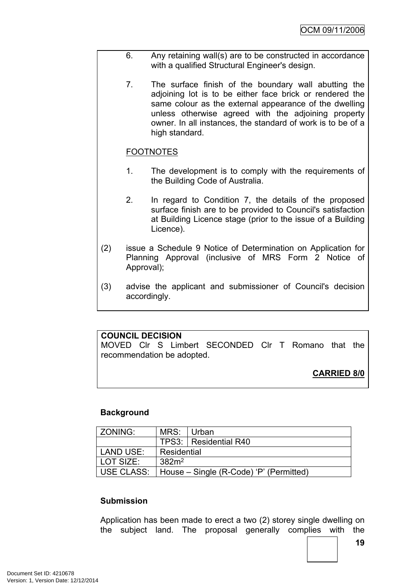- 6. Any retaining wall(s) are to be constructed in accordance with a qualified Structural Engineer's design.
- 7. The surface finish of the boundary wall abutting the adjoining lot is to be either face brick or rendered the same colour as the external appearance of the dwelling unless otherwise agreed with the adjoining property owner. In all instances, the standard of work is to be of a high standard.

# **FOOTNOTES**

- 1. The development is to comply with the requirements of the Building Code of Australia.
- 2. In regard to Condition 7, the details of the proposed surface finish are to be provided to Council's satisfaction at Building Licence stage (prior to the issue of a Building Licence).
- (2) issue a Schedule 9 Notice of Determination on Application for Planning Approval (inclusive of MRS Form 2 Notice of Approval);
- (3) advise the applicant and submissioner of Council's decision accordingly.

# **COUNCIL DECISION**

MOVED Clr S Limbert SECONDED Clr T Romano that the recommendation be adopted.

**CARRIED 8/0**

# **Background**

| ZONING:    | MRS:        | Urban                                   |
|------------|-------------|-----------------------------------------|
|            |             | TPS3:   Residential R40                 |
| LAND USE:  | Residential |                                         |
| LOT SIZE:  | $382m^2$    |                                         |
| USE CLASS: |             | House – Single (R-Code) 'P' (Permitted) |

# **Submission**

Application has been made to erect a two (2) storey single dwelling on the subject land. The proposal generally complies with the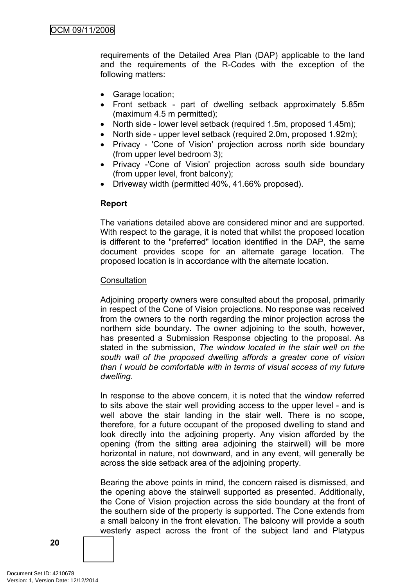requirements of the Detailed Area Plan (DAP) applicable to the land and the requirements of the R-Codes with the exception of the following matters:

- Garage location;
- Front setback part of dwelling setback approximately 5.85m (maximum 4.5 m permitted);
- North side lower level setback (required 1.5m, proposed 1.45m);
- North side upper level setback (required 2.0m, proposed 1.92m);
- Privacy 'Cone of Vision' projection across north side boundary (from upper level bedroom 3);
- Privacy -'Cone of Vision' projection across south side boundary (from upper level, front balcony);
- Driveway width (permitted 40%, 41.66% proposed).

### **Report**

The variations detailed above are considered minor and are supported. With respect to the garage, it is noted that whilst the proposed location is different to the "preferred" location identified in the DAP, the same document provides scope for an alternate garage location. The proposed location is in accordance with the alternate location.

### **Consultation**

Adjoining property owners were consulted about the proposal, primarily in respect of the Cone of Vision projections. No response was received from the owners to the north regarding the minor projection across the northern side boundary. The owner adjoining to the south, however, has presented a Submission Response objecting to the proposal. As stated in the submission, *The window located in the stair well on the south wall of the proposed dwelling affords a greater cone of vision than I would be comfortable with in terms of visual access of my future dwelling.*

In response to the above concern, it is noted that the window referred to sits above the stair well providing access to the upper level - and is well above the stair landing in the stair well. There is no scope, therefore, for a future occupant of the proposed dwelling to stand and look directly into the adjoining property. Any vision afforded by the opening (from the sitting area adjoining the stairwell) will be more horizontal in nature, not downward, and in any event, will generally be across the side setback area of the adjoining property.

Bearing the above points in mind, the concern raised is dismissed, and the opening above the stairwell supported as presented. Additionally, the Cone of Vision projection across the side boundary at the front of the southern side of the property is supported. The Cone extends from a small balcony in the front elevation. The balcony will provide a south westerly aspect across the front of the subject land and Platypus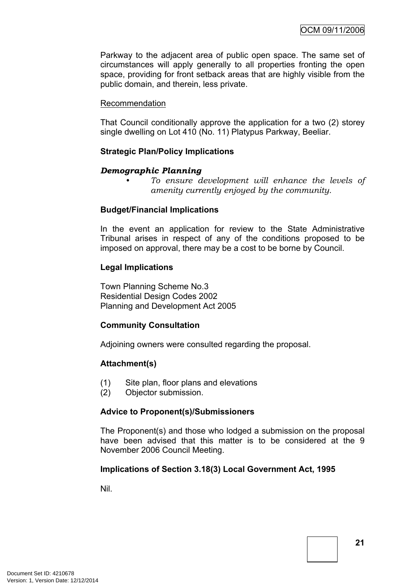Parkway to the adjacent area of public open space. The same set of circumstances will apply generally to all properties fronting the open space, providing for front setback areas that are highly visible from the public domain, and therein, less private.

### Recommendation

That Council conditionally approve the application for a two (2) storey single dwelling on Lot 410 (No. 11) Platypus Parkway, Beeliar.

# **Strategic Plan/Policy Implications**

### *Demographic Planning*

*• To ensure development will enhance the levels of amenity currently enjoyed by the community.*

# **Budget/Financial Implications**

In the event an application for review to the State Administrative Tribunal arises in respect of any of the conditions proposed to be imposed on approval, there may be a cost to be borne by Council.

### **Legal Implications**

Town Planning Scheme No.3 Residential Design Codes 2002 Planning and Development Act 2005

### **Community Consultation**

Adjoining owners were consulted regarding the proposal.

### **Attachment(s)**

- (1) Site plan, floor plans and elevations
- (2) Objector submission.

### **Advice to Proponent(s)/Submissioners**

The Proponent(s) and those who lodged a submission on the proposal have been advised that this matter is to be considered at the 9 November 2006 Council Meeting.

### **Implications of Section 3.18(3) Local Government Act, 1995**

Nil.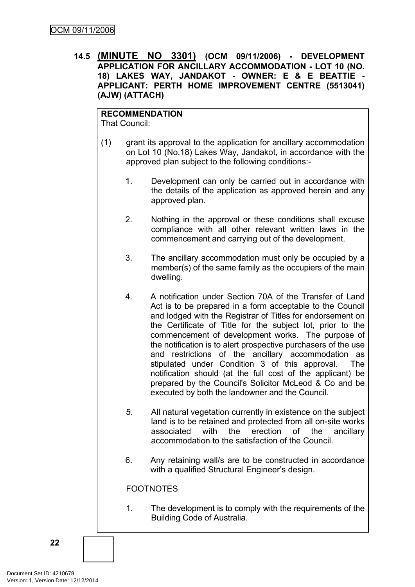<span id="page-25-0"></span>**14.5 (MINUTE NO 3301) (OCM 09/11/2006) - DEVELOPMENT APPLICATION FOR ANCILLARY ACCOMMODATION - LOT 10 (NO. 18) LAKES WAY, JANDAKOT - OWNER: E & E BEATTIE - APPLICANT: PERTH HOME IMPROVEMENT CENTRE (5513041) (AJW) (ATTACH)**

# **RECOMMENDATION**

That Council:

- (1) grant its approval to the application for ancillary accommodation on Lot 10 (No.18) Lakes Way, Jandakot, in accordance with the approved plan subject to the following conditions:-
	- 1. Development can only be carried out in accordance with the details of the application as approved herein and any approved plan.
	- 2. Nothing in the approval or these conditions shall excuse compliance with all other relevant written laws in the commencement and carrying out of the development.
	- 3. The ancillary accommodation must only be occupied by a member(s) of the same family as the occupiers of the main dwelling.
	- 4. A notification under Section 70A of the Transfer of Land Act is to be prepared in a form acceptable to the Council and lodged with the Registrar of Titles for endorsement on the Certificate of Title for the subject lot, prior to the commencement of development works. The purpose of the notification is to alert prospective purchasers of the use and restrictions of the ancillary accommodation as stipulated under Condition 3 of this approval. The notification should (at the full cost of the applicant) be prepared by the Council's Solicitor McLeod & Co and be executed by both the landowner and the Council.
	- 5. All natural vegetation currently in existence on the subject land is to be retained and protected from all on-site works associated with the erection of the ancillary accommodation to the satisfaction of the Council.
	- 6. Any retaining wall/s are to be constructed in accordance with a qualified Structural Engineer's design.

# FOOTNOTES

1. The development is to comply with the requirements of the Building Code of Australia.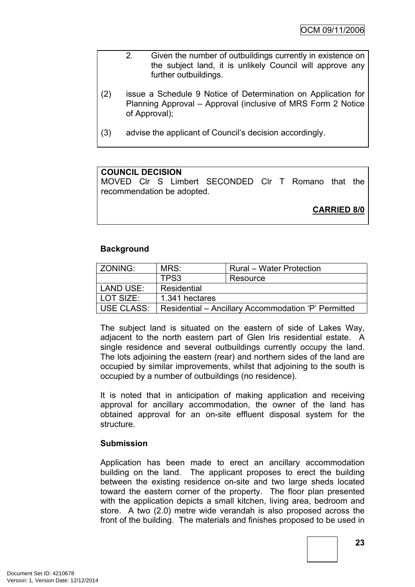- 2. Given the number of outbuildings currently in existence on the subject land, it is unlikely Council will approve any further outbuildings.
- (2) issue a Schedule 9 Notice of Determination on Application for Planning Approval – Approval (inclusive of MRS Form 2 Notice of Approval);
- (3) advise the applicant of Council's decision accordingly.

# **COUNCIL DECISION**

MOVED Clr S Limbert SECONDED Clr T Romano that the recommendation be adopted.

**CARRIED 8/0**

# **Background**

| ZONING:                     | MRS:                                                | <b>Rural – Water Protection</b> |  |
|-----------------------------|-----------------------------------------------------|---------------------------------|--|
|                             | TPS3                                                | Resource                        |  |
| LAND USE:<br>Residential    |                                                     |                                 |  |
| LOT SIZE:<br>1.341 hectares |                                                     |                                 |  |
| USE CLASS:                  | Residential – Ancillary Accommodation 'P' Permitted |                                 |  |

The subject land is situated on the eastern of side of Lakes Way, adjacent to the north eastern part of Glen Iris residential estate. A single residence and several outbuildings currently occupy the land. The lots adjoining the eastern (rear) and northern sides of the land are occupied by similar improvements, whilst that adjoining to the south is occupied by a number of outbuildings (no residence).

It is noted that in anticipation of making application and receiving approval for ancillary accommodation, the owner of the land has obtained approval for an on-site effluent disposal system for the structure.

### **Submission**

Application has been made to erect an ancillary accommodation building on the land. The applicant proposes to erect the building between the existing residence on-site and two large sheds located toward the eastern corner of the property. The floor plan presented with the application depicts a small kitchen, living area, bedroom and store. A two (2.0) metre wide verandah is also proposed across the front of the building. The materials and finishes proposed to be used in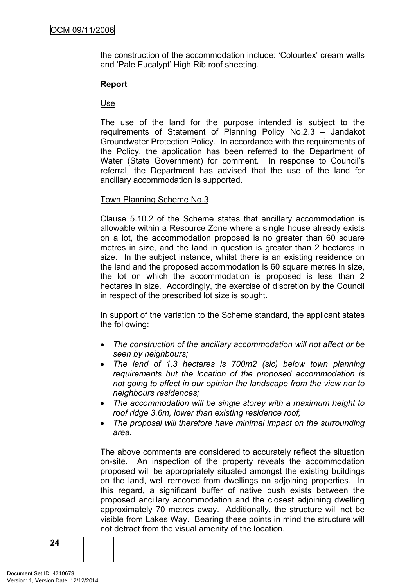the construction of the accommodation include: 'Colourtex' cream walls and 'Pale Eucalypt' High Rib roof sheeting.

# **Report**

### Use

The use of the land for the purpose intended is subject to the requirements of Statement of Planning Policy No.2.3 – Jandakot Groundwater Protection Policy. In accordance with the requirements of the Policy, the application has been referred to the Department of Water (State Government) for comment. In response to Council's referral, the Department has advised that the use of the land for ancillary accommodation is supported.

### Town Planning Scheme No.3

Clause 5.10.2 of the Scheme states that ancillary accommodation is allowable within a Resource Zone where a single house already exists on a lot, the accommodation proposed is no greater than 60 square metres in size, and the land in question is greater than 2 hectares in size. In the subject instance, whilst there is an existing residence on the land and the proposed accommodation is 60 square metres in size, the lot on which the accommodation is proposed is less than 2 hectares in size. Accordingly, the exercise of discretion by the Council in respect of the prescribed lot size is sought.

In support of the variation to the Scheme standard, the applicant states the following:

- *The construction of the ancillary accommodation will not affect or be seen by neighbours;*
- *The land of 1.3 hectares is 700m2 (sic) below town planning requirements but the location of the proposed accommodation is not going to affect in our opinion the landscape from the view nor to neighbours residences;*
- *The accommodation will be single storey with a maximum height to roof ridge 3.6m, lower than existing residence roof;*
- *The proposal will therefore have minimal impact on the surrounding area.*

The above comments are considered to accurately reflect the situation on-site. An inspection of the property reveals the accommodation proposed will be appropriately situated amongst the existing buildings on the land, well removed from dwellings on adjoining properties. In this regard, a significant buffer of native bush exists between the proposed ancillary accommodation and the closest adjoining dwelling approximately 70 metres away. Additionally, the structure will not be visible from Lakes Way. Bearing these points in mind the structure will not detract from the visual amenity of the location.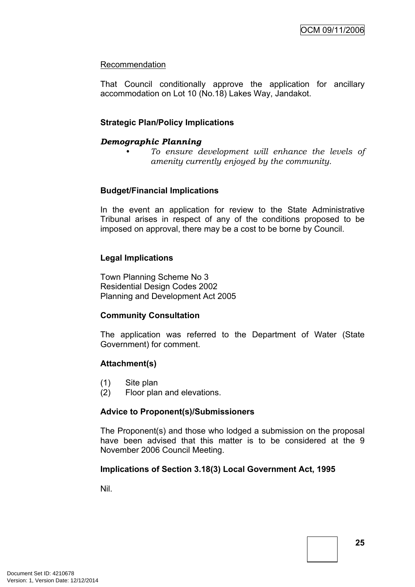### Recommendation

That Council conditionally approve the application for ancillary accommodation on Lot 10 (No.18) Lakes Way, Jandakot.

### **Strategic Plan/Policy Implications**

### *Demographic Planning*

*• To ensure development will enhance the levels of amenity currently enjoyed by the community.*

#### **Budget/Financial Implications**

In the event an application for review to the State Administrative Tribunal arises in respect of any of the conditions proposed to be imposed on approval, there may be a cost to be borne by Council.

### **Legal Implications**

Town Planning Scheme No 3 Residential Design Codes 2002 Planning and Development Act 2005

#### **Community Consultation**

The application was referred to the Department of Water (State Government) for comment.

#### **Attachment(s)**

- (1) Site plan
- (2) Floor plan and elevations.

#### **Advice to Proponent(s)/Submissioners**

The Proponent(s) and those who lodged a submission on the proposal have been advised that this matter is to be considered at the 9 November 2006 Council Meeting.

#### **Implications of Section 3.18(3) Local Government Act, 1995**

Nil.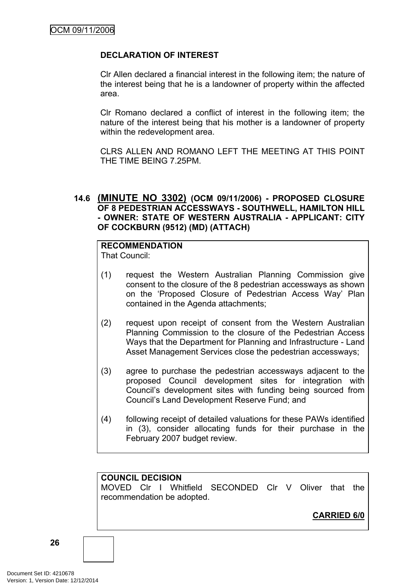# **DECLARATION OF INTEREST**

Clr Allen declared a financial interest in the following item; the nature of the interest being that he is a landowner of property within the affected area.

Clr Romano declared a conflict of interest in the following item; the nature of the interest being that his mother is a landowner of property within the redevelopment area.

CLRS ALLEN AND ROMANO LEFT THE MEETING AT THIS POINT THE TIME BEING 7.25PM.

# <span id="page-29-0"></span>**14.6 (MINUTE NO 3302) (OCM 09/11/2006) - PROPOSED CLOSURE OF 8 PEDESTRIAN ACCESSWAYS - SOUTHWELL, HAMILTON HILL - OWNER: STATE OF WESTERN AUSTRALIA - APPLICANT: CITY OF COCKBURN (9512) (MD) (ATTACH)**

#### **RECOMMENDATION** That Council:

- (1) request the Western Australian Planning Commission give consent to the closure of the 8 pedestrian accessways as shown on the 'Proposed Closure of Pedestrian Access Way' Plan contained in the Agenda attachments;
- (2) request upon receipt of consent from the Western Australian Planning Commission to the closure of the Pedestrian Access Ways that the Department for Planning and Infrastructure - Land Asset Management Services close the pedestrian accessways;
- (3) agree to purchase the pedestrian accessways adjacent to the proposed Council development sites for integration with Council's development sites with funding being sourced from Council's Land Development Reserve Fund; and
- (4) following receipt of detailed valuations for these PAWs identified in (3), consider allocating funds for their purchase in the February 2007 budget review.

#### **COUNCIL DECISION**

MOVED Clr I Whitfield SECONDED Clr V Oliver that the recommendation be adopted.

**CARRIED 6/0**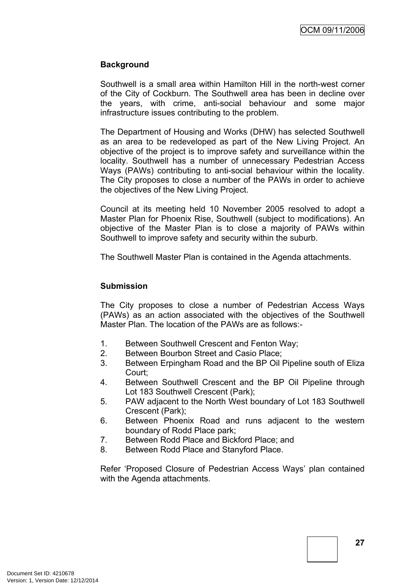### **Background**

Southwell is a small area within Hamilton Hill in the north-west corner of the City of Cockburn. The Southwell area has been in decline over the years, with crime, anti-social behaviour and some major infrastructure issues contributing to the problem.

The Department of Housing and Works (DHW) has selected Southwell as an area to be redeveloped as part of the New Living Project. An objective of the project is to improve safety and surveillance within the locality. Southwell has a number of unnecessary Pedestrian Access Ways (PAWs) contributing to anti-social behaviour within the locality. The City proposes to close a number of the PAWs in order to achieve the objectives of the New Living Project.

Council at its meeting held 10 November 2005 resolved to adopt a Master Plan for Phoenix Rise, Southwell (subject to modifications). An objective of the Master Plan is to close a majority of PAWs within Southwell to improve safety and security within the suburb.

The Southwell Master Plan is contained in the Agenda attachments.

### **Submission**

The City proposes to close a number of Pedestrian Access Ways (PAWs) as an action associated with the objectives of the Southwell Master Plan. The location of the PAWs are as follows:-

- 1. Between Southwell Crescent and Fenton Way;
- 2. Between Bourbon Street and Casio Place;
- 3. Between Erpingham Road and the BP Oil Pipeline south of Eliza Court;
- 4. Between Southwell Crescent and the BP Oil Pipeline through Lot 183 Southwell Crescent (Park);
- 5. PAW adjacent to the North West boundary of Lot 183 Southwell Crescent (Park);
- 6. Between Phoenix Road and runs adjacent to the western boundary of Rodd Place park;
- 7. Between Rodd Place and Bickford Place; and
- 8. Between Rodd Place and Stanyford Place.

Refer 'Proposed Closure of Pedestrian Access Ways' plan contained with the Agenda attachments.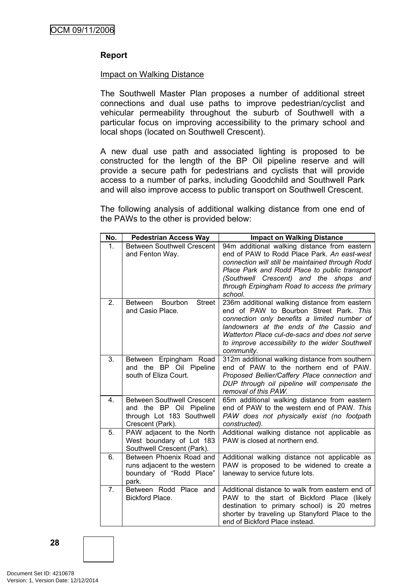### **Report**

#### Impact on Walking Distance

The Southwell Master Plan proposes a number of additional street connections and dual use paths to improve pedestrian/cyclist and vehicular permeability throughout the suburb of Southwell with a particular focus on improving accessibility to the primary school and local shops (located on Southwell Crescent).

A new dual use path and associated lighting is proposed to be constructed for the length of the BP Oil pipeline reserve and will provide a secure path for pedestrians and cyclists that will provide access to a number of parks, including Goodchild and Southwell Park and will also improve access to public transport on Southwell Crescent.

The following analysis of additional walking distance from one end of the PAWs to the other is provided below:

| No.            | <b>Pedestrian Access Way</b>                                                                                  | <b>Impact on Walking Distance</b>                                                                                                                                                                                                                                                                       |
|----------------|---------------------------------------------------------------------------------------------------------------|---------------------------------------------------------------------------------------------------------------------------------------------------------------------------------------------------------------------------------------------------------------------------------------------------------|
| 1 <sub>1</sub> | <b>Between Southwell Crescent</b><br>and Fenton Way.                                                          | 94m additional walking distance from eastern<br>end of PAW to Rodd Place Park. An east-west<br>connection will still be maintained through Rodd<br>Place Park and Rodd Place to public transport<br>(Southwell Crescent) and the shops and<br>through Erpingham Road to access the primary<br>school.   |
| 2.             | Bourbon<br><b>Street</b><br>Between<br>and Casio Place.                                                       | 236m additional walking distance from eastern<br>end of PAW to Bourbon Street Park. This<br>connection only benefits a limited number of<br>landowners at the ends of the Cassio and<br>Watterton Place cul-de-sacs and does not serve<br>to improve accessibility to the wider Southwell<br>community. |
| 3.             | Between Erpingham Road<br>and the BP Oil Pipeline<br>south of Eliza Court.                                    | 312m additional walking distance from southern<br>end of PAW to the northern end of PAW.<br>Proposed Bellier/Caffery Place connection and<br>DUP through oil pipeline will compensate the<br>removal of this PAW.                                                                                       |
| 4.             | <b>Between Southwell Crescent</b><br>and the BP Oil Pipeline<br>through Lot 183 Southwell<br>Crescent (Park). | 65m additional walking distance from eastern<br>end of PAW to the western end of PAW. This<br>PAW does not physically exist (no footpath<br>constructed).                                                                                                                                               |
| 5.             | PAW adjacent to the North<br>West boundary of Lot 183<br>Southwell Crescent (Park).                           | Additional walking distance not applicable as<br>PAW is closed at northern end.                                                                                                                                                                                                                         |
| 6.             | Between Phoenix Road and<br>runs adjacent to the western<br>boundary of "Rodd Place"<br>park.                 | Additional walking distance not applicable as<br>PAW is proposed to be widened to create a<br>laneway to service future lots.                                                                                                                                                                           |
| 7 <sub>1</sub> | Between Rodd Place and<br>Bickford Place.                                                                     | Additional distance to walk from eastern end of<br>PAW to the start of Bickford Place (likely<br>destination to primary school) is 20 metres<br>shorter by traveling up Stanyford Place to the<br>end of Bickford Place instead.                                                                        |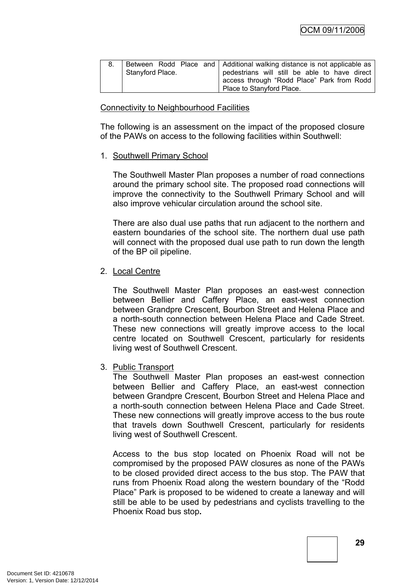|                  |  | Between Rodd Place and Additional walking distance is not applicable as |
|------------------|--|-------------------------------------------------------------------------|
| Stanyford Place. |  | pedestrians will still be able to have direct                           |
|                  |  | access through "Rodd Place" Park from Rodd                              |
|                  |  | Place to Stanvford Place.                                               |

#### Connectivity to Neighbourhood Facilities

The following is an assessment on the impact of the proposed closure of the PAWs on access to the following facilities within Southwell:

### 1. Southwell Primary School

The Southwell Master Plan proposes a number of road connections around the primary school site. The proposed road connections will improve the connectivity to the Southwell Primary School and will also improve vehicular circulation around the school site.

There are also dual use paths that run adjacent to the northern and eastern boundaries of the school site. The northern dual use path will connect with the proposed dual use path to run down the length of the BP oil pipeline.

### 2. Local Centre

The Southwell Master Plan proposes an east-west connection between Bellier and Caffery Place, an east-west connection between Grandpre Crescent, Bourbon Street and Helena Place and a north-south connection between Helena Place and Cade Street. These new connections will greatly improve access to the local centre located on Southwell Crescent, particularly for residents living west of Southwell Crescent.

3. Public Transport

The Southwell Master Plan proposes an east-west connection between Bellier and Caffery Place, an east-west connection between Grandpre Crescent, Bourbon Street and Helena Place and a north-south connection between Helena Place and Cade Street. These new connections will greatly improve access to the bus route that travels down Southwell Crescent, particularly for residents living west of Southwell Crescent.

Access to the bus stop located on Phoenix Road will not be compromised by the proposed PAW closures as none of the PAWs to be closed provided direct access to the bus stop. The PAW that runs from Phoenix Road along the western boundary of the "Rodd Place" Park is proposed to be widened to create a laneway and will still be able to be used by pedestrians and cyclists travelling to the Phoenix Road bus stop**.**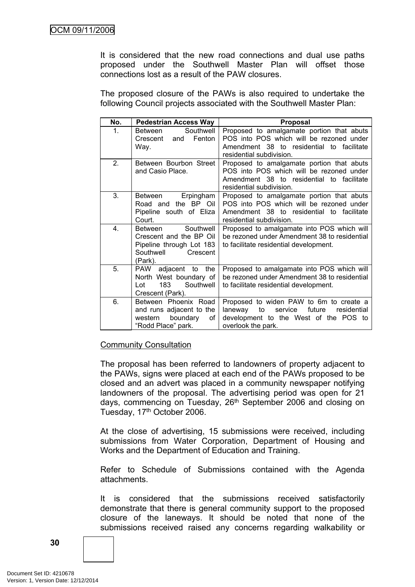It is considered that the new road connections and dual use paths proposed under the Southwell Master Plan will offset those connections lost as a result of the PAW closures.

The proposed closure of the PAWs is also required to undertake the following Council projects associated with the Southwell Master Plan:

| No.            | <b>Pedestrian Access Way</b>                                                                                    | Proposal                                                                                                                                                       |
|----------------|-----------------------------------------------------------------------------------------------------------------|----------------------------------------------------------------------------------------------------------------------------------------------------------------|
| 1.             | Southwell<br><b>Between</b><br>Fenton<br>Crescent<br>and<br>Way.                                                | Proposed to amalgamate portion that abuts<br>POS into POS which will be rezoned under<br>Amendment 38 to residential to facilitate<br>residential subdivision. |
| 2.             | Between Bourbon Street<br>and Casio Place.                                                                      | Proposed to amalgamate portion that abuts<br>POS into POS which will be rezoned under<br>Amendment 38 to residential to facilitate<br>residential subdivision. |
| 3.             | Erpingham $ $<br>Between<br>Road and the BP Oil<br>Pipeline south of Eliza<br>Court.                            | Proposed to amalgamate portion that abuts<br>POS into POS which will be rezoned under<br>Amendment 38 to residential to facilitate<br>residential subdivision. |
| 4 <sup>1</sup> | Southwell<br>Between<br>Crescent and the BP Oil<br>Pipeline through Lot 183<br>Southwell<br>Crescent<br>(Park). | Proposed to amalgamate into POS which will<br>be rezoned under Amendment 38 to residential<br>to facilitate residential development.                           |
| 5.             | PAW adjacent to the<br>North West boundary of<br>183<br>Southwell<br>Lot<br>Crescent (Park).                    | Proposed to amalgamate into POS which will<br>be rezoned under Amendment 38 to residential<br>to facilitate residential development.                           |
| 6.             | Between Phoenix Road<br>and runs adjacent to the<br>western<br>boundary<br>of<br>"Rodd Place" park.             | Proposed to widen PAW to 6m to create a<br>to to<br>service<br>future<br>laneway<br>residential<br>development to the West of the POS to<br>overlook the park. |

### Community Consultation

The proposal has been referred to landowners of property adjacent to the PAWs, signs were placed at each end of the PAWs proposed to be closed and an advert was placed in a community newspaper notifying landowners of the proposal. The advertising period was open for 21 days, commencing on Tuesday, 26<sup>th</sup> September 2006 and closing on Tuesday, 17<sup>th</sup> October 2006.

At the close of advertising, 15 submissions were received, including submissions from Water Corporation, Department of Housing and Works and the Department of Education and Training.

Refer to Schedule of Submissions contained with the Agenda attachments.

It is considered that the submissions received satisfactorily demonstrate that there is general community support to the proposed closure of the laneways. It should be noted that none of the submissions received raised any concerns regarding walkability or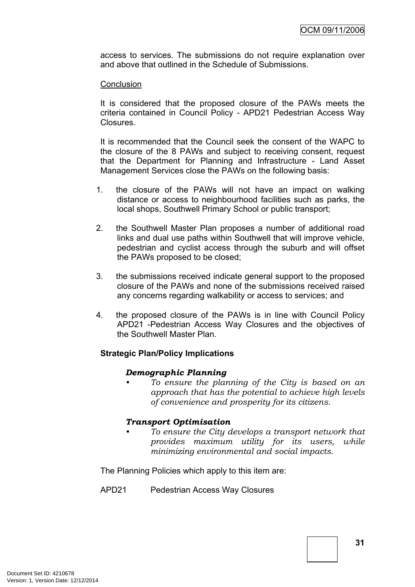access to services. The submissions do not require explanation over and above that outlined in the Schedule of Submissions.

#### **Conclusion**

It is considered that the proposed closure of the PAWs meets the criteria contained in Council Policy - APD21 Pedestrian Access Way Closures.

It is recommended that the Council seek the consent of the WAPC to the closure of the 8 PAWs and subject to receiving consent, request that the Department for Planning and Infrastructure - Land Asset Management Services close the PAWs on the following basis:

- 1. the closure of the PAWs will not have an impact on walking distance or access to neighbourhood facilities such as parks, the local shops, Southwell Primary School or public transport;
- 2. the Southwell Master Plan proposes a number of additional road links and dual use paths within Southwell that will improve vehicle, pedestrian and cyclist access through the suburb and will offset the PAWs proposed to be closed;
- 3. the submissions received indicate general support to the proposed closure of the PAWs and none of the submissions received raised any concerns regarding walkability or access to services; and
- 4. the proposed closure of the PAWs is in line with Council Policy APD21 -Pedestrian Access Way Closures and the objectives of the Southwell Master Plan.

### **Strategic Plan/Policy Implications**

#### *Demographic Planning*

*• To ensure the planning of the City is based on an approach that has the potential to achieve high levels of convenience and prosperity for its citizens.*

#### *Transport Optimisation*

*• To ensure the City develops a transport network that provides maximum utility for its users, while minimizing environmental and social impacts.*

The Planning Policies which apply to this item are:

APD21 Pedestrian Access Way Closures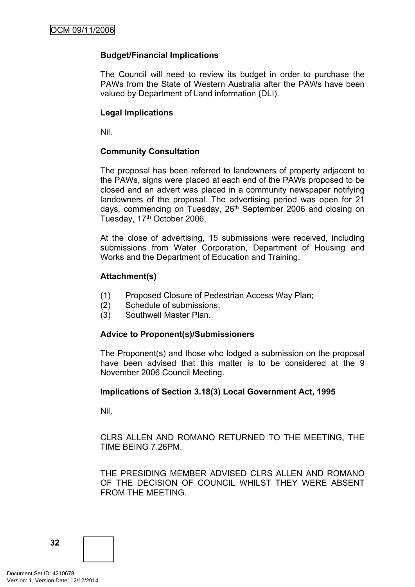# **Budget/Financial Implications**

The Council will need to review its budget in order to purchase the PAWs from the State of Western Australia after the PAWs have been valued by Department of Land information (DLI).

### **Legal Implications**

Nil.

### **Community Consultation**

The proposal has been referred to landowners of property adjacent to the PAWs, signs were placed at each end of the PAWs proposed to be closed and an advert was placed in a community newspaper notifying landowners of the proposal. The advertising period was open for 21 days, commencing on Tuesday, 26<sup>th</sup> September 2006 and closing on Tuesday, 17<sup>th</sup> October 2006.

At the close of advertising, 15 submissions were received, including submissions from Water Corporation, Department of Housing and Works and the Department of Education and Training.

# **Attachment(s)**

- (1) Proposed Closure of Pedestrian Access Way Plan;
- (2) Schedule of submissions;
- (3) Southwell Master Plan.

### **Advice to Proponent(s)/Submissioners**

The Proponent(s) and those who lodged a submission on the proposal have been advised that this matter is to be considered at the 9 November 2006 Council Meeting.

### **Implications of Section 3.18(3) Local Government Act, 1995**

Nil.

CLRS ALLEN AND ROMANO RETURNED TO THE MEETING, THE TIME BEING 7.26PM.

THE PRESIDING MEMBER ADVISED CLRS ALLEN AND ROMANO OF THE DECISION OF COUNCIL WHILST THEY WERE ABSENT FROM THE MEETING.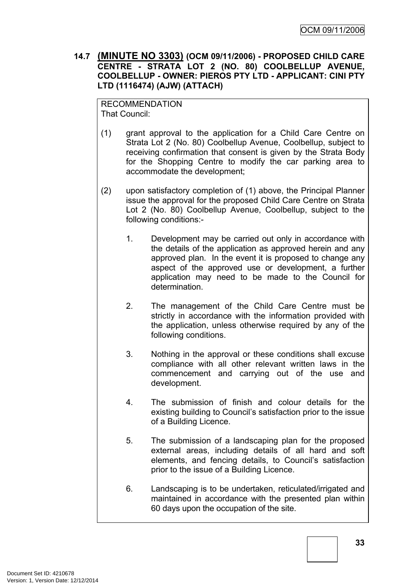### **14.7 (MINUTE NO 3303) (OCM 09/11/2006) - PROPOSED CHILD CARE CENTRE - STRATA LOT 2 (NO. 80) COOLBELLUP AVENUE, COOLBELLUP - OWNER: PIEROS PTY LTD - APPLICANT: CINI PTY LTD (1116474) (AJW) (ATTACH)**

RECOMMENDATION That Council:

- (1) grant approval to the application for a Child Care Centre on Strata Lot 2 (No. 80) Coolbellup Avenue, Coolbellup, subject to receiving confirmation that consent is given by the Strata Body for the Shopping Centre to modify the car parking area to accommodate the development;
- (2) upon satisfactory completion of (1) above, the Principal Planner issue the approval for the proposed Child Care Centre on Strata Lot 2 (No. 80) Coolbellup Avenue, Coolbellup, subject to the following conditions:-
	- 1. Development may be carried out only in accordance with the details of the application as approved herein and any approved plan. In the event it is proposed to change any aspect of the approved use or development, a further application may need to be made to the Council for determination.
	- 2. The management of the Child Care Centre must be strictly in accordance with the information provided with the application, unless otherwise required by any of the following conditions.
	- 3. Nothing in the approval or these conditions shall excuse compliance with all other relevant written laws in the commencement and carrying out of the use and development.
	- 4. The submission of finish and colour details for the existing building to Council's satisfaction prior to the issue of a Building Licence.
	- 5. The submission of a landscaping plan for the proposed external areas, including details of all hard and soft elements, and fencing details, to Council's satisfaction prior to the issue of a Building Licence.
	- 6. Landscaping is to be undertaken, reticulated/irrigated and maintained in accordance with the presented plan within 60 days upon the occupation of the site.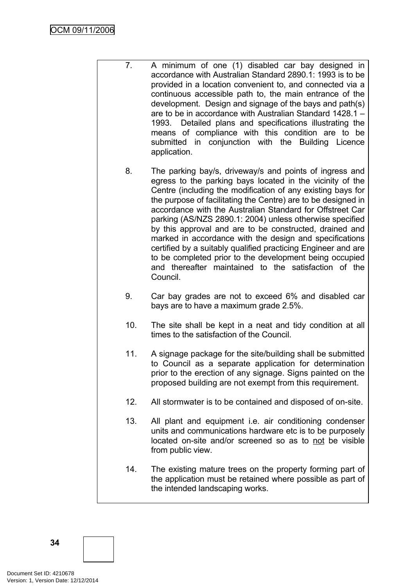- 7. A minimum of one (1) disabled car bay designed in accordance with Australian Standard 2890.1: 1993 is to be provided in a location convenient to, and connected via a continuous accessible path to, the main entrance of the development. Design and signage of the bays and path(s) are to be in accordance with Australian Standard 1428.1 – 1993. Detailed plans and specifications illustrating the means of compliance with this condition are to be submitted in conjunction with the Building Licence application.
	- 8. The parking bay/s, driveway/s and points of ingress and egress to the parking bays located in the vicinity of the Centre (including the modification of any existing bays for the purpose of facilitating the Centre) are to be designed in accordance with the Australian Standard for Offstreet Car parking (AS/NZS 2890.1: 2004) unless otherwise specified by this approval and are to be constructed, drained and marked in accordance with the design and specifications certified by a suitably qualified practicing Engineer and are to be completed prior to the development being occupied and thereafter maintained to the satisfaction of the Council.
	- 9. Car bay grades are not to exceed 6% and disabled car bays are to have a maximum grade 2.5%.
	- 10. The site shall be kept in a neat and tidy condition at all times to the satisfaction of the Council.
	- 11. A signage package for the site/building shall be submitted to Council as a separate application for determination prior to the erection of any signage. Signs painted on the proposed building are not exempt from this requirement.
	- 12. All stormwater is to be contained and disposed of on-site.
	- 13. All plant and equipment i.e. air conditioning condenser units and communications hardware etc is to be purposely located on-site and/or screened so as to not be visible from public view.
	- 14. The existing mature trees on the property forming part of the application must be retained where possible as part of the intended landscaping works.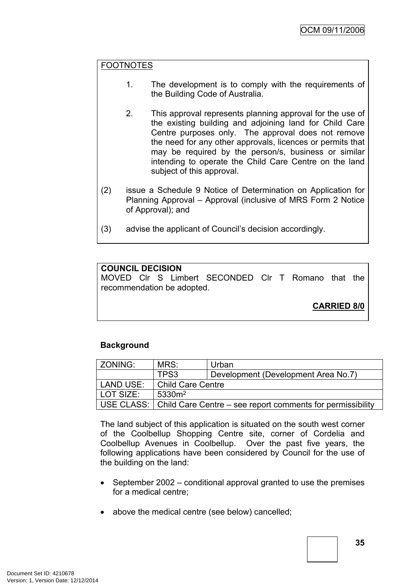# FOOTNOTES

- 1. The development is to comply with the requirements of the Building Code of Australia.
- 2. This approval represents planning approval for the use of the existing building and adjoining land for Child Care Centre purposes only. The approval does not remove the need for any other approvals, licences or permits that may be required by the person/s, business or similar intending to operate the Child Care Centre on the land subject of this approval.
- (2) issue a Schedule 9 Notice of Determination on Application for Planning Approval – Approval (inclusive of MRS Form 2 Notice of Approval); and
- (3) advise the applicant of Council's decision accordingly.

# **COUNCIL DECISION**

MOVED Clr S Limbert SECONDED Clr T Romano that the recommendation be adopted.

**CARRIED 8/0**

# **Background**

| ZONING:   | MRS:                                                                    | Urban                               |  |
|-----------|-------------------------------------------------------------------------|-------------------------------------|--|
|           | TPS3                                                                    | Development (Development Area No.7) |  |
| LAND USE: | Child Care Centre                                                       |                                     |  |
| LOT SIZE: | 5330m <sup>2</sup>                                                      |                                     |  |
|           | USE CLASS:   Child Care Centre – see report comments for permissibility |                                     |  |

The land subject of this application is situated on the south west corner of the Coolbellup Shopping Centre site, corner of Cordelia and Coolbellup Avenues in Coolbellup. Over the past five years, the following applications have been considered by Council for the use of the building on the land:

- September 2002 conditional approval granted to use the premises for a medical centre;
- above the medical centre (see below) cancelled;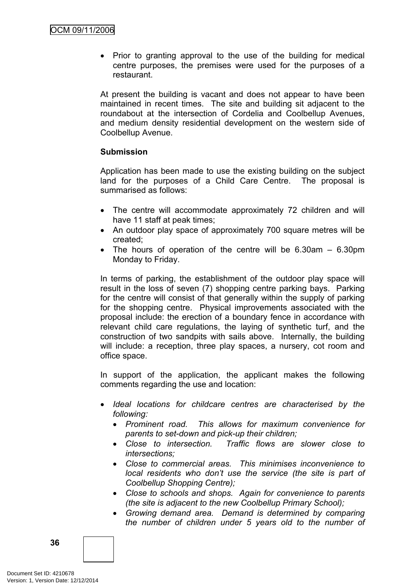• Prior to granting approval to the use of the building for medical centre purposes, the premises were used for the purposes of a restaurant.

At present the building is vacant and does not appear to have been maintained in recent times. The site and building sit adjacent to the roundabout at the intersection of Cordelia and Coolbellup Avenues, and medium density residential development on the western side of Coolbellup Avenue.

# **Submission**

Application has been made to use the existing building on the subject land for the purposes of a Child Care Centre. The proposal is summarised as follows:

- The centre will accommodate approximately 72 children and will have 11 staff at peak times;
- An outdoor play space of approximately 700 square metres will be created;
- The hours of operation of the centre will be 6.30am 6.30pm Monday to Friday.

In terms of parking, the establishment of the outdoor play space will result in the loss of seven (7) shopping centre parking bays. Parking for the centre will consist of that generally within the supply of parking for the shopping centre. Physical improvements associated with the proposal include: the erection of a boundary fence in accordance with relevant child care regulations, the laying of synthetic turf, and the construction of two sandpits with sails above. Internally, the building will include: a reception, three play spaces, a nursery, cot room and office space.

In support of the application, the applicant makes the following comments regarding the use and location:

- *Ideal locations for childcare centres are characterised by the following:*
	- *Prominent road. This allows for maximum convenience for parents to set-down and pick-up their children;*
	- *Close to intersection. Traffic flows are slower close to intersections;*
	- *Close to commercial areas. This minimises inconvenience to local residents who don't use the service (the site is part of Coolbellup Shopping Centre);*
	- *Close to schools and shops. Again for convenience to parents (the site is adjacent to the new Coolbellup Primary School);*
	- *Growing demand area. Demand is determined by comparing the number of children under 5 years old to the number of*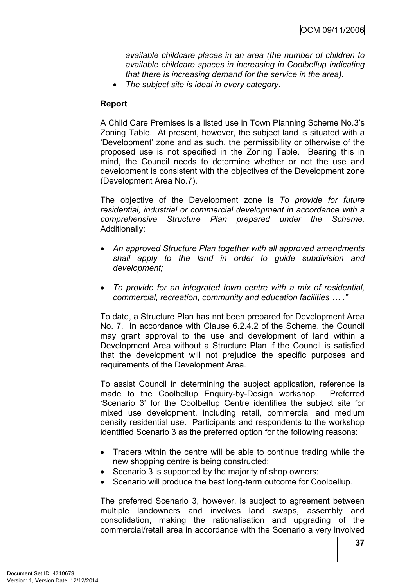*available childcare places in an area (the number of children to available childcare spaces in increasing in Coolbellup indicating that there is increasing demand for the service in the area).*

*The subject site is ideal in every category.*

# **Report**

A Child Care Premises is a listed use in Town Planning Scheme No.3's Zoning Table. At present, however, the subject land is situated with a 'Development' zone and as such, the permissibility or otherwise of the proposed use is not specified in the Zoning Table. Bearing this in mind, the Council needs to determine whether or not the use and development is consistent with the objectives of the Development zone (Development Area No.7).

The objective of the Development zone is *To provide for future residential, industrial or commercial development in accordance with a comprehensive Structure Plan prepared under the Scheme.* Additionally:

- *An approved Structure Plan together with all approved amendments shall apply to the land in order to guide subdivision and development;*
- *To provide for an integrated town centre with a mix of residential, commercial, recreation, community and education facilities … ."*

To date, a Structure Plan has not been prepared for Development Area No. 7. In accordance with Clause 6.2.4.2 of the Scheme, the Council may grant approval to the use and development of land within a Development Area without a Structure Plan if the Council is satisfied that the development will not prejudice the specific purposes and requirements of the Development Area.

To assist Council in determining the subject application, reference is made to the Coolbellup Enquiry-by-Design workshop. Preferred 'Scenario 3' for the Coolbellup Centre identifies the subject site for mixed use development, including retail, commercial and medium density residential use. Participants and respondents to the workshop identified Scenario 3 as the preferred option for the following reasons:

- Traders within the centre will be able to continue trading while the new shopping centre is being constructed;
- Scenario 3 is supported by the majority of shop owners;
- Scenario will produce the best long-term outcome for Coolbellup.

The preferred Scenario 3, however, is subject to agreement between multiple landowners and involves land swaps, assembly and consolidation, making the rationalisation and upgrading of the commercial/retail area in accordance with the Scenario a very involved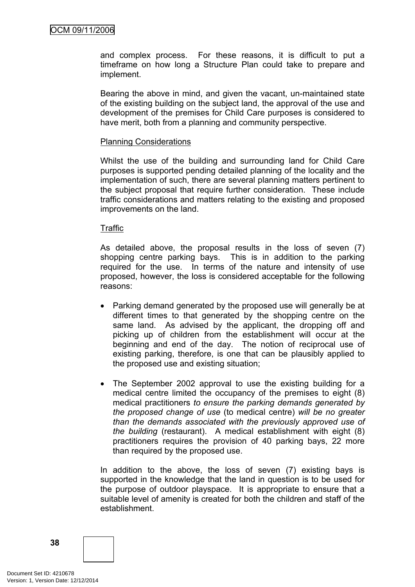and complex process. For these reasons, it is difficult to put a timeframe on how long a Structure Plan could take to prepare and implement.

Bearing the above in mind, and given the vacant, un-maintained state of the existing building on the subject land, the approval of the use and development of the premises for Child Care purposes is considered to have merit, both from a planning and community perspective.

### Planning Considerations

Whilst the use of the building and surrounding land for Child Care purposes is supported pending detailed planning of the locality and the implementation of such, there are several planning matters pertinent to the subject proposal that require further consideration. These include traffic considerations and matters relating to the existing and proposed improvements on the land.

### **Traffic**

As detailed above, the proposal results in the loss of seven (7) shopping centre parking bays. This is in addition to the parking required for the use. In terms of the nature and intensity of use proposed, however, the loss is considered acceptable for the following reasons:

- Parking demand generated by the proposed use will generally be at different times to that generated by the shopping centre on the same land. As advised by the applicant, the dropping off and picking up of children from the establishment will occur at the beginning and end of the day. The notion of reciprocal use of existing parking, therefore, is one that can be plausibly applied to the proposed use and existing situation;
- The September 2002 approval to use the existing building for a medical centre limited the occupancy of the premises to eight (8) medical practitioners *to ensure the parking demands generated by the proposed change of use* (to medical centre) *will be no greater than the demands associated with the previously approved use of the building* (restaurant). A medical establishment with eight (8) practitioners requires the provision of 40 parking bays, 22 more than required by the proposed use.

In addition to the above, the loss of seven (7) existing bays is supported in the knowledge that the land in question is to be used for the purpose of outdoor playspace. It is appropriate to ensure that a suitable level of amenity is created for both the children and staff of the establishment.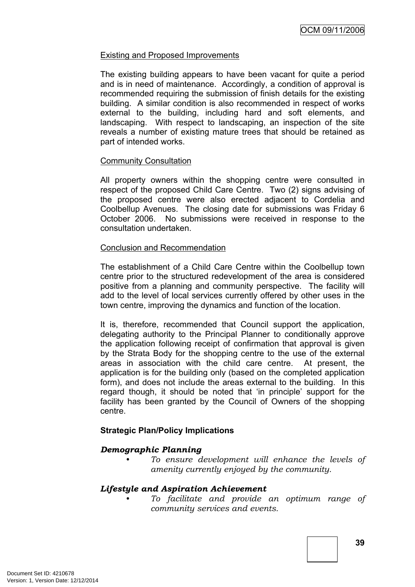### Existing and Proposed Improvements

The existing building appears to have been vacant for quite a period and is in need of maintenance. Accordingly, a condition of approval is recommended requiring the submission of finish details for the existing building. A similar condition is also recommended in respect of works external to the building, including hard and soft elements, and landscaping. With respect to landscaping, an inspection of the site reveals a number of existing mature trees that should be retained as part of intended works.

### Community Consultation

All property owners within the shopping centre were consulted in respect of the proposed Child Care Centre. Two (2) signs advising of the proposed centre were also erected adjacent to Cordelia and Coolbellup Avenues. The closing date for submissions was Friday 6 October 2006. No submissions were received in response to the consultation undertaken.

### Conclusion and Recommendation

The establishment of a Child Care Centre within the Coolbellup town centre prior to the structured redevelopment of the area is considered positive from a planning and community perspective. The facility will add to the level of local services currently offered by other uses in the town centre, improving the dynamics and function of the location.

It is, therefore, recommended that Council support the application, delegating authority to the Principal Planner to conditionally approve the application following receipt of confirmation that approval is given by the Strata Body for the shopping centre to the use of the external areas in association with the child care centre. At present, the application is for the building only (based on the completed application form), and does not include the areas external to the building. In this regard though, it should be noted that 'in principle' support for the facility has been granted by the Council of Owners of the shopping centre.

### **Strategic Plan/Policy Implications**

### *Demographic Planning*

*• To ensure development will enhance the levels of amenity currently enjoyed by the community.*

### *Lifestyle and Aspiration Achievement*

*• To facilitate and provide an optimum range of community services and events.*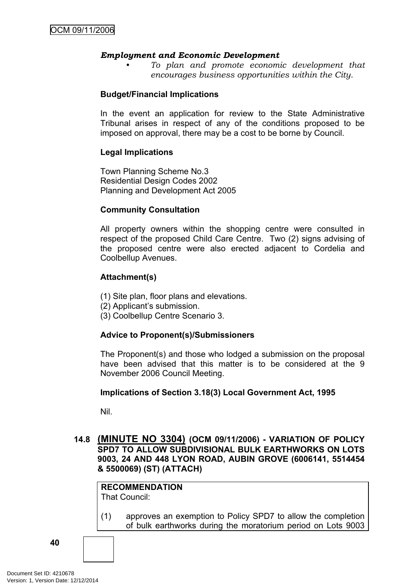### *Employment and Economic Development*

*• To plan and promote economic development that encourages business opportunities within the City.*

### **Budget/Financial Implications**

In the event an application for review to the State Administrative Tribunal arises in respect of any of the conditions proposed to be imposed on approval, there may be a cost to be borne by Council.

### **Legal Implications**

Town Planning Scheme No.3 Residential Design Codes 2002 Planning and Development Act 2005

### **Community Consultation**

All property owners within the shopping centre were consulted in respect of the proposed Child Care Centre. Two (2) signs advising of the proposed centre were also erected adjacent to Cordelia and Coolbellup Avenues.

### **Attachment(s)**

- (1) Site plan, floor plans and elevations.
- (2) Applicant's submission.
- (3) Coolbellup Centre Scenario 3.

### **Advice to Proponent(s)/Submissioners**

The Proponent(s) and those who lodged a submission on the proposal have been advised that this matter is to be considered at the 9 November 2006 Council Meeting.

#### **Implications of Section 3.18(3) Local Government Act, 1995**

Nil.

**14.8 (MINUTE NO 3304) (OCM 09/11/2006) - VARIATION OF POLICY SPD7 TO ALLOW SUBDIVISIONAL BULK EARTHWORKS ON LOTS 9003, 24 AND 448 LYON ROAD, AUBIN GROVE (6006141, 5514454 & 5500069) (ST) (ATTACH)**

**RECOMMENDATION** That Council:

(1) approves an exemption to Policy SPD7 to allow the completion of bulk earthworks during the moratorium period on Lots 9003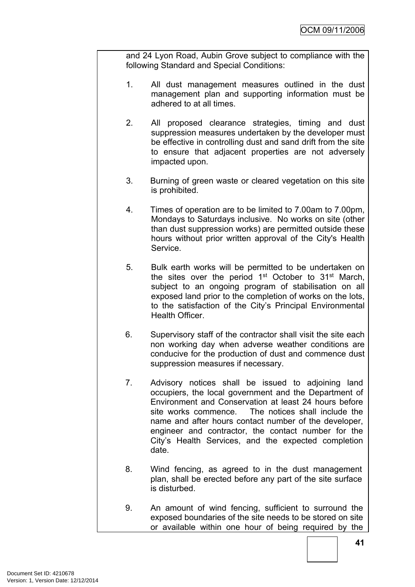and 24 Lyon Road, Aubin Grove subject to compliance with the following Standard and Special Conditions:

- 1. All dust management measures outlined in the dust management plan and supporting information must be adhered to at all times.
- 2. All proposed clearance strategies, timing and dust suppression measures undertaken by the developer must be effective in controlling dust and sand drift from the site to ensure that adjacent properties are not adversely impacted upon.
- 3. Burning of green waste or cleared vegetation on this site is prohibited.
- 4. Times of operation are to be limited to 7.00am to 7.00pm, Mondays to Saturdays inclusive. No works on site (other than dust suppression works) are permitted outside these hours without prior written approval of the City's Health Service.
- 5. Bulk earth works will be permitted to be undertaken on the sites over the period 1<sup>st</sup> October to 31<sup>st</sup> March, subject to an ongoing program of stabilisation on all exposed land prior to the completion of works on the lots, to the satisfaction of the City's Principal Environmental Health Officer.
- 6. Supervisory staff of the contractor shall visit the site each non working day when adverse weather conditions are conducive for the production of dust and commence dust suppression measures if necessary.
- 7. Advisory notices shall be issued to adjoining land occupiers, the local government and the Department of Environment and Conservation at least 24 hours before site works commence. The notices shall include the name and after hours contact number of the developer, engineer and contractor, the contact number for the City's Health Services, and the expected completion date.
- 8. Wind fencing, as agreed to in the dust management plan, shall be erected before any part of the site surface is disturbed.
- 9. An amount of wind fencing, sufficient to surround the exposed boundaries of the site needs to be stored on site or available within one hour of being required by the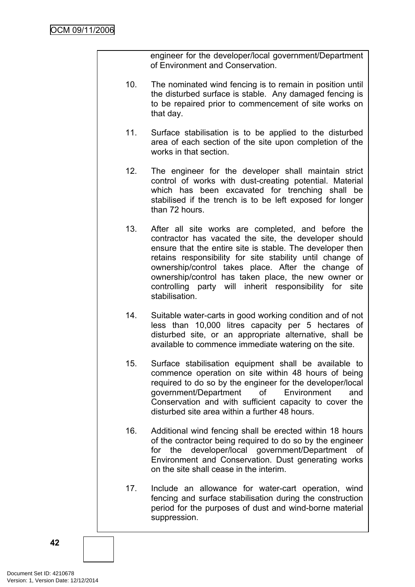engineer for the developer/local government/Department of Environment and Conservation.

- 10. The nominated wind fencing is to remain in position until the disturbed surface is stable. Any damaged fencing is to be repaired prior to commencement of site works on that day.
- 11. Surface stabilisation is to be applied to the disturbed area of each section of the site upon completion of the works in that section.
- 12. The engineer for the developer shall maintain strict control of works with dust-creating potential. Material which has been excavated for trenching shall be stabilised if the trench is to be left exposed for longer than 72 hours.
- 13. After all site works are completed, and before the contractor has vacated the site, the developer should ensure that the entire site is stable. The developer then retains responsibility for site stability until change of ownership/control takes place. After the change of ownership/control has taken place, the new owner or controlling party will inherit responsibility for site stabilisation.
- 14. Suitable water-carts in good working condition and of not less than 10,000 litres capacity per 5 hectares of disturbed site, or an appropriate alternative, shall be available to commence immediate watering on the site.
- 15. Surface stabilisation equipment shall be available to commence operation on site within 48 hours of being required to do so by the engineer for the developer/local government/Department of Environment and Conservation and with sufficient capacity to cover the disturbed site area within a further 48 hours.
- 16. Additional wind fencing shall be erected within 18 hours of the contractor being required to do so by the engineer for the developer/local government/Department of Environment and Conservation. Dust generating works on the site shall cease in the interim.
- 17. Include an allowance for water-cart operation, wind fencing and surface stabilisation during the construction period for the purposes of dust and wind-borne material suppression.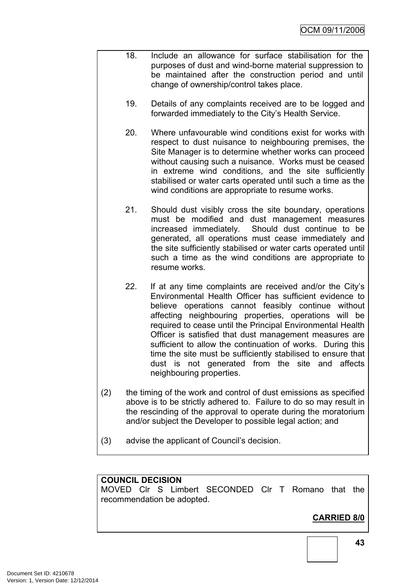- 18. Include an allowance for surface stabilisation for the purposes of dust and wind-borne material suppression to be maintained after the construction period and until change of ownership/control takes place.
	- 19. Details of any complaints received are to be logged and forwarded immediately to the City's Health Service.
	- 20. Where unfavourable wind conditions exist for works with respect to dust nuisance to neighbouring premises, the Site Manager is to determine whether works can proceed without causing such a nuisance. Works must be ceased in extreme wind conditions, and the site sufficiently stabilised or water carts operated until such a time as the wind conditions are appropriate to resume works.
	- 21. Should dust visibly cross the site boundary, operations must be modified and dust management measures increased immediately. Should dust continue to be generated, all operations must cease immediately and the site sufficiently stabilised or water carts operated until such a time as the wind conditions are appropriate to resume works.
	- 22. If at any time complaints are received and/or the City's Environmental Health Officer has sufficient evidence to believe operations cannot feasibly continue without affecting neighbouring properties, operations will be required to cease until the Principal Environmental Health Officer is satisfied that dust management measures are sufficient to allow the continuation of works. During this time the site must be sufficiently stabilised to ensure that dust is not generated from the site and affects neighbouring properties.
- (2) the timing of the work and control of dust emissions as specified above is to be strictly adhered to. Failure to do so may result in the rescinding of the approval to operate during the moratorium and/or subject the Developer to possible legal action; and
- (3) advise the applicant of Council's decision.

### **COUNCIL DECISION**

MOVED Clr S Limbert SECONDED Clr T Romano that the recommendation be adopted.

# **CARRIED 8/0**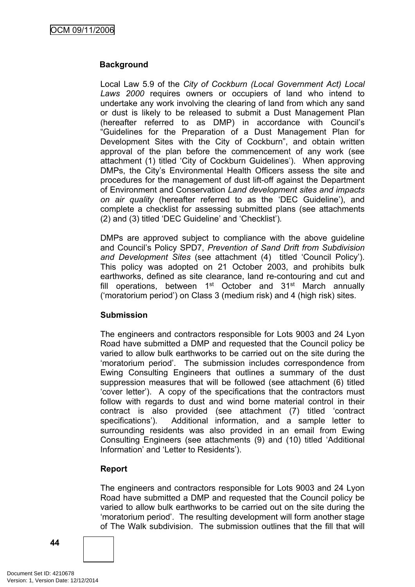### **Background**

Local Law 5.9 of the *City of Cockburn (Local Government Act) Local Laws 2000* requires owners or occupiers of land who intend to undertake any work involving the clearing of land from which any sand or dust is likely to be released to submit a Dust Management Plan (hereafter referred to as DMP) in accordance with Council's "Guidelines for the Preparation of a Dust Management Plan for Development Sites with the City of Cockburn", and obtain written approval of the plan before the commencement of any work (see attachment (1) titled 'City of Cockburn Guidelines'). When approving DMPs, the City's Environmental Health Officers assess the site and procedures for the management of dust lift-off against the Department of Environment and Conservation *Land development sites and impacts on air quality* (hereafter referred to as the 'DEC Guideline'), and complete a checklist for assessing submitted plans (see attachments (2) and (3) titled 'DEC Guideline' and 'Checklist')*.*

DMPs are approved subject to compliance with the above guideline and Council's Policy SPD7, *Prevention of Sand Drift from Subdivision and Development Sites* (see attachment (4) titled 'Council Policy'). This policy was adopted on 21 October 2003, and prohibits bulk earthworks, defined as site clearance, land re-contouring and cut and fill operations, between 1<sup>st</sup> October and 31<sup>st</sup> March annually ('moratorium period') on Class 3 (medium risk) and 4 (high risk) sites.

### **Submission**

The engineers and contractors responsible for Lots 9003 and 24 Lyon Road have submitted a DMP and requested that the Council policy be varied to allow bulk earthworks to be carried out on the site during the 'moratorium period'. The submission includes correspondence from Ewing Consulting Engineers that outlines a summary of the dust suppression measures that will be followed (see attachment (6) titled 'cover letter'). A copy of the specifications that the contractors must follow with regards to dust and wind borne material control in their contract is also provided (see attachment (7) titled 'contract specifications'). Additional information, and a sample letter to surrounding residents was also provided in an email from Ewing Consulting Engineers (see attachments (9) and (10) titled 'Additional Information' and 'Letter to Residents').

### **Report**

The engineers and contractors responsible for Lots 9003 and 24 Lyon Road have submitted a DMP and requested that the Council policy be varied to allow bulk earthworks to be carried out on the site during the 'moratorium period'. The resulting development will form another stage of The Walk subdivision. The submission outlines that the fill that will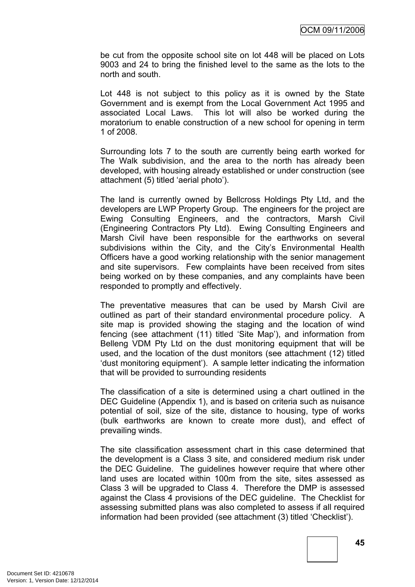be cut from the opposite school site on lot 448 will be placed on Lots 9003 and 24 to bring the finished level to the same as the lots to the north and south.

Lot 448 is not subject to this policy as it is owned by the State Government and is exempt from the Local Government Act 1995 and associated Local Laws. This lot will also be worked during the moratorium to enable construction of a new school for opening in term 1 of 2008.

Surrounding lots 7 to the south are currently being earth worked for The Walk subdivision, and the area to the north has already been developed, with housing already established or under construction (see attachment (5) titled 'aerial photo').

The land is currently owned by Bellcross Holdings Pty Ltd, and the developers are LWP Property Group. The engineers for the project are Ewing Consulting Engineers, and the contractors, Marsh Civil (Engineering Contractors Pty Ltd). Ewing Consulting Engineers and Marsh Civil have been responsible for the earthworks on several subdivisions within the City, and the City's Environmental Health Officers have a good working relationship with the senior management and site supervisors. Few complaints have been received from sites being worked on by these companies, and any complaints have been responded to promptly and effectively.

The preventative measures that can be used by Marsh Civil are outlined as part of their standard environmental procedure policy. A site map is provided showing the staging and the location of wind fencing (see attachment (11) titled 'Site Map'), and information from Belleng VDM Pty Ltd on the dust monitoring equipment that will be used, and the location of the dust monitors (see attachment (12) titled 'dust monitoring equipment'). A sample letter indicating the information that will be provided to surrounding residents

The classification of a site is determined using a chart outlined in the DEC Guideline (Appendix 1), and is based on criteria such as nuisance potential of soil, size of the site, distance to housing, type of works (bulk earthworks are known to create more dust), and effect of prevailing winds.

The site classification assessment chart in this case determined that the development is a Class 3 site, and considered medium risk under the DEC Guideline. The guidelines however require that where other land uses are located within 100m from the site, sites assessed as Class 3 will be upgraded to Class 4. Therefore the DMP is assessed against the Class 4 provisions of the DEC guideline. The Checklist for assessing submitted plans was also completed to assess if all required information had been provided (see attachment (3) titled 'Checklist').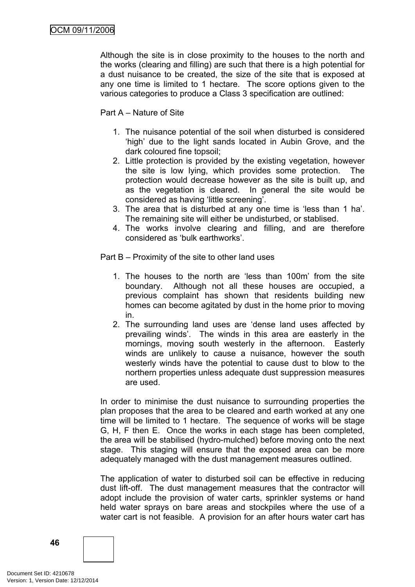Although the site is in close proximity to the houses to the north and the works (clearing and filling) are such that there is a high potential for a dust nuisance to be created, the size of the site that is exposed at any one time is limited to 1 hectare. The score options given to the various categories to produce a Class 3 specification are outlined:

Part A – Nature of Site

- 1. The nuisance potential of the soil when disturbed is considered 'high' due to the light sands located in Aubin Grove, and the dark coloured fine topsoil;
- 2. Little protection is provided by the existing vegetation, however the site is low lying, which provides some protection. The protection would decrease however as the site is built up, and as the vegetation is cleared. In general the site would be considered as having 'little screening'.
- 3. The area that is disturbed at any one time is 'less than 1 ha'. The remaining site will either be undisturbed, or stablised.
- 4. The works involve clearing and filling, and are therefore considered as 'bulk earthworks'.

Part B – Proximity of the site to other land uses

- 1. The houses to the north are 'less than 100m' from the site boundary. Although not all these houses are occupied, a previous complaint has shown that residents building new homes can become agitated by dust in the home prior to moving in.
- 2. The surrounding land uses are 'dense land uses affected by prevailing winds'. The winds in this area are easterly in the mornings, moving south westerly in the afternoon. Easterly winds are unlikely to cause a nuisance, however the south westerly winds have the potential to cause dust to blow to the northern properties unless adequate dust suppression measures are used.

In order to minimise the dust nuisance to surrounding properties the plan proposes that the area to be cleared and earth worked at any one time will be limited to 1 hectare. The sequence of works will be stage G, H, F then E. Once the works in each stage has been completed, the area will be stabilised (hydro-mulched) before moving onto the next stage. This staging will ensure that the exposed area can be more adequately managed with the dust management measures outlined.

The application of water to disturbed soil can be effective in reducing dust lift-off. The dust management measures that the contractor will adopt include the provision of water carts, sprinkler systems or hand held water sprays on bare areas and stockpiles where the use of a water cart is not feasible. A provision for an after hours water cart has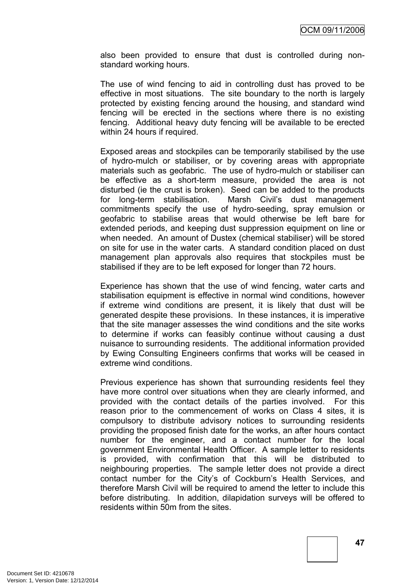also been provided to ensure that dust is controlled during nonstandard working hours.

The use of wind fencing to aid in controlling dust has proved to be effective in most situations. The site boundary to the north is largely protected by existing fencing around the housing, and standard wind fencing will be erected in the sections where there is no existing fencing. Additional heavy duty fencing will be available to be erected within 24 hours if required.

Exposed areas and stockpiles can be temporarily stabilised by the use of hydro-mulch or stabiliser, or by covering areas with appropriate materials such as geofabric. The use of hydro-mulch or stabiliser can be effective as a short-term measure, provided the area is not disturbed (ie the crust is broken). Seed can be added to the products for long-term stabilisation. Marsh Civil's dust management commitments specify the use of hydro-seeding, spray emulsion or geofabric to stabilise areas that would otherwise be left bare for extended periods, and keeping dust suppression equipment on line or when needed. An amount of Dustex (chemical stabiliser) will be stored on site for use in the water carts. A standard condition placed on dust management plan approvals also requires that stockpiles must be stabilised if they are to be left exposed for longer than 72 hours.

Experience has shown that the use of wind fencing, water carts and stabilisation equipment is effective in normal wind conditions, however if extreme wind conditions are present, it is likely that dust will be generated despite these provisions. In these instances, it is imperative that the site manager assesses the wind conditions and the site works to determine if works can feasibly continue without causing a dust nuisance to surrounding residents. The additional information provided by Ewing Consulting Engineers confirms that works will be ceased in extreme wind conditions.

Previous experience has shown that surrounding residents feel they have more control over situations when they are clearly informed, and provided with the contact details of the parties involved. For this reason prior to the commencement of works on Class 4 sites, it is compulsory to distribute advisory notices to surrounding residents providing the proposed finish date for the works, an after hours contact number for the engineer, and a contact number for the local government Environmental Health Officer. A sample letter to residents is provided, with confirmation that this will be distributed to neighbouring properties. The sample letter does not provide a direct contact number for the City's of Cockburn's Health Services, and therefore Marsh Civil will be required to amend the letter to include this before distributing. In addition, dilapidation surveys will be offered to residents within 50m from the sites.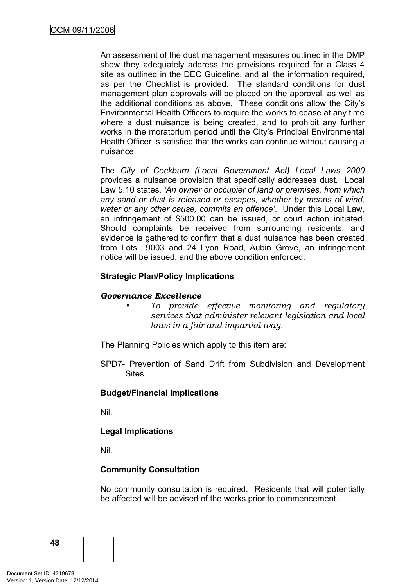An assessment of the dust management measures outlined in the DMP show they adequately address the provisions required for a Class 4 site as outlined in the DEC Guideline, and all the information required, as per the Checklist is provided*.* The standard conditions for dust management plan approvals will be placed on the approval, as well as the additional conditions as above. These conditions allow the City's Environmental Health Officers to require the works to cease at any time where a dust nuisance is being created, and to prohibit any further works in the moratorium period until the City's Principal Environmental Health Officer is satisfied that the works can continue without causing a nuisance.

The *City of Cockburn (Local Government Act) Local Laws 2000* provides a nuisance provision that specifically addresses dust. Local Law 5.10 states, *'An owner or occupier of land or premises, from which any sand or dust is released or escapes, whether by means of wind, water or any other cause, commits an offence'*. Under this Local Law, an infringement of \$500.00 can be issued, or court action initiated. Should complaints be received from surrounding residents, and evidence is gathered to confirm that a dust nuisance has been created from Lots 9003 and 24 Lyon Road, Aubin Grove, an infringement notice will be issued, and the above condition enforced.

### **Strategic Plan/Policy Implications**

#### *Governance Excellence*

*• To provide effective monitoring and regulatory services that administer relevant legislation and local laws in a fair and impartial way.*

The Planning Policies which apply to this item are:

SPD7- Prevention of Sand Drift from Subdivision and Development **Sites** 

#### **Budget/Financial Implications**

Nil.

### **Legal Implications**

Nil.

### **Community Consultation**

No community consultation is required. Residents that will potentially be affected will be advised of the works prior to commencement.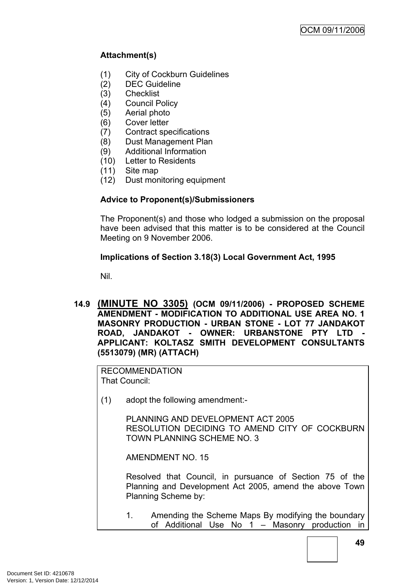# **Attachment(s)**

- (1) City of Cockburn Guidelines
- (2) DEC Guideline
- (3) Checklist
- (4) Council Policy
- (5) Aerial photo
- (6) Cover letter
- (7) Contract specifications
- (8) Dust Management Plan
- (9) Additional Information
- (10) Letter to Residents
- (11) Site map
- (12) Dust monitoring equipment

# **Advice to Proponent(s)/Submissioners**

The Proponent(s) and those who lodged a submission on the proposal have been advised that this matter is to be considered at the Council Meeting on 9 November 2006.

# **Implications of Section 3.18(3) Local Government Act, 1995**

Nil.

**14.9 (MINUTE NO 3305) (OCM 09/11/2006) - PROPOSED SCHEME AMENDMENT - MODIFICATION TO ADDITIONAL USE AREA NO. 1 MASONRY PRODUCTION - URBAN STONE - LOT 77 JANDAKOT ROAD, JANDAKOT - OWNER: URBANSTONE PTY LTD - APPLICANT: KOLTASZ SMITH DEVELOPMENT CONSULTANTS (5513079) (MR) (ATTACH)**

RECOMMENDATION That Council:

(1) adopt the following amendment:-

PLANNING AND DEVELOPMENT ACT 2005 RESOLUTION DECIDING TO AMEND CITY OF COCKBURN TOWN PLANNING SCHEME NO. 3

AMENDMENT NO. 15

Resolved that Council, in pursuance of Section 75 of the Planning and Development Act 2005, amend the above Town Planning Scheme by:

1. Amending the Scheme Maps By modifying the boundary of Additional Use No 1 – Masonry production in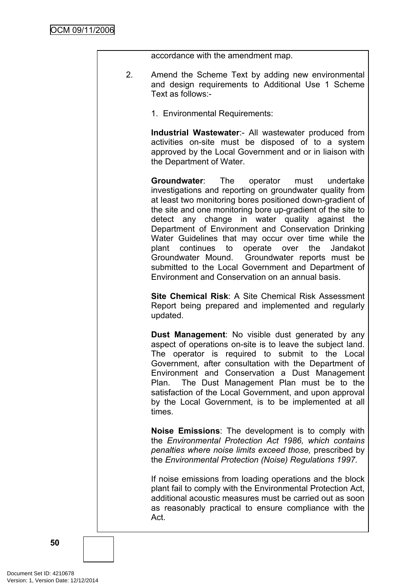accordance with the amendment map.

- 2. Amend the Scheme Text by adding new environmental and design requirements to Additional Use 1 Scheme Text as follows:-
	- 1. Environmental Requirements:

**Industrial Wastewater**:- All wastewater produced from activities on-site must be disposed of to a system approved by the Local Government and or in liaison with the Department of Water.

**Groundwater**: The operator must undertake investigations and reporting on groundwater quality from at least two monitoring bores positioned down-gradient of the site and one monitoring bore up-gradient of the site to detect any change in water quality against the Department of Environment and Conservation Drinking Water Guidelines that may occur over time while the plant continues to operate over the Jandakot Groundwater Mound. Groundwater reports must be submitted to the Local Government and Department of Environment and Conservation on an annual basis.

**Site Chemical Risk**: A Site Chemical Risk Assessment Report being prepared and implemented and regularly updated.

**Dust Management**: No visible dust generated by any aspect of operations on-site is to leave the subject land. The operator is required to submit to the Local Government, after consultation with the Department of Environment and Conservation a Dust Management Plan. The Dust Management Plan must be to the satisfaction of the Local Government, and upon approval by the Local Government, is to be implemented at all times.

**Noise Emissions**: The development is to comply with the *Environmental Protection Act 1986, which contains penalties where noise limits exceed those,* prescribed by the *Environmental Protection (Noise) Regulations 1997.*

If noise emissions from loading operations and the block plant fail to comply with the Environmental Protection Act, additional acoustic measures must be carried out as soon as reasonably practical to ensure compliance with the Act.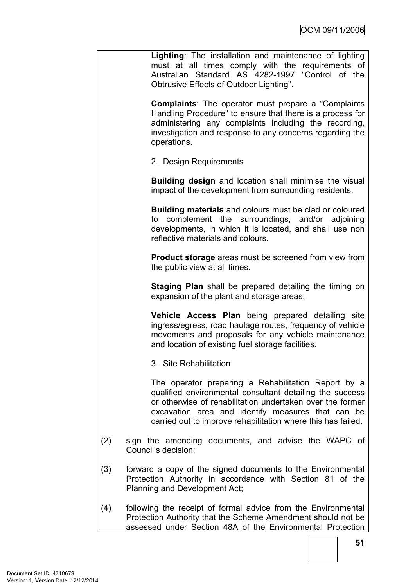|     | Lighting: The installation and maintenance of lighting<br>must at all times comply with the requirements of<br>Australian Standard AS 4282-1997 "Control of the<br>Obtrusive Effects of Outdoor Lighting".                                                                                        |
|-----|---------------------------------------------------------------------------------------------------------------------------------------------------------------------------------------------------------------------------------------------------------------------------------------------------|
|     | <b>Complaints:</b> The operator must prepare a "Complaints"<br>Handling Procedure" to ensure that there is a process for<br>administering any complaints including the recording,<br>investigation and response to any concerns regarding the<br>operations.                                      |
|     | 2. Design Requirements                                                                                                                                                                                                                                                                            |
|     | <b>Building design and location shall minimise the visual</b><br>impact of the development from surrounding residents.                                                                                                                                                                            |
|     | <b>Building materials</b> and colours must be clad or coloured<br>to complement the surroundings, and/or adjoining<br>developments, in which it is located, and shall use non<br>reflective materials and colours.                                                                                |
|     | <b>Product storage</b> areas must be screened from view from<br>the public view at all times.                                                                                                                                                                                                     |
|     | <b>Staging Plan</b> shall be prepared detailing the timing on<br>expansion of the plant and storage areas.                                                                                                                                                                                        |
|     | Vehicle Access Plan being prepared detailing site<br>ingress/egress, road haulage routes, frequency of vehicle<br>movements and proposals for any vehicle maintenance<br>and location of existing fuel storage facilities.                                                                        |
|     | 3. Site Rehabilitation                                                                                                                                                                                                                                                                            |
|     | The operator preparing a Rehabilitation Report by a<br>qualified environmental consultant detailing the success<br>or otherwise of rehabilitation undertaken over the former<br>excavation area and identify measures that can be<br>carried out to improve rehabilitation where this has failed. |
| (2) | sign the amending documents, and advise the WAPC of<br>Council's decision;                                                                                                                                                                                                                        |
| (3) | forward a copy of the signed documents to the Environmental<br>Protection Authority in accordance with Section 81 of the<br>Planning and Development Act;                                                                                                                                         |
| (4) | following the receipt of formal advice from the Environmental<br>Protection Authority that the Scheme Amendment should not be<br>assessed under Section 48A of the Environmental Protection                                                                                                       |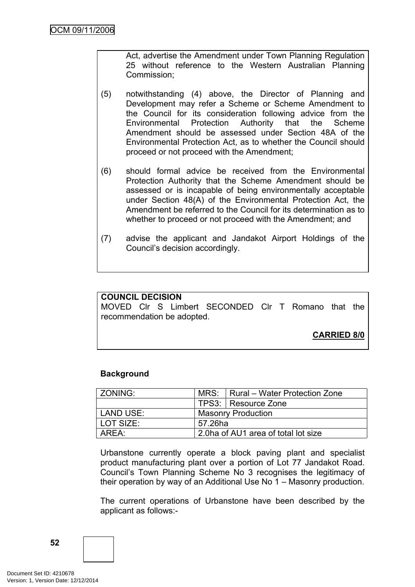Act, advertise the Amendment under Town Planning Regulation 25 without reference to the Western Australian Planning Commission;

- (5) notwithstanding (4) above, the Director of Planning and Development may refer a Scheme or Scheme Amendment to the Council for its consideration following advice from the Environmental Protection Authority that the Scheme Amendment should be assessed under Section 48A of the Environmental Protection Act, as to whether the Council should proceed or not proceed with the Amendment;
- (6) should formal advice be received from the Environmental Protection Authority that the Scheme Amendment should be assessed or is incapable of being environmentally acceptable under Section 48(A) of the Environmental Protection Act, the Amendment be referred to the Council for its determination as to whether to proceed or not proceed with the Amendment; and
- (7) advise the applicant and Jandakot Airport Holdings of the Council's decision accordingly.

### **COUNCIL DECISION**

MOVED Clr S Limbert SECONDED Clr T Romano that the recommendation be adopted.

**CARRIED 8/0**

### **Background**

| ZONING:   |                                     | MRS:   Rural – Water Protection Zone |  |
|-----------|-------------------------------------|--------------------------------------|--|
|           |                                     | TPS3:   Resource Zone                |  |
| LAND USE: | <b>Masonry Production</b>           |                                      |  |
| LOT SIZE: | 57.26ha                             |                                      |  |
| AREA:     | 2.0ha of AU1 area of total lot size |                                      |  |

Urbanstone currently operate a block paving plant and specialist product manufacturing plant over a portion of Lot 77 Jandakot Road. Council's Town Planning Scheme No 3 recognises the legitimacy of their operation by way of an Additional Use No 1 – Masonry production.

The current operations of Urbanstone have been described by the applicant as follows:-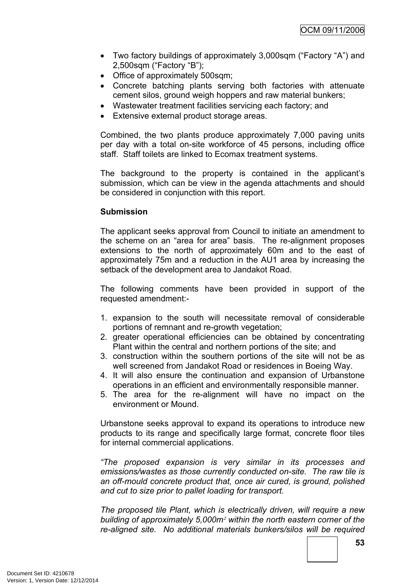- Two factory buildings of approximately 3,000sqm ("Factory "A") and 2,500sqm ("Factory "B");
- Office of approximately 500sqm;
- Concrete batching plants serving both factories with attenuate cement silos, ground weigh hoppers and raw material bunkers;
- Wastewater treatment facilities servicing each factory; and
- Extensive external product storage areas.

Combined, the two plants produce approximately 7,000 paving units per day with a total on-site workforce of 45 persons, including office staff. Staff toilets are linked to Ecomax treatment systems.

The background to the property is contained in the applicant's submission, which can be view in the agenda attachments and should be considered in conjunction with this report.

### **Submission**

The applicant seeks approval from Council to initiate an amendment to the scheme on an "area for area" basis. The re-alignment proposes extensions to the north of approximately 60m and to the east of approximately 75m and a reduction in the AU1 area by increasing the setback of the development area to Jandakot Road.

The following comments have been provided in support of the requested amendment:-

- 1. expansion to the south will necessitate removal of considerable portions of remnant and re-growth vegetation;
- 2. greater operational efficiencies can be obtained by concentrating Plant within the central and northern portions of the site; and
- 3. construction within the southern portions of the site will not be as well screened from Jandakot Road or residences in Boeing Way.
- 4. It will also ensure the continuation and expansion of Urbanstone operations in an efficient and environmentally responsible manner.
- 5. The area for the re-alignment will have no impact on the environment or Mound.

Urbanstone seeks approval to expand its operations to introduce new products to its range and specifically large format, concrete floor tiles for internal commercial applications.

*"The proposed expansion is very similar in its processes and emissions/wastes as those currently conducted on-site. The raw tile is an off-mould concrete product that, once air cured, is ground, polished and cut to size prior to pallet loading for transport.*

*The proposed tile Plant, which is electrically driven, will require a new building of approximately 5,000m² within the north eastern corner of the re-aligned site. No additional materials bunkers/silos will be required*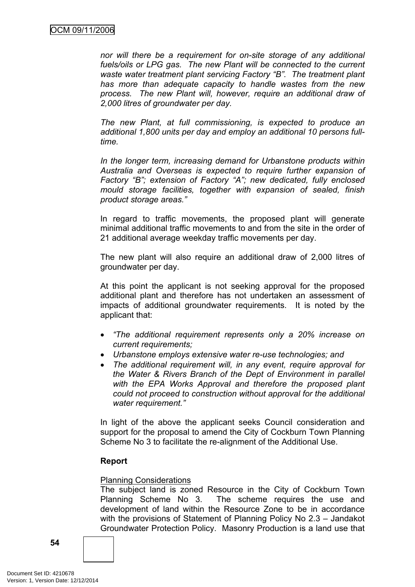*nor will there be a requirement for on-site storage of any additional fuels/oils or LPG gas. The new Plant will be connected to the current waste water treatment plant servicing Factory "B". The treatment plant has more than adequate capacity to handle wastes from the new process. The new Plant will, however, require an additional draw of 2,000 litres of groundwater per day.*

*The new Plant, at full commissioning, is expected to produce an additional 1,800 units per day and employ an additional 10 persons fulltime.*

*In the longer term, increasing demand for Urbanstone products within Australia and Overseas is expected to require further expansion of Factory "B"; extension of Factory "A"; new dedicated, fully enclosed mould storage facilities, together with expansion of sealed, finish product storage areas."*

In regard to traffic movements, the proposed plant will generate minimal additional traffic movements to and from the site in the order of 21 additional average weekday traffic movements per day.

The new plant will also require an additional draw of 2,000 litres of groundwater per day.

At this point the applicant is not seeking approval for the proposed additional plant and therefore has not undertaken an assessment of impacts of additional groundwater requirements. It is noted by the applicant that:

- *"The additional requirement represents only a 20% increase on current requirements;*
- *Urbanstone employs extensive water re-use technologies; and*
- *The additional requirement will, in any event, require approval for the Water & Rivers Branch of the Dept of Environment in parallel with the EPA Works Approval and therefore the proposed plant could not proceed to construction without approval for the additional water requirement."*

In light of the above the applicant seeks Council consideration and support for the proposal to amend the City of Cockburn Town Planning Scheme No 3 to facilitate the re-alignment of the Additional Use.

#### **Report**

#### Planning Considerations

The subject land is zoned Resource in the City of Cockburn Town Planning Scheme No 3. The scheme requires the use and development of land within the Resource Zone to be in accordance with the provisions of Statement of Planning Policy No 2.3 – Jandakot Groundwater Protection Policy. Masonry Production is a land use that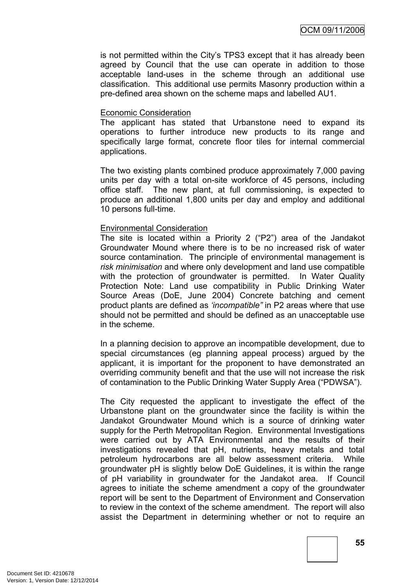is not permitted within the City's TPS3 except that it has already been agreed by Council that the use can operate in addition to those acceptable land-uses in the scheme through an additional use classification. This additional use permits Masonry production within a pre-defined area shown on the scheme maps and labelled AU1.

### Economic Consideration

The applicant has stated that Urbanstone need to expand its operations to further introduce new products to its range and specifically large format, concrete floor tiles for internal commercial applications.

The two existing plants combined produce approximately 7,000 paving units per day with a total on-site workforce of 45 persons, including office staff. The new plant, at full commissioning, is expected to produce an additional 1,800 units per day and employ and additional 10 persons full-time.

### Environmental Consideration

The site is located within a Priority 2 ("P2") area of the Jandakot Groundwater Mound where there is to be no increased risk of water source contamination. The principle of environmental management is *risk minimisation* and where only development and land use compatible with the protection of groundwater is permitted. In Water Quality Protection Note: Land use compatibility in Public Drinking Water Source Areas (DoE, June 2004) Concrete batching and cement product plants are defined as *'incompatible"* in P2 areas where that use should not be permitted and should be defined as an unacceptable use in the scheme.

In a planning decision to approve an incompatible development, due to special circumstances (eg planning appeal process) argued by the applicant, it is important for the proponent to have demonstrated an overriding community benefit and that the use will not increase the risk of contamination to the Public Drinking Water Supply Area ("PDWSA").

The City requested the applicant to investigate the effect of the Urbanstone plant on the groundwater since the facility is within the Jandakot Groundwater Mound which is a source of drinking water supply for the Perth Metropolitan Region. Environmental Investigations were carried out by ATA Environmental and the results of their investigations revealed that pH, nutrients, heavy metals and total petroleum hydrocarbons are all below assessment criteria. While groundwater pH is slightly below DoE Guidelines, it is within the range of pH variability in groundwater for the Jandakot area. If Council agrees to initiate the scheme amendment a copy of the groundwater report will be sent to the Department of Environment and Conservation to review in the context of the scheme amendment. The report will also assist the Department in determining whether or not to require an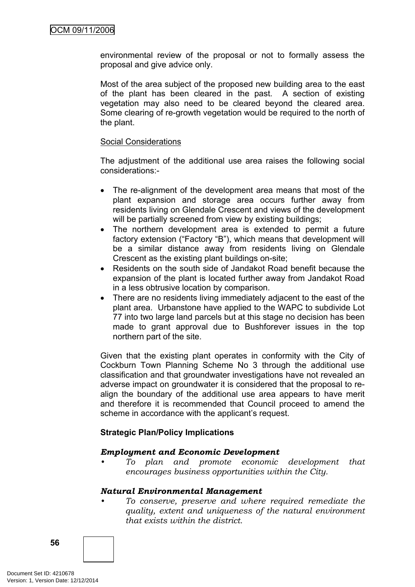environmental review of the proposal or not to formally assess the proposal and give advice only.

Most of the area subject of the proposed new building area to the east of the plant has been cleared in the past. A section of existing vegetation may also need to be cleared beyond the cleared area. Some clearing of re-growth vegetation would be required to the north of the plant.

### Social Considerations

The adjustment of the additional use area raises the following social considerations:-

- The re-alignment of the development area means that most of the plant expansion and storage area occurs further away from residents living on Glendale Crescent and views of the development will be partially screened from view by existing buildings;
- The northern development area is extended to permit a future factory extension ("Factory "B"), which means that development will be a similar distance away from residents living on Glendale Crescent as the existing plant buildings on-site;
- Residents on the south side of Jandakot Road benefit because the expansion of the plant is located further away from Jandakot Road in a less obtrusive location by comparison.
- There are no residents living immediately adjacent to the east of the plant area. Urbanstone have applied to the WAPC to subdivide Lot 77 into two large land parcels but at this stage no decision has been made to grant approval due to Bushforever issues in the top northern part of the site.

Given that the existing plant operates in conformity with the City of Cockburn Town Planning Scheme No 3 through the additional use classification and that groundwater investigations have not revealed an adverse impact on groundwater it is considered that the proposal to realign the boundary of the additional use area appears to have merit and therefore it is recommended that Council proceed to amend the scheme in accordance with the applicant's request.

### **Strategic Plan/Policy Implications**

### *Employment and Economic Development*

*• To plan and promote economic development that encourages business opportunities within the City.*

#### *Natural Environmental Management*

*• To conserve, preserve and where required remediate the quality, extent and uniqueness of the natural environment that exists within the district.*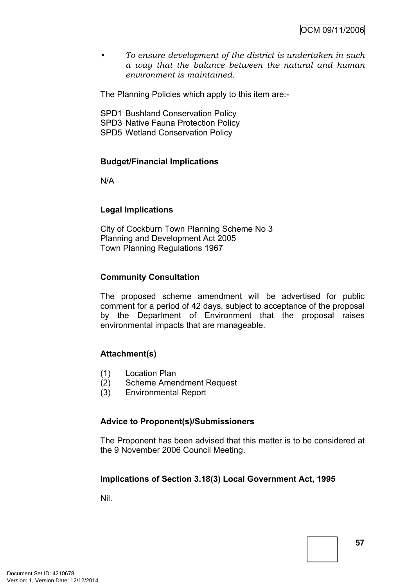*• To ensure development of the district is undertaken in such a way that the balance between the natural and human environment is maintained.*

The Planning Policies which apply to this item are:-

SPD1 Bushland Conservation Policy SPD3 Native Fauna Protection Policy SPD5 Wetland Conservation Policy

# **Budget/Financial Implications**

N/A

# **Legal Implications**

City of Cockburn Town Planning Scheme No 3 Planning and Development Act 2005 Town Planning Regulations 1967

# **Community Consultation**

The proposed scheme amendment will be advertised for public comment for a period of 42 days, subject to acceptance of the proposal by the Department of Environment that the proposal raises environmental impacts that are manageable.

# **Attachment(s)**

- (1) Location Plan
- (2) Scheme Amendment Request
- (3) Environmental Report

### **Advice to Proponent(s)/Submissioners**

The Proponent has been advised that this matter is to be considered at the 9 November 2006 Council Meeting.

### **Implications of Section 3.18(3) Local Government Act, 1995**

Nil.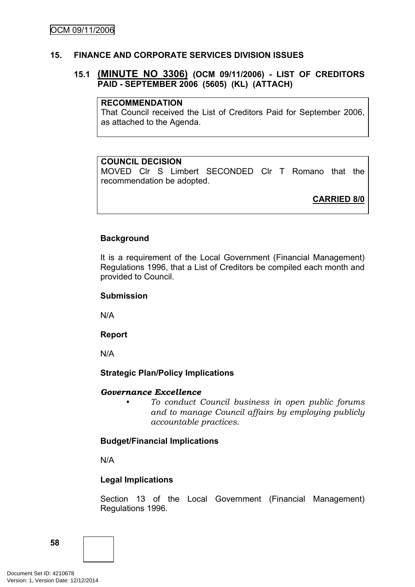### **15. FINANCE AND CORPORATE SERVICES DIVISION ISSUES**

### **15.1 (MINUTE NO 3306) (OCM 09/11/2006) - LIST OF CREDITORS PAID - SEPTEMBER 2006 (5605) (KL) (ATTACH)**

#### **RECOMMENDATION**

That Council received the List of Creditors Paid for September 2006, as attached to the Agenda.

### **COUNCIL DECISION**

MOVED Clr S Limbert SECONDED Clr T Romano that the recommendation be adopted.

**CARRIED 8/0**

### **Background**

It is a requirement of the Local Government (Financial Management) Regulations 1996, that a List of Creditors be compiled each month and provided to Council.

#### **Submission**

N/A

**Report**

N/A

### **Strategic Plan/Policy Implications**

#### *Governance Excellence*

*• To conduct Council business in open public forums and to manage Council affairs by employing publicly accountable practices.*

### **Budget/Financial Implications**

N/A

### **Legal Implications**

Section 13 of the Local Government (Financial Management) Regulations 1996.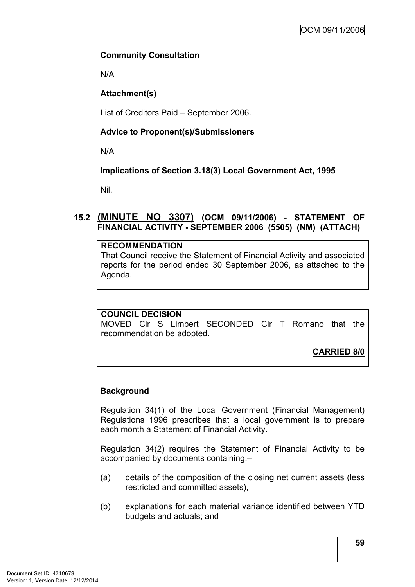# **Community Consultation**

N/A

# **Attachment(s)**

List of Creditors Paid – September 2006.

# **Advice to Proponent(s)/Submissioners**

N/A

# **Implications of Section 3.18(3) Local Government Act, 1995**

Nil.

# **15.2 (MINUTE NO 3307) (OCM 09/11/2006) - STATEMENT OF FINANCIAL ACTIVITY - SEPTEMBER 2006 (5505) (NM) (ATTACH)**

# **RECOMMENDATION**

That Council receive the Statement of Financial Activity and associated reports for the period ended 30 September 2006, as attached to the Agenda.

# **COUNCIL DECISION**

MOVED Clr S Limbert SECONDED Clr T Romano that the recommendation be adopted.

**CARRIED 8/0**

# **Background**

Regulation 34(1) of the Local Government (Financial Management) Regulations 1996 prescribes that a local government is to prepare each month a Statement of Financial Activity.

Regulation 34(2) requires the Statement of Financial Activity to be accompanied by documents containing:–

- (a) details of the composition of the closing net current assets (less restricted and committed assets),
- (b) explanations for each material variance identified between YTD budgets and actuals; and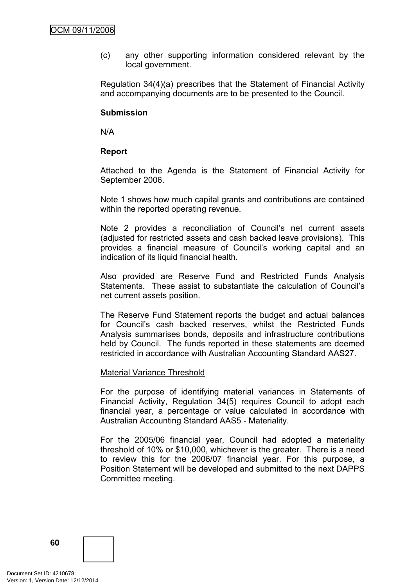(c) any other supporting information considered relevant by the local government.

Regulation 34(4)(a) prescribes that the Statement of Financial Activity and accompanying documents are to be presented to the Council.

### **Submission**

N/A

### **Report**

Attached to the Agenda is the Statement of Financial Activity for September 2006.

Note 1 shows how much capital grants and contributions are contained within the reported operating revenue.

Note 2 provides a reconciliation of Council's net current assets (adjusted for restricted assets and cash backed leave provisions). This provides a financial measure of Council's working capital and an indication of its liquid financial health.

Also provided are Reserve Fund and Restricted Funds Analysis Statements. These assist to substantiate the calculation of Council's net current assets position.

The Reserve Fund Statement reports the budget and actual balances for Council's cash backed reserves, whilst the Restricted Funds Analysis summarises bonds, deposits and infrastructure contributions held by Council. The funds reported in these statements are deemed restricted in accordance with Australian Accounting Standard AAS27.

### Material Variance Threshold

For the purpose of identifying material variances in Statements of Financial Activity, Regulation 34(5) requires Council to adopt each financial year, a percentage or value calculated in accordance with Australian Accounting Standard AAS5 - Materiality.

For the 2005/06 financial year, Council had adopted a materiality threshold of 10% or \$10,000, whichever is the greater. There is a need to review this for the 2006/07 financial year. For this purpose, a Position Statement will be developed and submitted to the next DAPPS Committee meeting.

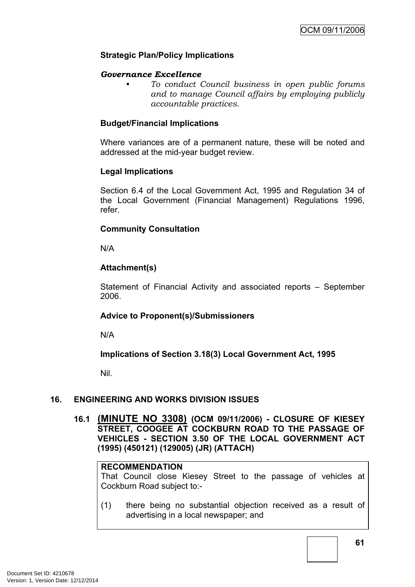# **Strategic Plan/Policy Implications**

### *Governance Excellence*

*• To conduct Council business in open public forums and to manage Council affairs by employing publicly accountable practices.*

### **Budget/Financial Implications**

Where variances are of a permanent nature, these will be noted and addressed at the mid-year budget review.

### **Legal Implications**

Section 6.4 of the Local Government Act, 1995 and Regulation 34 of the Local Government (Financial Management) Regulations 1996, refer.

### **Community Consultation**

N/A

# **Attachment(s)**

Statement of Financial Activity and associated reports – September 2006.

### **Advice to Proponent(s)/Submissioners**

N/A

**Implications of Section 3.18(3) Local Government Act, 1995**

Nil.

### **16. ENGINEERING AND WORKS DIVISION ISSUES**

**16.1 (MINUTE NO 3308) (OCM 09/11/2006) - CLOSURE OF KIESEY STREET, COOGEE AT COCKBURN ROAD TO THE PASSAGE OF VEHICLES - SECTION 3.50 OF THE LOCAL GOVERNMENT ACT (1995) (450121) (129005) (JR) (ATTACH)**

### **RECOMMENDATION**

That Council close Kiesey Street to the passage of vehicles at Cockburn Road subject to:-

(1) there being no substantial objection received as a result of advertising in a local newspaper; and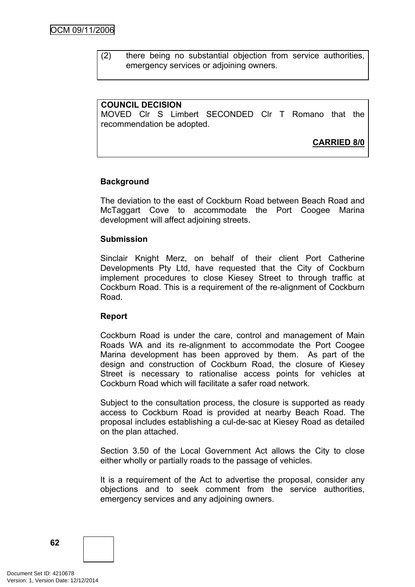(2) there being no substantial objection from service authorities, emergency services or adjoining owners.

### **COUNCIL DECISION**

MOVED Clr S Limbert SECONDED Clr T Romano that the recommendation be adopted.

**CARRIED 8/0**

### **Background**

The deviation to the east of Cockburn Road between Beach Road and McTaggart Cove to accommodate the Port Coogee Marina development will affect adjoining streets.

### **Submission**

Sinclair Knight Merz, on behalf of their client Port Catherine Developments Pty Ltd, have requested that the City of Cockburn implement procedures to close Kiesey Street to through traffic at Cockburn Road. This is a requirement of the re-alignment of Cockburn Road.

#### **Report**

Cockburn Road is under the care, control and management of Main Roads WA and its re-alignment to accommodate the Port Coogee Marina development has been approved by them. As part of the design and construction of Cockburn Road, the closure of Kiesey Street is necessary to rationalise access points for vehicles at Cockburn Road which will facilitate a safer road network.

Subject to the consultation process, the closure is supported as ready access to Cockburn Road is provided at nearby Beach Road. The proposal includes establishing a cul-de-sac at Kiesey Road as detailed on the plan attached.

Section 3.50 of the Local Government Act allows the City to close either wholly or partially roads to the passage of vehicles.

It is a requirement of the Act to advertise the proposal, consider any objections and to seek comment from the service authorities, emergency services and any adjoining owners.

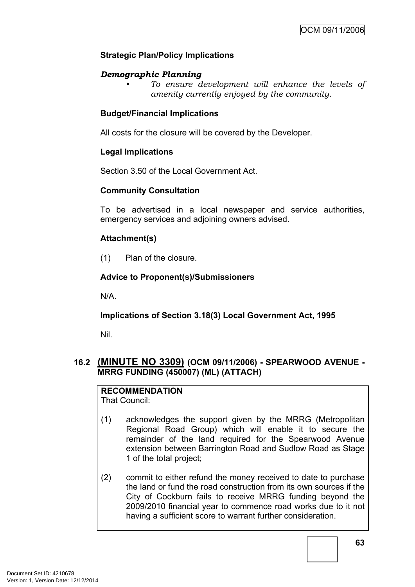# **Strategic Plan/Policy Implications**

# *Demographic Planning*

*• To ensure development will enhance the levels of amenity currently enjoyed by the community.*

# **Budget/Financial Implications**

All costs for the closure will be covered by the Developer.

# **Legal Implications**

Section 3.50 of the Local Government Act.

### **Community Consultation**

To be advertised in a local newspaper and service authorities, emergency services and adjoining owners advised.

# **Attachment(s)**

(1) Plan of the closure.

# **Advice to Proponent(s)/Submissioners**

N/A.

# **Implications of Section 3.18(3) Local Government Act, 1995**

Nil.

# **16.2 (MINUTE NO 3309) (OCM 09/11/2006) - SPEARWOOD AVENUE - MRRG FUNDING (450007) (ML) (ATTACH)**

# **RECOMMENDATION**

That Council:

- (1) acknowledges the support given by the MRRG (Metropolitan Regional Road Group) which will enable it to secure the remainder of the land required for the Spearwood Avenue extension between Barrington Road and Sudlow Road as Stage 1 of the total project;
- (2) commit to either refund the money received to date to purchase the land or fund the road construction from its own sources if the City of Cockburn fails to receive MRRG funding beyond the 2009/2010 financial year to commence road works due to it not having a sufficient score to warrant further consideration.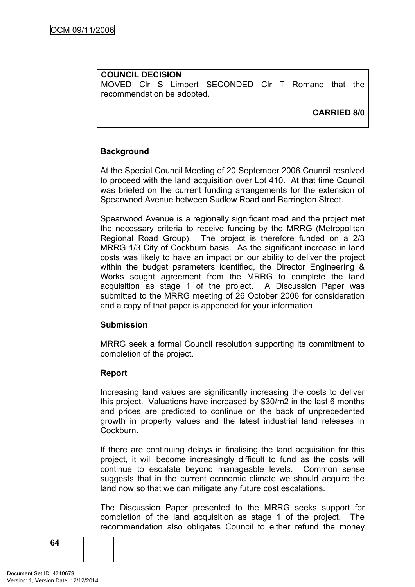**COUNCIL DECISION** MOVED Clr S Limbert SECONDED Clr T Romano that the recommendation be adopted.

**CARRIED 8/0**

# **Background**

At the Special Council Meeting of 20 September 2006 Council resolved to proceed with the land acquisition over Lot 410. At that time Council was briefed on the current funding arrangements for the extension of Spearwood Avenue between Sudlow Road and Barrington Street.

Spearwood Avenue is a regionally significant road and the project met the necessary criteria to receive funding by the MRRG (Metropolitan Regional Road Group). The project is therefore funded on a 2/3 MRRG 1/3 City of Cockburn basis. As the significant increase in land costs was likely to have an impact on our ability to deliver the project within the budget parameters identified, the Director Engineering & Works sought agreement from the MRRG to complete the land acquisition as stage 1 of the project. A Discussion Paper was submitted to the MRRG meeting of 26 October 2006 for consideration and a copy of that paper is appended for your information.

### **Submission**

MRRG seek a formal Council resolution supporting its commitment to completion of the project.

### **Report**

Increasing land values are significantly increasing the costs to deliver this project. Valuations have increased by \$30/m2 in the last 6 months and prices are predicted to continue on the back of unprecedented growth in property values and the latest industrial land releases in Cockburn.

If there are continuing delays in finalising the land acquisition for this project, it will become increasingly difficult to fund as the costs will continue to escalate beyond manageable levels. Common sense suggests that in the current economic climate we should acquire the land now so that we can mitigate any future cost escalations.

The Discussion Paper presented to the MRRG seeks support for completion of the land acquisition as stage 1 of the project. The recommendation also obligates Council to either refund the money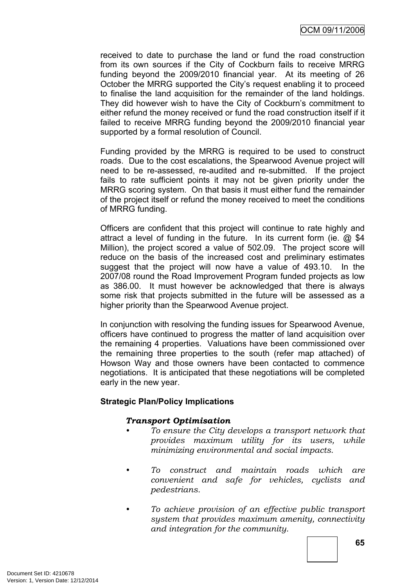received to date to purchase the land or fund the road construction from its own sources if the City of Cockburn fails to receive MRRG funding beyond the 2009/2010 financial year. At its meeting of 26 October the MRRG supported the City's request enabling it to proceed to finalise the land acquisition for the remainder of the land holdings. They did however wish to have the City of Cockburn's commitment to either refund the money received or fund the road construction itself if it failed to receive MRRG funding beyond the 2009/2010 financial year supported by a formal resolution of Council.

Funding provided by the MRRG is required to be used to construct roads. Due to the cost escalations, the Spearwood Avenue project will need to be re-assessed, re-audited and re-submitted. If the project fails to rate sufficient points it may not be given priority under the MRRG scoring system. On that basis it must either fund the remainder of the project itself or refund the money received to meet the conditions of MRRG funding.

Officers are confident that this project will continue to rate highly and attract a level of funding in the future. In its current form (ie.  $\omega$  \$4 Million), the project scored a value of 502.09. The project score will reduce on the basis of the increased cost and preliminary estimates suggest that the project will now have a value of 493.10. In the 2007/08 round the Road Improvement Program funded projects as low as 386.00. It must however be acknowledged that there is always some risk that projects submitted in the future will be assessed as a higher priority than the Spearwood Avenue project.

In conjunction with resolving the funding issues for Spearwood Avenue, officers have continued to progress the matter of land acquisition over the remaining 4 properties. Valuations have been commissioned over the remaining three properties to the south (refer map attached) of Howson Way and those owners have been contacted to commence negotiations. It is anticipated that these negotiations will be completed early in the new year.

### **Strategic Plan/Policy Implications**

### *Transport Optimisation*

- *• To ensure the City develops a transport network that provides maximum utility for its users, while minimizing environmental and social impacts.*
- *• To construct and maintain roads which are convenient and safe for vehicles, cyclists and pedestrians.*
- *• To achieve provision of an effective public transport system that provides maximum amenity, connectivity and integration for the community.*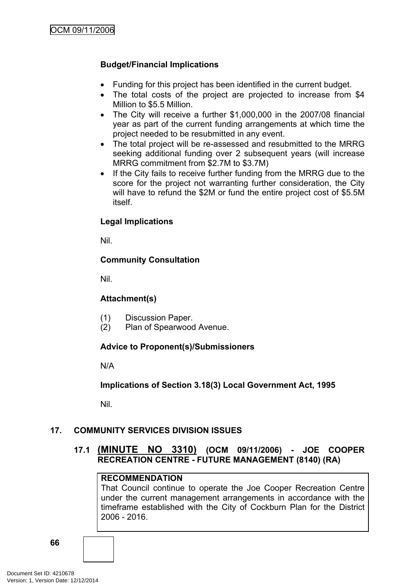# **Budget/Financial Implications**

- Funding for this project has been identified in the current budget.
- The total costs of the project are projected to increase from \$4 Million to \$5.5 Million.
- The City will receive a further \$1,000,000 in the 2007/08 financial year as part of the current funding arrangements at which time the project needed to be resubmitted in any event.
- The total project will be re-assessed and resubmitted to the MRRG seeking additional funding over 2 subsequent years (will increase MRRG commitment from \$2.7M to \$3.7M)
- If the City fails to receive further funding from the MRRG due to the score for the project not warranting further consideration, the City will have to refund the \$2M or fund the entire project cost of \$5.5M itself.

# **Legal Implications**

Nil.

# **Community Consultation**

Nil.

# **Attachment(s)**

- (1) Discussion Paper.
- (2) Plan of Spearwood Avenue.

### **Advice to Proponent(s)/Submissioners**

N/A

# **Implications of Section 3.18(3) Local Government Act, 1995**

Nil.

# **17. COMMUNITY SERVICES DIVISION ISSUES**

# **17.1 (MINUTE NO 3310) (OCM 09/11/2006) - JOE COOPER RECREATION CENTRE - FUTURE MANAGEMENT (8140) (RA)**

## **RECOMMENDATION**

That Council continue to operate the Joe Cooper Recreation Centre under the current management arrangements in accordance with the timeframe established with the City of Cockburn Plan for the District 2006 - 2016.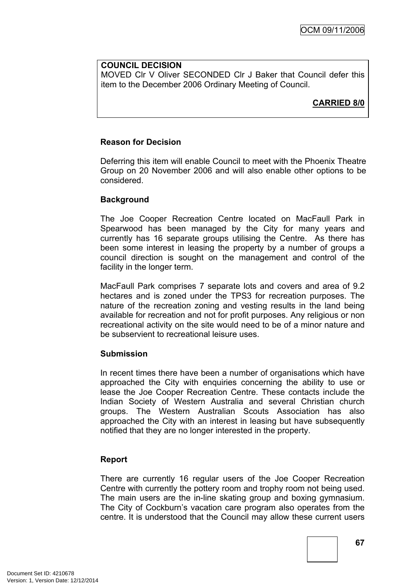# **COUNCIL DECISION**

MOVED Clr V Oliver SECONDED Clr J Baker that Council defer this item to the December 2006 Ordinary Meeting of Council.

**CARRIED 8/0**

# **Reason for Decision**

Deferring this item will enable Council to meet with the Phoenix Theatre Group on 20 November 2006 and will also enable other options to be considered.

# **Background**

The Joe Cooper Recreation Centre located on MacFaull Park in Spearwood has been managed by the City for many years and currently has 16 separate groups utilising the Centre. As there has been some interest in leasing the property by a number of groups a council direction is sought on the management and control of the facility in the longer term.

MacFaull Park comprises 7 separate lots and covers and area of 9.2 hectares and is zoned under the TPS3 for recreation purposes. The nature of the recreation zoning and vesting results in the land being available for recreation and not for profit purposes. Any religious or non recreational activity on the site would need to be of a minor nature and be subservient to recreational leisure uses.

### **Submission**

In recent times there have been a number of organisations which have approached the City with enquiries concerning the ability to use or lease the Joe Cooper Recreation Centre. These contacts include the Indian Society of Western Australia and several Christian church groups. The Western Australian Scouts Association has also approached the City with an interest in leasing but have subsequently notified that they are no longer interested in the property.

### **Report**

There are currently 16 regular users of the Joe Cooper Recreation Centre with currently the pottery room and trophy room not being used. The main users are the in-line skating group and boxing gymnasium. The City of Cockburn's vacation care program also operates from the centre. It is understood that the Council may allow these current users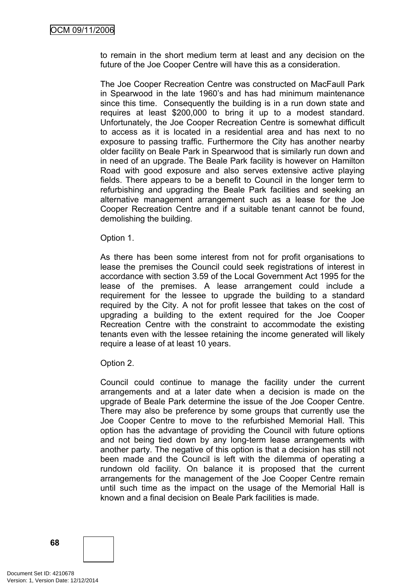to remain in the short medium term at least and any decision on the future of the Joe Cooper Centre will have this as a consideration.

The Joe Cooper Recreation Centre was constructed on MacFaull Park in Spearwood in the late 1960's and has had minimum maintenance since this time. Consequently the building is in a run down state and requires at least \$200,000 to bring it up to a modest standard. Unfortunately, the Joe Cooper Recreation Centre is somewhat difficult to access as it is located in a residential area and has next to no exposure to passing traffic. Furthermore the City has another nearby older facility on Beale Park in Spearwood that is similarly run down and in need of an upgrade. The Beale Park facility is however on Hamilton Road with good exposure and also serves extensive active playing fields. There appears to be a benefit to Council in the longer term to refurbishing and upgrading the Beale Park facilities and seeking an alternative management arrangement such as a lease for the Joe Cooper Recreation Centre and if a suitable tenant cannot be found, demolishing the building.

Option 1.

As there has been some interest from not for profit organisations to lease the premises the Council could seek registrations of interest in accordance with section 3.59 of the Local Government Act 1995 for the lease of the premises. A lease arrangement could include a requirement for the lessee to upgrade the building to a standard required by the City. A not for profit lessee that takes on the cost of upgrading a building to the extent required for the Joe Cooper Recreation Centre with the constraint to accommodate the existing tenants even with the lessee retaining the income generated will likely require a lease of at least 10 years.

Option 2.

Council could continue to manage the facility under the current arrangements and at a later date when a decision is made on the upgrade of Beale Park determine the issue of the Joe Cooper Centre. There may also be preference by some groups that currently use the Joe Cooper Centre to move to the refurbished Memorial Hall. This option has the advantage of providing the Council with future options and not being tied down by any long-term lease arrangements with another party. The negative of this option is that a decision has still not been made and the Council is left with the dilemma of operating a rundown old facility. On balance it is proposed that the current arrangements for the management of the Joe Cooper Centre remain until such time as the impact on the usage of the Memorial Hall is known and a final decision on Beale Park facilities is made.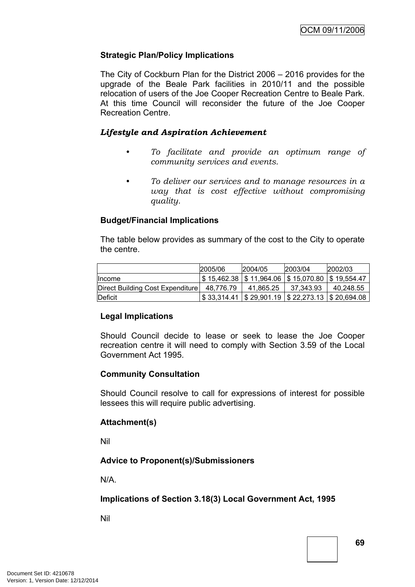# **Strategic Plan/Policy Implications**

The City of Cockburn Plan for the District 2006 – 2016 provides for the upgrade of the Beale Park facilities in 2010/11 and the possible relocation of users of the Joe Cooper Recreation Centre to Beale Park. At this time Council will reconsider the future of the Joe Cooper Recreation Centre.

### *Lifestyle and Aspiration Achievement*

- *• To facilitate and provide an optimum range of community services and events.*
- *• To deliver our services and to manage resources in a way that is cost effective without compromising quality.*

# **Budget/Financial Implications**

The table below provides as summary of the cost to the City to operate the centre.

|                                  | 2005/06   | 2004/05   | 2003/04                                                              | 2002/03   |
|----------------------------------|-----------|-----------|----------------------------------------------------------------------|-----------|
| <b>Ilncome</b>                   |           |           | $$15,462.38$ $$11,964.06$ $$15,070.80$ $$19,554.47$                  |           |
| Direct Building Cost Expenditure | 48.776.79 | 41,865.25 | 37.343.93                                                            | 40,248.55 |
| <b>IDeficit</b>                  |           |           | $\frac{1}{2}$ 33,314.41   \$ 29,901.19   \$ 22,273.13   \$ 20,694.08 |           |

# **Legal Implications**

Should Council decide to lease or seek to lease the Joe Cooper recreation centre it will need to comply with Section 3.59 of the Local Government Act 1995.

### **Community Consultation**

Should Council resolve to call for expressions of interest for possible lessees this will require public advertising.

### **Attachment(s)**

Nil

# **Advice to Proponent(s)/Submissioners**

N/A.

### **Implications of Section 3.18(3) Local Government Act, 1995**

Nil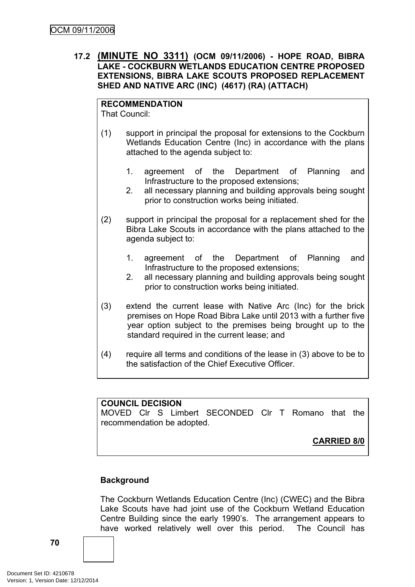# **17.2 (MINUTE NO 3311) (OCM 09/11/2006) - HOPE ROAD, BIBRA LAKE - COCKBURN WETLANDS EDUCATION CENTRE PROPOSED EXTENSIONS, BIBRA LAKE SCOUTS PROPOSED REPLACEMENT SHED AND NATIVE ARC (INC) (4617) (RA) (ATTACH)**

# **RECOMMENDATION**

That Council:

- (1) support in principal the proposal for extensions to the Cockburn Wetlands Education Centre (Inc) in accordance with the plans attached to the agenda subject to:
	- 1. agreement of the Department of Planning and Infrastructure to the proposed extensions;
	- 2. all necessary planning and building approvals being sought prior to construction works being initiated.
- (2) support in principal the proposal for a replacement shed for the Bibra Lake Scouts in accordance with the plans attached to the agenda subject to:
	- 1. agreement of the Department of Planning and Infrastructure to the proposed extensions;
	- 2. all necessary planning and building approvals being sought prior to construction works being initiated.
- (3) extend the current lease with Native Arc (Inc) for the brick premises on Hope Road Bibra Lake until 2013 with a further five year option subject to the premises being brought up to the standard required in the current lease; and
- (4) require all terms and conditions of the lease in (3) above to be to the satisfaction of the Chief Executive Officer.

# **COUNCIL DECISION**

MOVED Clr S Limbert SECONDED Clr T Romano that the recommendation be adopted.

**CARRIED 8/0**

# **Background**

The Cockburn Wetlands Education Centre (Inc) (CWEC) and the Bibra Lake Scouts have had joint use of the Cockburn Wetland Education Centre Building since the early 1990's. The arrangement appears to have worked relatively well over this period. The Council has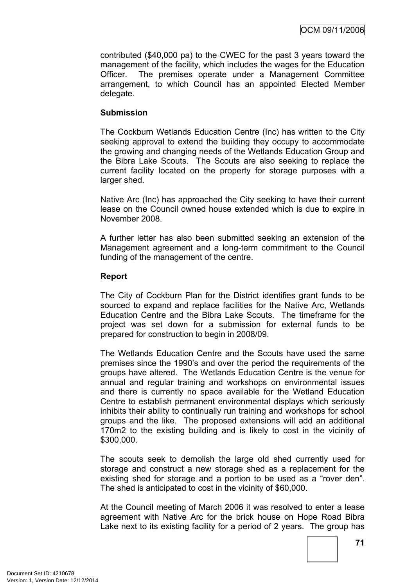contributed (\$40,000 pa) to the CWEC for the past 3 years toward the management of the facility, which includes the wages for the Education Officer. The premises operate under a Management Committee arrangement, to which Council has an appointed Elected Member delegate.

### **Submission**

The Cockburn Wetlands Education Centre (Inc) has written to the City seeking approval to extend the building they occupy to accommodate the growing and changing needs of the Wetlands Education Group and the Bibra Lake Scouts. The Scouts are also seeking to replace the current facility located on the property for storage purposes with a larger shed.

Native Arc (Inc) has approached the City seeking to have their current lease on the Council owned house extended which is due to expire in November 2008.

A further letter has also been submitted seeking an extension of the Management agreement and a long-term commitment to the Council funding of the management of the centre.

### **Report**

The City of Cockburn Plan for the District identifies grant funds to be sourced to expand and replace facilities for the Native Arc, Wetlands Education Centre and the Bibra Lake Scouts. The timeframe for the project was set down for a submission for external funds to be prepared for construction to begin in 2008/09.

The Wetlands Education Centre and the Scouts have used the same premises since the 1990's and over the period the requirements of the groups have altered. The Wetlands Education Centre is the venue for annual and regular training and workshops on environmental issues and there is currently no space available for the Wetland Education Centre to establish permanent environmental displays which seriously inhibits their ability to continually run training and workshops for school groups and the like. The proposed extensions will add an additional 170m2 to the existing building and is likely to cost in the vicinity of \$300,000.

The scouts seek to demolish the large old shed currently used for storage and construct a new storage shed as a replacement for the existing shed for storage and a portion to be used as a "rover den". The shed is anticipated to cost in the vicinity of \$60,000.

At the Council meeting of March 2006 it was resolved to enter a lease agreement with Native Arc for the brick house on Hope Road Bibra Lake next to its existing facility for a period of 2 years. The group has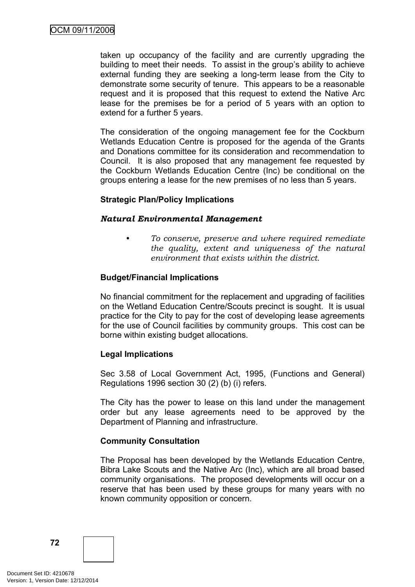taken up occupancy of the facility and are currently upgrading the building to meet their needs. To assist in the group's ability to achieve external funding they are seeking a long-term lease from the City to demonstrate some security of tenure. This appears to be a reasonable request and it is proposed that this request to extend the Native Arc lease for the premises be for a period of 5 years with an option to extend for a further 5 years.

The consideration of the ongoing management fee for the Cockburn Wetlands Education Centre is proposed for the agenda of the Grants and Donations committee for its consideration and recommendation to Council. It is also proposed that any management fee requested by the Cockburn Wetlands Education Centre (Inc) be conditional on the groups entering a lease for the new premises of no less than 5 years.

# **Strategic Plan/Policy Implications**

### *Natural Environmental Management*

*• To conserve, preserve and where required remediate the quality, extent and uniqueness of the natural environment that exists within the district.*

# **Budget/Financial Implications**

No financial commitment for the replacement and upgrading of facilities on the Wetland Education Centre/Scouts precinct is sought. It is usual practice for the City to pay for the cost of developing lease agreements for the use of Council facilities by community groups. This cost can be borne within existing budget allocations.

# **Legal Implications**

Sec 3.58 of Local Government Act, 1995, (Functions and General) Regulations 1996 section 30 (2) (b) (i) refers.

The City has the power to lease on this land under the management order but any lease agreements need to be approved by the Department of Planning and infrastructure.

### **Community Consultation**

The Proposal has been developed by the Wetlands Education Centre, Bibra Lake Scouts and the Native Arc (Inc), which are all broad based community organisations. The proposed developments will occur on a reserve that has been used by these groups for many years with no known community opposition or concern.

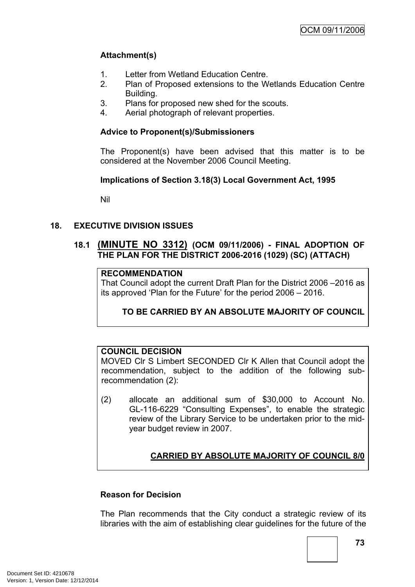# **Attachment(s)**

- 1. Letter from Wetland Education Centre.
- 2. Plan of Proposed extensions to the Wetlands Education Centre Building.
- 3. Plans for proposed new shed for the scouts.
- 4. Aerial photograph of relevant properties.

## **Advice to Proponent(s)/Submissioners**

The Proponent(s) have been advised that this matter is to be considered at the November 2006 Council Meeting.

# **Implications of Section 3.18(3) Local Government Act, 1995**

Nil

# **18. EXECUTIVE DIVISION ISSUES**

# **18.1 (MINUTE NO 3312) (OCM 09/11/2006) - FINAL ADOPTION OF THE PLAN FOR THE DISTRICT 2006-2016 (1029) (SC) (ATTACH)**

### **RECOMMENDATION**

That Council adopt the current Draft Plan for the District 2006 –2016 as its approved 'Plan for the Future' for the period 2006 – 2016.

# **TO BE CARRIED BY AN ABSOLUTE MAJORITY OF COUNCIL**

# **COUNCIL DECISION**

MOVED Clr S Limbert SECONDED Clr K Allen that Council adopt the recommendation, subject to the addition of the following subrecommendation (2):

(2) allocate an additional sum of \$30,000 to Account No. GL-116-6229 "Consulting Expenses", to enable the strategic review of the Library Service to be undertaken prior to the midyear budget review in 2007.

# **CARRIED BY ABSOLUTE MAJORITY OF COUNCIL 8/0**

### **Reason for Decision**

The Plan recommends that the City conduct a strategic review of its libraries with the aim of establishing clear guidelines for the future of the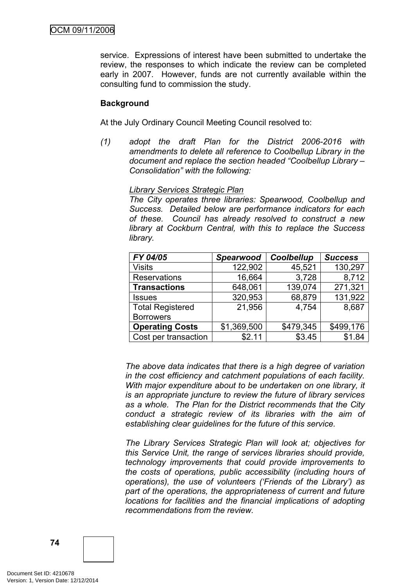service. Expressions of interest have been submitted to undertake the review, the responses to which indicate the review can be completed early in 2007. However, funds are not currently available within the consulting fund to commission the study.

### **Background**

At the July Ordinary Council Meeting Council resolved to:

*(1) adopt the draft Plan for the District 2006-2016 with amendments to delete all reference to Coolbellup Library in the document and replace the section headed "Coolbellup Library – Consolidation" with the following:*

#### *Library Services Strategic Plan*

*The City operates three libraries: Spearwood, Coolbellup and Success. Detailed below are performance indicators for each of these. Council has already resolved to construct a new library at Cockburn Central, with this to replace the Success library.*

| FY 04/05                | <b>Spearwood</b> | Coolbellup | <b>Success</b> |
|-------------------------|------------------|------------|----------------|
| <b>Visits</b>           | 122,902          | 45,521     | 130,297        |
| <b>Reservations</b>     | 16,664           | 3,728      | 8,712          |
| <b>Transactions</b>     | 648,061          | 139,074    | 271,321        |
| <b>Issues</b>           | 320,953          | 68,879     | 131,922        |
| <b>Total Registered</b> | 21,956           | 4,754      | 8,687          |
| <b>Borrowers</b>        |                  |            |                |
| <b>Operating Costs</b>  | \$1,369,500      | \$479,345  | \$499,176      |
| Cost per transaction    | \$2.11           | \$3.45     | \$1.84         |

*The above data indicates that there is a high degree of variation in the cost efficiency and catchment populations of each facility. With major expenditure about to be undertaken on one library, it is an appropriate juncture to review the future of library services as a whole. The Plan for the District recommends that the City conduct a strategic review of its libraries with the aim of establishing clear guidelines for the future of this service.*

*The Library Services Strategic Plan will look at; objectives for this Service Unit, the range of services libraries should provide, technology improvements that could provide improvements to the costs of operations, public accessibility (including hours of operations), the use of volunteers ('Friends of the Library') as part of the operations, the appropriateness of current and future locations for facilities and the financial implications of adopting recommendations from the review.*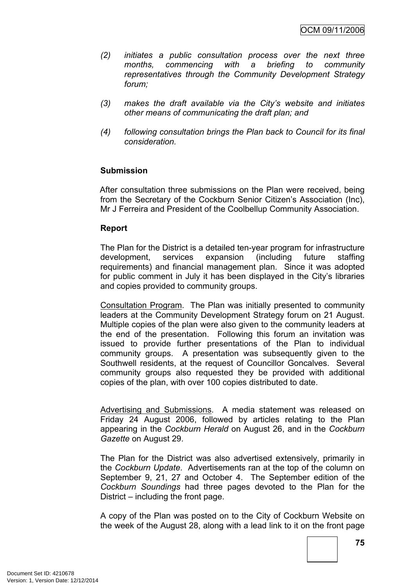- *(2) initiates a public consultation process over the next three months, commencing with a briefing to community representatives through the Community Development Strategy forum;*
- *(3) makes the draft available via the City's website and initiates other means of communicating the draft plan; and*
- *(4) following consultation brings the Plan back to Council for its final consideration.*

# **Submission**

After consultation three submissions on the Plan were received, being from the Secretary of the Cockburn Senior Citizen's Association (Inc), Mr J Ferreira and President of the Coolbellup Community Association.

### **Report**

The Plan for the District is a detailed ten-year program for infrastructure development, services expansion (including future staffing requirements) and financial management plan. Since it was adopted for public comment in July it has been displayed in the City's libraries and copies provided to community groups.

Consultation Program. The Plan was initially presented to community leaders at the Community Development Strategy forum on 21 August. Multiple copies of the plan were also given to the community leaders at the end of the presentation. Following this forum an invitation was issued to provide further presentations of the Plan to individual community groups. A presentation was subsequently given to the Southwell residents, at the request of Councillor Goncalves. Several community groups also requested they be provided with additional copies of the plan, with over 100 copies distributed to date.

Advertising and Submissions. A media statement was released on Friday 24 August 2006, followed by articles relating to the Plan appearing in the *Cockburn Herald* on August 26, and in the *Cockburn Gazette* on August 29.

The Plan for the District was also advertised extensively, primarily in the *Cockburn Update*. Advertisements ran at the top of the column on September 9, 21, 27 and October 4. The September edition of the *Cockburn Soundings* had three pages devoted to the Plan for the District – including the front page.

A copy of the Plan was posted on to the City of Cockburn Website on the week of the August 28, along with a lead link to it on the front page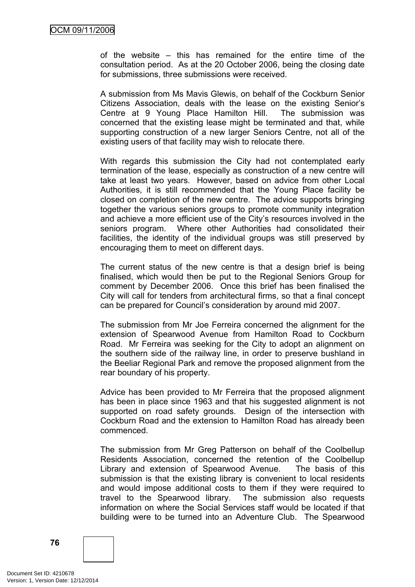of the website – this has remained for the entire time of the consultation period. As at the 20 October 2006, being the closing date for submissions, three submissions were received.

A submission from Ms Mavis Glewis, on behalf of the Cockburn Senior Citizens Association, deals with the lease on the existing Senior's Centre at 9 Young Place Hamilton Hill. The submission was concerned that the existing lease might be terminated and that, while supporting construction of a new larger Seniors Centre, not all of the existing users of that facility may wish to relocate there.

With regards this submission the City had not contemplated early termination of the lease, especially as construction of a new centre will take at least two years. However, based on advice from other Local Authorities, it is still recommended that the Young Place facility be closed on completion of the new centre. The advice supports bringing together the various seniors groups to promote community integration and achieve a more efficient use of the City's resources involved in the seniors program. Where other Authorities had consolidated their facilities, the identity of the individual groups was still preserved by encouraging them to meet on different days.

The current status of the new centre is that a design brief is being finalised, which would then be put to the Regional Seniors Group for comment by December 2006. Once this brief has been finalised the City will call for tenders from architectural firms, so that a final concept can be prepared for Council's consideration by around mid 2007.

The submission from Mr Joe Ferreira concerned the alignment for the extension of Spearwood Avenue from Hamilton Road to Cockburn Road. Mr Ferreira was seeking for the City to adopt an alignment on the southern side of the railway line, in order to preserve bushland in the Beeliar Regional Park and remove the proposed alignment from the rear boundary of his property.

Advice has been provided to Mr Ferreira that the proposed alignment has been in place since 1963 and that his suggested alignment is not supported on road safety grounds. Design of the intersection with Cockburn Road and the extension to Hamilton Road has already been commenced.

The submission from Mr Greg Patterson on behalf of the Coolbellup Residents Association, concerned the retention of the Coolbellup Library and extension of Spearwood Avenue. The basis of this submission is that the existing library is convenient to local residents and would impose additional costs to them if they were required to travel to the Spearwood library. The submission also requests information on where the Social Services staff would be located if that building were to be turned into an Adventure Club. The Spearwood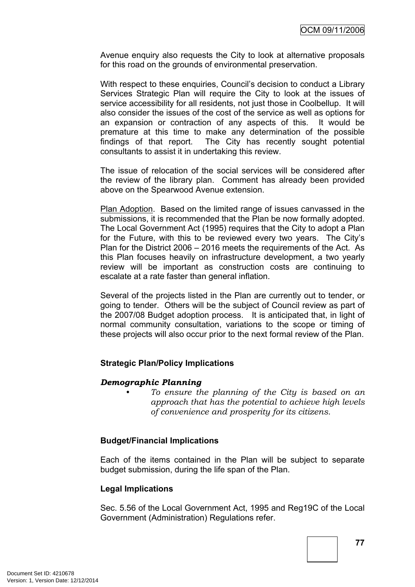Avenue enquiry also requests the City to look at alternative proposals for this road on the grounds of environmental preservation.

With respect to these enquiries, Council's decision to conduct a Library Services Strategic Plan will require the City to look at the issues of service accessibility for all residents, not just those in Coolbellup. It will also consider the issues of the cost of the service as well as options for an expansion or contraction of any aspects of this. It would be premature at this time to make any determination of the possible findings of that report. The City has recently sought potential consultants to assist it in undertaking this review.

The issue of relocation of the social services will be considered after the review of the library plan. Comment has already been provided above on the Spearwood Avenue extension.

Plan Adoption. Based on the limited range of issues canvassed in the submissions, it is recommended that the Plan be now formally adopted. The Local Government Act (1995) requires that the City to adopt a Plan for the Future, with this to be reviewed every two years. The City's Plan for the District 2006 – 2016 meets the requirements of the Act. As this Plan focuses heavily on infrastructure development, a two yearly review will be important as construction costs are continuing to escalate at a rate faster than general inflation.

Several of the projects listed in the Plan are currently out to tender, or going to tender. Others will be the subject of Council review as part of the 2007/08 Budget adoption process. It is anticipated that, in light of normal community consultation, variations to the scope or timing of these projects will also occur prior to the next formal review of the Plan.

### **Strategic Plan/Policy Implications**

### *Demographic Planning*

*• To ensure the planning of the City is based on an approach that has the potential to achieve high levels of convenience and prosperity for its citizens.*

### **Budget/Financial Implications**

Each of the items contained in the Plan will be subject to separate budget submission, during the life span of the Plan.

### **Legal Implications**

Sec. 5.56 of the Local Government Act, 1995 and Reg19C of the Local Government (Administration) Regulations refer.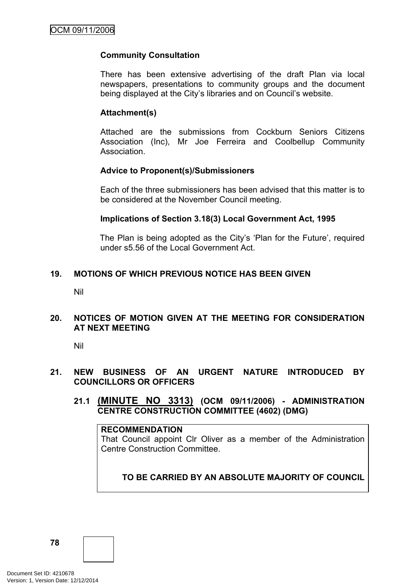# **Community Consultation**

There has been extensive advertising of the draft Plan via local newspapers, presentations to community groups and the document being displayed at the City's libraries and on Council's website.

### **Attachment(s)**

Attached are the submissions from Cockburn Seniors Citizens Association (Inc), Mr Joe Ferreira and Coolbellup Community **Association** 

### **Advice to Proponent(s)/Submissioners**

Each of the three submissioners has been advised that this matter is to be considered at the November Council meeting.

### **Implications of Section 3.18(3) Local Government Act, 1995**

The Plan is being adopted as the City's 'Plan for the Future', required under s5.56 of the Local Government Act.

## **19. MOTIONS OF WHICH PREVIOUS NOTICE HAS BEEN GIVEN**

Nil

# **20. NOTICES OF MOTION GIVEN AT THE MEETING FOR CONSIDERATION AT NEXT MEETING**

Nil

### **21. NEW BUSINESS OF AN URGENT NATURE INTRODUCED BY COUNCILLORS OR OFFICERS**

**21.1 (MINUTE NO 3313) (OCM 09/11/2006) - ADMINISTRATION CENTRE CONSTRUCTION COMMITTEE (4602) (DMG)**

**RECOMMENDATION** That Council appoint Clr Oliver as a member of the Administration Centre Construction Committee.

**TO BE CARRIED BY AN ABSOLUTE MAJORITY OF COUNCIL**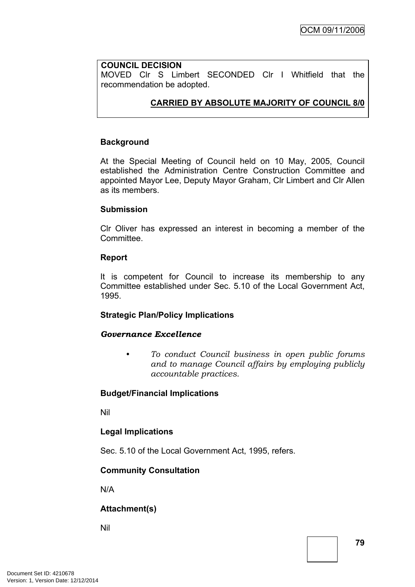## **COUNCIL DECISION**

MOVED Clr S Limbert SECONDED Clr I Whitfield that the recommendation be adopted.

# **CARRIED BY ABSOLUTE MAJORITY OF COUNCIL 8/0**

## **Background**

At the Special Meeting of Council held on 10 May, 2005, Council established the Administration Centre Construction Committee and appointed Mayor Lee, Deputy Mayor Graham, Clr Limbert and Clr Allen as its members.

### **Submission**

Clr Oliver has expressed an interest in becoming a member of the Committee.

### **Report**

It is competent for Council to increase its membership to any Committee established under Sec. 5.10 of the Local Government Act, 1995.

# **Strategic Plan/Policy Implications**

### *Governance Excellence*

*• To conduct Council business in open public forums and to manage Council affairs by employing publicly accountable practices.*

### **Budget/Financial Implications**

Nil

### **Legal Implications**

Sec. 5.10 of the Local Government Act, 1995, refers.

### **Community Consultation**

N/A

### **Attachment(s)**

Nil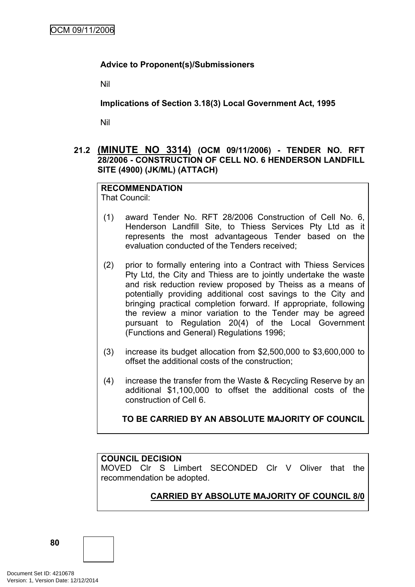## **Advice to Proponent(s)/Submissioners**

Nil

**Implications of Section 3.18(3) Local Government Act, 1995**

Nil

# **21.2 (MINUTE NO 3314) (OCM 09/11/2006) - TENDER NO. RFT 28/2006 - CONSTRUCTION OF CELL NO. 6 HENDERSON LANDFILL SITE (4900) (JK/ML) (ATTACH)**

**RECOMMENDATION** That Council:

- (1) award Tender No. RFT 28/2006 Construction of Cell No. 6, Henderson Landfill Site, to Thiess Services Pty Ltd as it represents the most advantageous Tender based on the evaluation conducted of the Tenders received;
- (2) prior to formally entering into a Contract with Thiess Services Pty Ltd, the City and Thiess are to jointly undertake the waste and risk reduction review proposed by Theiss as a means of potentially providing additional cost savings to the City and bringing practical completion forward. If appropriate, following the review a minor variation to the Tender may be agreed pursuant to Regulation 20(4) of the Local Government (Functions and General) Regulations 1996;
- (3) increase its budget allocation from \$2,500,000 to \$3,600,000 to offset the additional costs of the construction;
- (4) increase the transfer from the Waste & Recycling Reserve by an additional \$1,100,000 to offset the additional costs of the construction of Cell 6.

### **TO BE CARRIED BY AN ABSOLUTE MAJORITY OF COUNCIL**

### **COUNCIL DECISION**

MOVED Clr S Limbert SECONDED Clr V Oliver that the recommendation be adopted.

# **CARRIED BY ABSOLUTE MAJORITY OF COUNCIL 8/0**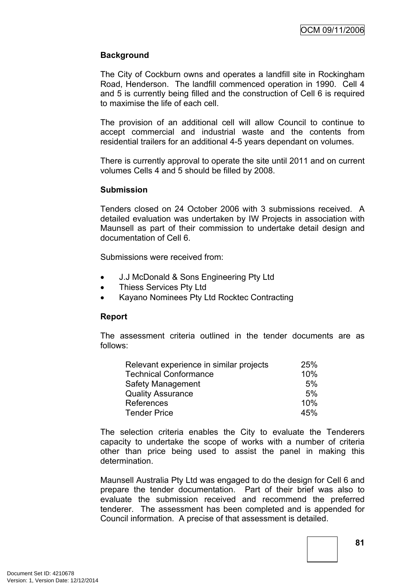# **Background**

The City of Cockburn owns and operates a landfill site in Rockingham Road, Henderson. The landfill commenced operation in 1990. Cell 4 and 5 is currently being filled and the construction of Cell 6 is required to maximise the life of each cell.

The provision of an additional cell will allow Council to continue to accept commercial and industrial waste and the contents from residential trailers for an additional 4-5 years dependant on volumes.

There is currently approval to operate the site until 2011 and on current volumes Cells 4 and 5 should be filled by 2008.

### **Submission**

Tenders closed on 24 October 2006 with 3 submissions received. A detailed evaluation was undertaken by IW Projects in association with Maunsell as part of their commission to undertake detail design and documentation of Cell 6.

Submissions were received from:

- J.J McDonald & Sons Engineering Pty Ltd
- Thiess Services Pty Ltd
- Kayano Nominees Pty Ltd Rocktec Contracting

### **Report**

The assessment criteria outlined in the tender documents are as follows:

| Relevant experience in similar projects | 25% |
|-----------------------------------------|-----|
| <b>Technical Conformance</b>            | 10% |
| <b>Safety Management</b>                | 5%  |
| <b>Quality Assurance</b>                | 5%  |
| References                              | 10% |
| <b>Tender Price</b>                     | 45% |

The selection criteria enables the City to evaluate the Tenderers capacity to undertake the scope of works with a number of criteria other than price being used to assist the panel in making this determination.

Maunsell Australia Pty Ltd was engaged to do the design for Cell 6 and prepare the tender documentation. Part of their brief was also to evaluate the submission received and recommend the preferred tenderer. The assessment has been completed and is appended for Council information. A precise of that assessment is detailed.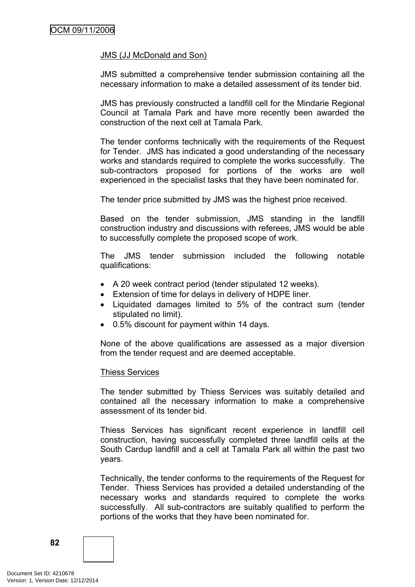## JMS (JJ McDonald and Son)

JMS submitted a comprehensive tender submission containing all the necessary information to make a detailed assessment of its tender bid.

JMS has previously constructed a landfill cell for the Mindarie Regional Council at Tamala Park and have more recently been awarded the construction of the next cell at Tamala Park.

The tender conforms technically with the requirements of the Request for Tender. JMS has indicated a good understanding of the necessary works and standards required to complete the works successfully. The sub-contractors proposed for portions of the works are well experienced in the specialist tasks that they have been nominated for.

The tender price submitted by JMS was the highest price received.

Based on the tender submission, JMS standing in the landfill construction industry and discussions with referees, JMS would be able to successfully complete the proposed scope of work.

The JMS tender submission included the following notable qualifications:

- A 20 week contract period (tender stipulated 12 weeks).
- Extension of time for delays in delivery of HDPE liner.
- Liquidated damages limited to 5% of the contract sum (tender stipulated no limit).
- 0.5% discount for payment within 14 days.

None of the above qualifications are assessed as a major diversion from the tender request and are deemed acceptable.

### Thiess Services

The tender submitted by Thiess Services was suitably detailed and contained all the necessary information to make a comprehensive assessment of its tender bid.

Thiess Services has significant recent experience in landfill cell construction, having successfully completed three landfill cells at the South Cardup landfill and a cell at Tamala Park all within the past two years.

Technically, the tender conforms to the requirements of the Request for Tender. Thiess Services has provided a detailed understanding of the necessary works and standards required to complete the works successfully. All sub-contractors are suitably qualified to perform the portions of the works that they have been nominated for.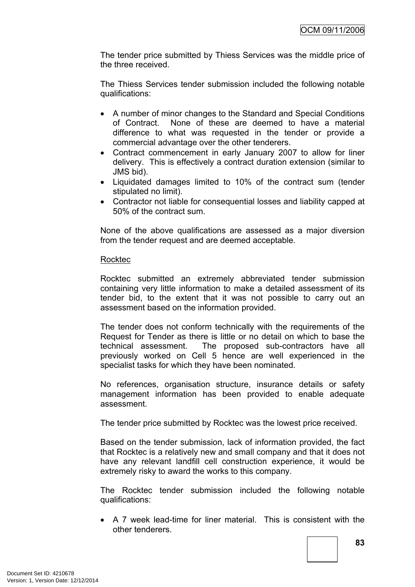The tender price submitted by Thiess Services was the middle price of the three received.

The Thiess Services tender submission included the following notable qualifications:

- A number of minor changes to the Standard and Special Conditions of Contract. None of these are deemed to have a material difference to what was requested in the tender or provide a commercial advantage over the other tenderers.
- Contract commencement in early January 2007 to allow for liner delivery. This is effectively a contract duration extension (similar to JMS bid).
- Liquidated damages limited to 10% of the contract sum (tender stipulated no limit).
- Contractor not liable for consequential losses and liability capped at 50% of the contract sum.

None of the above qualifications are assessed as a major diversion from the tender request and are deemed acceptable.

### Rocktec

Rocktec submitted an extremely abbreviated tender submission containing very little information to make a detailed assessment of its tender bid, to the extent that it was not possible to carry out an assessment based on the information provided.

The tender does not conform technically with the requirements of the Request for Tender as there is little or no detail on which to base the technical assessment. The proposed sub-contractors have all previously worked on Cell 5 hence are well experienced in the specialist tasks for which they have been nominated.

No references, organisation structure, insurance details or safety management information has been provided to enable adequate assessment.

The tender price submitted by Rocktec was the lowest price received.

Based on the tender submission, lack of information provided, the fact that Rocktec is a relatively new and small company and that it does not have any relevant landfill cell construction experience, it would be extremely risky to award the works to this company.

The Rocktec tender submission included the following notable qualifications:

 A 7 week lead-time for liner material. This is consistent with the other tenderers.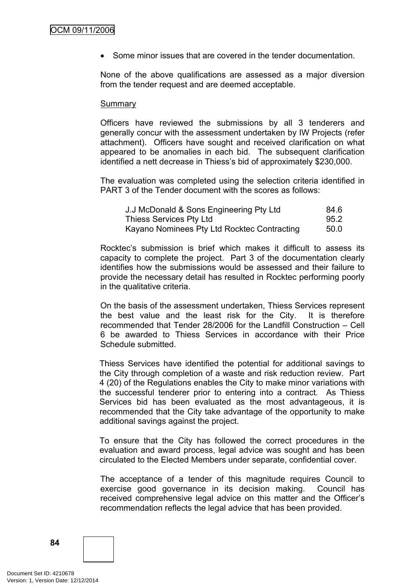Some minor issues that are covered in the tender documentation.

None of the above qualifications are assessed as a major diversion from the tender request and are deemed acceptable.

### **Summary**

Officers have reviewed the submissions by all 3 tenderers and generally concur with the assessment undertaken by IW Projects (refer attachment). Officers have sought and received clarification on what appeared to be anomalies in each bid. The subsequent clarification identified a nett decrease in Thiess's bid of approximately \$230,000.

The evaluation was completed using the selection criteria identified in PART 3 of the Tender document with the scores as follows:

| J.J McDonald & Sons Engineering Pty Ltd     | 84.6 |
|---------------------------------------------|------|
| Thiess Services Pty Ltd                     | 952  |
| Kayano Nominees Pty Ltd Rocktec Contracting | 50.0 |

Rocktec's submission is brief which makes it difficult to assess its capacity to complete the project. Part 3 of the documentation clearly identifies how the submissions would be assessed and their failure to provide the necessary detail has resulted in Rocktec performing poorly in the qualitative criteria.

On the basis of the assessment undertaken, Thiess Services represent the best value and the least risk for the City. It is therefore recommended that Tender 28/2006 for the Landfill Construction – Cell 6 be awarded to Thiess Services in accordance with their Price Schedule submitted.

Thiess Services have identified the potential for additional savings to the City through completion of a waste and risk reduction review. Part 4 (20) of the Regulations enables the City to make minor variations with the successful tenderer prior to entering into a contract. As Thiess Services bid has been evaluated as the most advantageous, it is recommended that the City take advantage of the opportunity to make additional savings against the project.

To ensure that the City has followed the correct procedures in the evaluation and award process, legal advice was sought and has been circulated to the Elected Members under separate, confidential cover.

The acceptance of a tender of this magnitude requires Council to exercise good governance in its decision making. Council has received comprehensive legal advice on this matter and the Officer's recommendation reflects the legal advice that has been provided.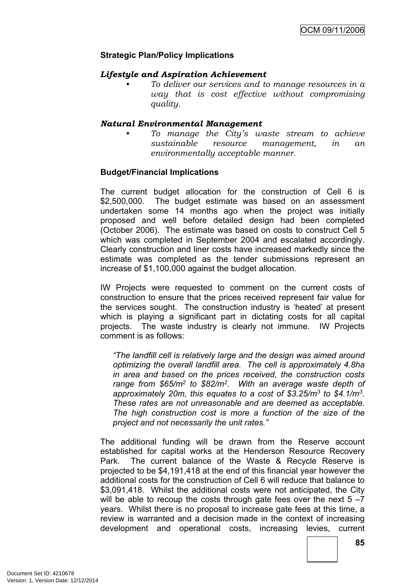# **Strategic Plan/Policy Implications**

## *Lifestyle and Aspiration Achievement*

*• To deliver our services and to manage resources in a way that is cost effective without compromising quality.*

### *Natural Environmental Management*

*• To manage the City's waste stream to achieve sustainable resource management, in an environmentally acceptable manner.*

### **Budget/Financial Implications**

The current budget allocation for the construction of Cell 6 is \$2,500,000. The budget estimate was based on an assessment undertaken some 14 months ago when the project was initially proposed and well before detailed design had been completed (October 2006). The estimate was based on costs to construct Cell 5 which was completed in September 2004 and escalated accordingly. Clearly construction and liner costs have increased markedly since the estimate was completed as the tender submissions represent an increase of \$1,100,000 against the budget allocation.

IW Projects were requested to comment on the current costs of construction to ensure that the prices received represent fair value for the services sought. The construction industry is 'heated' at present which is playing a significant part in dictating costs for all capital projects. The waste industry is clearly not immune. IW Projects comment is as follows:

*"The landfill cell is relatively large and the design was aimed around optimizing the overall landfill area. The cell is approximately 4.8ha in area and based on the prices received, the construction costs range from \$65/m<sup>2</sup> to \$82/m<sup>2</sup> . With an average waste depth of approximately 20m, this equates to a cost of \$3.25/m<sup>3</sup> to \$4.1/m<sup>3</sup> . These rates are not unreasonable and are deemed as acceptable. The high construction cost is more a function of the size of the project and not necessarily the unit rates."*

The additional funding will be drawn from the Reserve account established for capital works at the Henderson Resource Recovery Park. The current balance of the Waste & Recycle Reserve is projected to be \$4,191,418 at the end of this financial year however the additional costs for the construction of Cell 6 will reduce that balance to \$3,091,418. Whilst the additional costs were not anticipated, the City will be able to recoup the costs through gate fees over the next  $5 - 7$ years. Whilst there is no proposal to increase gate fees at this time, a review is warranted and a decision made in the context of increasing development and operational costs, increasing levies, current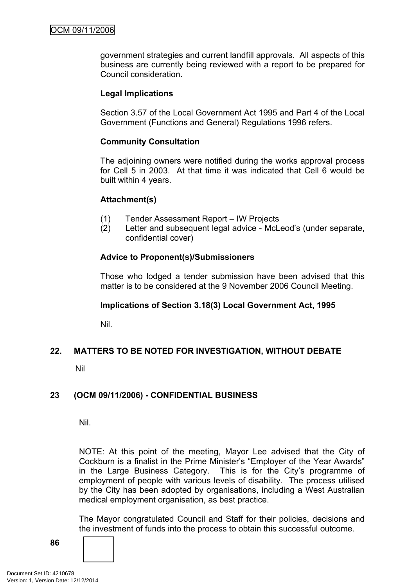government strategies and current landfill approvals. All aspects of this business are currently being reviewed with a report to be prepared for Council consideration.

### **Legal Implications**

Section 3.57 of the Local Government Act 1995 and Part 4 of the Local Government (Functions and General) Regulations 1996 refers.

### **Community Consultation**

The adjoining owners were notified during the works approval process for Cell 5 in 2003. At that time it was indicated that Cell 6 would be built within 4 years.

# **Attachment(s)**

- (1) Tender Assessment Report IW Projects
- (2) Letter and subsequent legal advice McLeod's (under separate, confidential cover)

# **Advice to Proponent(s)/Submissioners**

Those who lodged a tender submission have been advised that this matter is to be considered at the 9 November 2006 Council Meeting.

### **Implications of Section 3.18(3) Local Government Act, 1995**

Nil.

# **22. MATTERS TO BE NOTED FOR INVESTIGATION, WITHOUT DEBATE**

Nil

# **23 (OCM 09/11/2006) - CONFIDENTIAL BUSINESS**

Nil.

NOTE: At this point of the meeting, Mayor Lee advised that the City of Cockburn is a finalist in the Prime Minister's "Employer of the Year Awards" in the Large Business Category. This is for the City's programme of employment of people with various levels of disability. The process utilised by the City has been adopted by organisations, including a West Australian medical employment organisation, as best practice.

The Mayor congratulated Council and Staff for their policies, decisions and the investment of funds into the process to obtain this successful outcome.